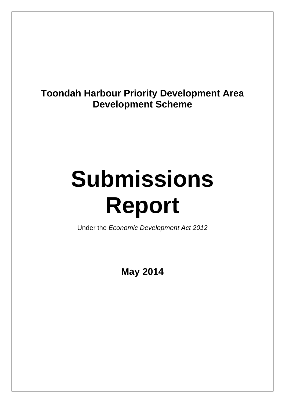# **Toondah Harbour Priority Development Area Development Scheme**

# **Submissions Report**

Under the *Economic Development Act 2012*

**May 2014**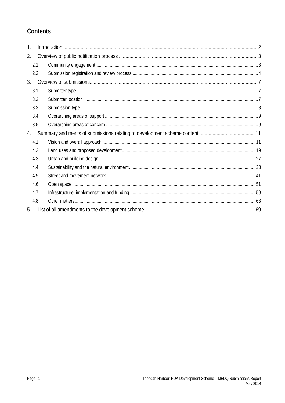# Contents

| 1. |      |  |
|----|------|--|
| 2. |      |  |
|    | 2.1. |  |
|    | 2.2. |  |
| 3. |      |  |
|    | 3.1. |  |
|    | 3.2. |  |
|    | 3.3. |  |
|    | 3.4. |  |
|    | 3.5. |  |
| 4. |      |  |
|    | 4.1. |  |
|    | 4.2. |  |
|    | 4.3. |  |
|    | 4.4. |  |
|    | 4.5. |  |
|    | 4.6. |  |
|    | 4.7. |  |
|    | 4.8. |  |
| 5. |      |  |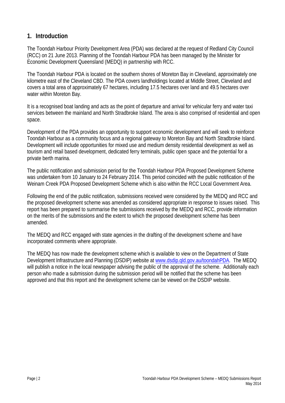### **1. Introduction**

The Toondah Harbour Priority Development Area (PDA) was declared at the request of Redland City Council (RCC) on 21 June 2013. Planning of the Toondah Harbour PDA has been managed by the Minister for Economic Development Queensland (MEDQ) in partnership with RCC.

The Toondah Harbour PDA is located on the southern shores of Moreton Bay in Cleveland, approximately one kilometre east of the Cleveland CBD. The PDA covers landholdings located at Middle Street, Cleveland and covers a total area of approximately 67 hectares, including 17.5 hectares over land and 49.5 hectares over water within Moreton Bay.

It is a recognised boat landing and acts as the point of departure and arrival for vehicular ferry and water taxi services between the mainland and North Stradbroke Island. The area is also comprised of residential and open space.

Development of the PDA provides an opportunity to support economic development and will seek to reinforce Toondah Harbour as a community focus and a regional gateway to Moreton Bay and North Stradbroke Island. Development will include opportunities for mixed use and medium density residential development as well as tourism and retail based development, dedicated ferry terminals, public open space and the potential for a private berth marina.

The public notification and submission period for the Toondah Harbour PDA Proposed Development Scheme was undertaken from 10 January to 24 February 2014. This period coincided with the public notification of the Weinam Creek PDA Proposed Development Scheme which is also within the RCC Local Government Area.

Following the end of the public notification, submissions received were considered by the MEDQ and RCC and the proposed development scheme was amended as considered appropriate in response to issues raised. This report has been prepared to summarise the submissions received by the MEDQ and RCC, provide information on the merits of the submissions and the extent to which the proposed development scheme has been amended.

The MEDQ and RCC engaged with state agencies in the drafting of the development scheme and have incorporated comments where appropriate.

The MEDQ has now made the development scheme which is available to view on the Department of State Development Infrastructure and Planning (DSDIP) website at www.dsdip.qld.gov.au/toondahPDA. The MEDQ will publish a notice in the local newspaper advising the public of the approval of the scheme. Additionally each person who made a submission during the submission period will be notified that the scheme has been approved and that this report and the development scheme can be viewed on the DSDIP website.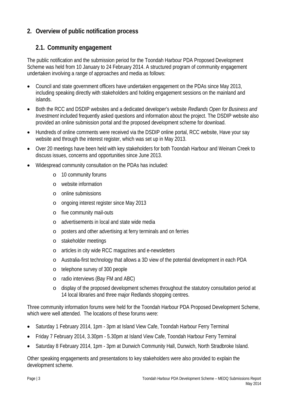# **2. Overview of public notification process**

# **2.1. Community engagement**

The public notification and the submission period for the Toondah Harbour PDA Proposed Development Scheme was held from 10 January to 24 February 2014. A structured program of community engagement undertaken involving a range of approaches and media as follows:

- Council and state government officers have undertaken engagement on the PDAs since May 2013, including speaking directly with stakeholders and holding engagement sessions on the mainland and islands.
- Both the RCC and DSDIP websites and a dedicated developer's website *Redlands Open for Business and Investment* included frequently asked questions and information about the project. The DSDIP website also provided an online submission portal and the proposed development scheme for download.
- Hundreds of online comments were received via the DSDIP online portal, RCC website, Have your say website and through the interest register, which was set up in May 2013.
- Over 20 meetings have been held with key stakeholders for both Toondah Harbour and Weinam Creek to discuss issues, concerns and opportunities since June 2013.
- Widespread community consultation on the PDAs has included:
	- o 10 community forums
	- o website information
	- o online submissions
	- o ongoing interest register since May 2013
	- o five community mail-outs
	- o advertisements in local and state wide media
	- o posters and other advertising at ferry terminals and on ferries
	- o stakeholder meetings
	- o articles in city wide RCC magazines and e-newsletters
	- o Australia-first technology that allows a 3D view of the potential development in each PDA
	- o telephone survey of 300 people
	- o radio interviews (Bay FM and ABC)
	- o display of the proposed development schemes throughout the statutory consultation period at 14 local libraries and three major Redlands shopping centres.

Three community information forums were held for the Toondah Harbour PDA Proposed Development Scheme, which were well attended. The locations of these forums were:

- Saturday 1 February 2014, 1pm 3pm at Island View Cafe, Toondah Harbour Ferry Terminal
- Friday 7 February 2014, 3.30pm 5.30pm at Island View Cafe, Toondah Harbour Ferry Terminal
- Saturday 8 February 2014, 1pm 3pm at Dunwich Community Hall, Dunwich, North Stradbroke Island.

Other speaking engagements and presentations to key stakeholders were also provided to explain the development scheme.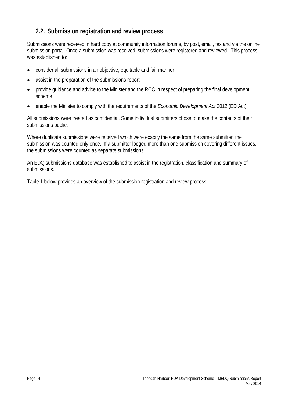## **2.2. Submission registration and review process**

Submissions were received in hard copy at community information forums, by post, email, fax and via the online submission portal. Once a submission was received, submissions were registered and reviewed. This process was established to:

- consider all submissions in an objective, equitable and fair manner
- assist in the preparation of the submissions report
- provide guidance and advice to the Minister and the RCC in respect of preparing the final development scheme
- enable the Minister to comply with the requirements of the *Economic Development Act* 2012 (ED Act).

All submissions were treated as confidential. Some individual submitters chose to make the contents of their submissions public.

Where duplicate submissions were received which were exactly the same from the same submitter, the submission was counted only once. If a submitter lodged more than one submission covering different issues, the submissions were counted as separate submissions.

An EDQ submissions database was established to assist in the registration, classification and summary of submissions.

Table 1 below provides an overview of the submission registration and review process.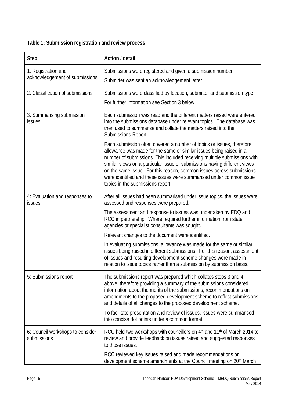# **Table 1: Submission registration and review process**

| <b>Step</b>                                           | Action / detail                                                                                                                                                                                                                                                                                                                                                                                                                                                                           |
|-------------------------------------------------------|-------------------------------------------------------------------------------------------------------------------------------------------------------------------------------------------------------------------------------------------------------------------------------------------------------------------------------------------------------------------------------------------------------------------------------------------------------------------------------------------|
| 1: Registration and<br>acknowledgement of submissions | Submissions were registered and given a submission number<br>Submitter was sent an acknowledgement letter                                                                                                                                                                                                                                                                                                                                                                                 |
| 2: Classification of submissions                      | Submissions were classified by location, submitter and submission type.<br>For further information see Section 3 below.                                                                                                                                                                                                                                                                                                                                                                   |
| 3: Summarising submission<br>issues                   | Each submission was read and the different matters raised were entered<br>into the submissions database under relevant topics. The database was<br>then used to summarise and collate the matters raised into the<br>Submissions Report.                                                                                                                                                                                                                                                  |
|                                                       | Each submission often covered a number of topics or issues, therefore<br>allowance was made for the same or similar issues being raised in a<br>number of submissions. This included receiving multiple submissions with<br>similar views on a particular issue or submissions having different views<br>on the same issue. For this reason, common issues across submissions<br>were identified and these issues were summarised under common issue<br>topics in the submissions report. |
| 4: Evaluation and responses to<br>issues              | After all issues had been summarised under issue topics, the issues were<br>assessed and responses were prepared.                                                                                                                                                                                                                                                                                                                                                                         |
|                                                       | The assessment and response to issues was undertaken by EDQ and<br>RCC in partnership. Where required further information from state<br>agencies or specialist consultants was sought.                                                                                                                                                                                                                                                                                                    |
|                                                       | Relevant changes to the document were identified.                                                                                                                                                                                                                                                                                                                                                                                                                                         |
|                                                       | In evaluating submissions, allowance was made for the same or similar<br>issues being raised in different submissions. For this reason, assessment<br>of issues and resulting development scheme changes were made in<br>relation to issue topics rather than a submission by submission basis.                                                                                                                                                                                           |
| 5: Submissions report                                 | The submissions report was prepared which collates steps 3 and 4<br>above, therefore providing a summary of the submissions considered,<br>information about the merits of the submissions, recommendations on<br>amendments to the proposed development scheme to reflect submissions<br>and details of all changes to the proposed development scheme.                                                                                                                                  |
|                                                       | To facilitate presentation and review of issues, issues were summarised<br>into concise dot points under a common format.                                                                                                                                                                                                                                                                                                                                                                 |
| 6: Council workshops to consider<br>submissions       | RCC held two workshops with councillors on 4 <sup>th</sup> and 11 <sup>th</sup> of March 2014 to<br>review and provide feedback on issues raised and suggested responses<br>to those issues.                                                                                                                                                                                                                                                                                              |
|                                                       | RCC reviewed key issues raised and made recommendations on<br>development scheme amendments at the Council meeting on 20 <sup>th</sup> March                                                                                                                                                                                                                                                                                                                                              |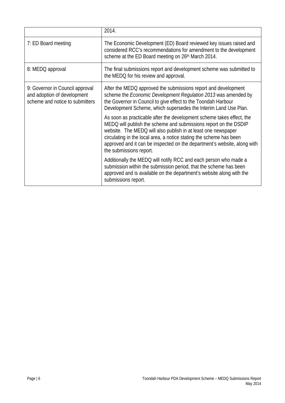|                                                                                                   | 2014.                                                                                                                                                                                                                                                                                                                                                                                    |
|---------------------------------------------------------------------------------------------------|------------------------------------------------------------------------------------------------------------------------------------------------------------------------------------------------------------------------------------------------------------------------------------------------------------------------------------------------------------------------------------------|
| 7: ED Board meeting                                                                               | The Economic Development (ED) Board reviewed key issues raised and<br>considered RCC's recommendations for amendment to the development<br>scheme at the ED Board meeting on 26th March 2014.                                                                                                                                                                                            |
| 8: MEDQ approval                                                                                  | The final submissions report and development scheme was submitted to<br>the MEDQ for his review and approval.                                                                                                                                                                                                                                                                            |
| 9: Governor in Council approval<br>and adoption of development<br>scheme and notice to submitters | After the MEDQ approved the submissions report and development<br>scheme the <i>Economic Development Regulation 2013</i> was amended by<br>the Governor in Council to give effect to the Toondah Harbour<br>Development Scheme, which supersedes the Interim Land Use Plan.                                                                                                              |
|                                                                                                   | As soon as practicable after the development scheme takes effect, the<br>MEDQ will publish the scheme and submissions report on the DSDIP<br>website. The MEDQ will also publish in at least one newspaper<br>circulating in the local area, a notice stating the scheme has been<br>approved and it can be inspected on the department's website, along with<br>the submissions report. |
|                                                                                                   | Additionally the MEDQ will notify RCC and each person who made a<br>submission within the submission period, that the scheme has been<br>approved and is available on the department's website along with the<br>submissions report.                                                                                                                                                     |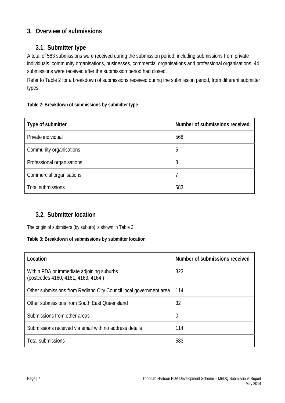# **3. Overview of submissions**

# **3.1. Submitter type**

A total of 583 submissions were received during the submission period, including submissions from private individuals, community organisations, businesses, commercial organisations and professional organisations. 44 submissions were received after the submission period had closed.

Refer to Table 2 for a breakdown of submissions received during the submission period, from different submitter types.

#### **Table 2: Breakdown of submissions by submitter type**

| Type of submitter          | Number of submissions received |
|----------------------------|--------------------------------|
| Private individual         | 568                            |
| Community organisations    | 5                              |
| Professional organisations | 3                              |
| Commercial organisations   |                                |
| Total submissions          | 583                            |

## **3.2. Submitter location**

The origin of submitters (by suburb) is shown in Table 3.

#### **Table 3: Breakdown of submissions by submitter location**

| Location                                                                        | Number of submissions received |
|---------------------------------------------------------------------------------|--------------------------------|
| Within PDA or immediate adjoining suburbs<br>(postcodes 4160, 4161, 4163, 4164) | 323                            |
| Other submissions from Redland City Council local government area               | 114                            |
| Other submissions from South East Queensland                                    | 32                             |
| Submissions from other areas                                                    | 0                              |
| Submissions received via email with no address details                          | 114                            |
| Total submissions                                                               | 583                            |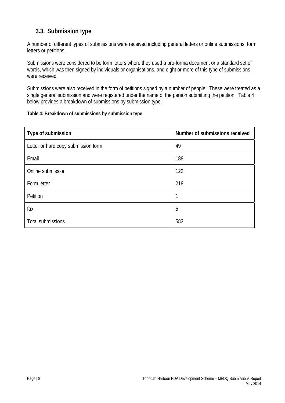# **3.3. Submission type**

A number of different types of submissions were received including general letters or online submissions, form letters or petitions.

Submissions were considered to be form letters where they used a pro-forma document or a standard set of words, which was then signed by individuals or organisations, and eight or more of this type of submissions were received.

Submissions were also received in the form of petitions signed by a number of people. These were treated as a single general submission and were registered under the name of the person submitting the petition. Table 4 below provides a breakdown of submissions by submission type.

#### **Table 4: Breakdown of submissions by submission type**

| Type of submission                  | Number of submissions received |
|-------------------------------------|--------------------------------|
| Letter or hard copy submission form | 49                             |
| Email                               | 188                            |
| Online submission                   | 122                            |
| Form letter                         | 218                            |
| Petition                            | 1                              |
| fax                                 | 5                              |
| Total submissions                   | 583                            |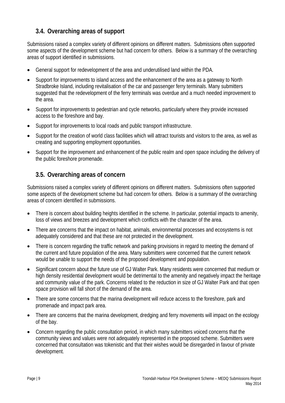# **3.4. Overarching areas of support**

Submissions raised a complex variety of different opinions on different matters. Submissions often supported some aspects of the development scheme but had concern for others. Below is a summary of the overarching areas of support identified in submissions.

- General support for redevelopment of the area and underutilised land within the PDA.
- Support for improvements to island access and the enhancement of the area as a gateway to North Stradbroke Island, including revitalisation of the car and passenger ferry terminals. Many submitters suggested that the redevelopment of the ferry terminals was overdue and a much needed improvement to the area.
- Support for improvements to pedestrian and cycle networks, particularly where they provide increased access to the foreshore and bay.
- Support for improvements to local roads and public transport infrastructure.
- Support for the creation of world class facilities which will attract tourists and visitors to the area, as well as creating and supporting employment opportunities.
- Support for the improvement and enhancement of the public realm and open space including the delivery of the public foreshore promenade.

## **3.5. Overarching areas of concern**

Submissions raised a complex variety of different opinions on different matters. Submissions often supported some aspects of the development scheme but had concern for others. Below is a summary of the overarching areas of concern identified in submissions.

- There is concern about building heights identified in the scheme. In particular, potential impacts to amenity, loss of views and breezes and development which conflicts with the character of the area.
- There are concerns that the impact on habitat, animals, environmental processes and ecosystems is not adequately considered and that these are not protected in the development.
- There is concern regarding the traffic network and parking provisions in regard to meeting the demand of the current and future population of the area. Many submitters were concerned that the current network would be unable to support the needs of the proposed development and population.
- Significant concern about the future use of GJ Walter Park. Many residents were concerned that medium or high density residential development would be detrimental to the amenity and negatively impact the heritage and community value of the park. Concerns related to the reduction in size of GJ Walter Park and that open space provision will fall short of the demand of the area.
- There are some concerns that the marina development will reduce access to the foreshore, park and promenade and impact park area.
- There are concerns that the marina development, dredging and ferry movements will impact on the ecology of the bay.
- Concern regarding the public consultation period, in which many submitters voiced concerns that the community views and values were not adequately represented in the proposed scheme. Submitters were concerned that consultation was tokenistic and that their wishes would be disregarded in favour of private development.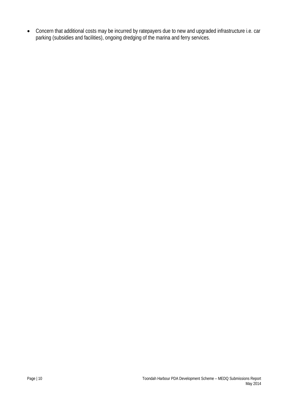Concern that additional costs may be incurred by ratepayers due to new and upgraded infrastructure i.e. car parking (subsidies and facilities), ongoing dredging of the marina and ferry services.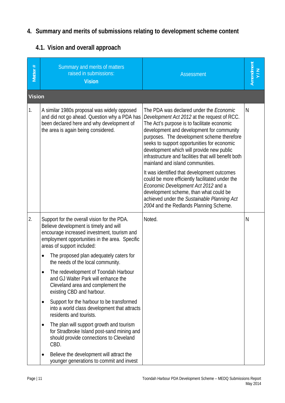# **4. Summary and merits of submissions relating to development scheme content**

# **4.1. Vision and overall approach**

| Matter #      | Summary and merits of matters<br>raised in submissions:<br><b>Vision</b>                                                                                                                                                                                                                                                                                                                                                                                                                                                                                                                                                                                                                                                                                                         | <b>Assessment</b>                                                                                                                                                                                                                                                                                                                                                                                                                                                                                                                                                                                                                                                                                           | Amendment<br>Y/N |
|---------------|----------------------------------------------------------------------------------------------------------------------------------------------------------------------------------------------------------------------------------------------------------------------------------------------------------------------------------------------------------------------------------------------------------------------------------------------------------------------------------------------------------------------------------------------------------------------------------------------------------------------------------------------------------------------------------------------------------------------------------------------------------------------------------|-------------------------------------------------------------------------------------------------------------------------------------------------------------------------------------------------------------------------------------------------------------------------------------------------------------------------------------------------------------------------------------------------------------------------------------------------------------------------------------------------------------------------------------------------------------------------------------------------------------------------------------------------------------------------------------------------------------|------------------|
| <b>Vision</b> |                                                                                                                                                                                                                                                                                                                                                                                                                                                                                                                                                                                                                                                                                                                                                                                  |                                                                                                                                                                                                                                                                                                                                                                                                                                                                                                                                                                                                                                                                                                             |                  |
| 1.            | A similar 1980s proposal was widely opposed<br>and did not go ahead. Question why a PDA has<br>been declared here and why development of<br>the area is again being considered.                                                                                                                                                                                                                                                                                                                                                                                                                                                                                                                                                                                                  | The PDA was declared under the <i>Economic</i><br>Development Act 2012 at the request of RCC.<br>The Act's purpose is to facilitate economic<br>development and development for community<br>purposes. The development scheme therefore<br>seeks to support opportunities for economic<br>development which will provide new public<br>infrastructure and facilities that will benefit both<br>mainland and island communities.<br>It was identified that development outcomes<br>could be more efficiently facilitated under the<br>Economic Development Act 2012 and a<br>development scheme, than what could be<br>achieved under the Sustainable Planning Act<br>2004 and the Redlands Planning Scheme. | N                |
| 2.            | Support for the overall vision for the PDA.<br>Believe development is timely and will<br>encourage increased investment, tourism and<br>employment opportunities in the area. Specific<br>areas of support included:<br>The proposed plan adequately caters for<br>the needs of the local community.<br>The redevelopment of Toondah Harbour<br>and GJ Walter Park will enhance the<br>Cleveland area and complement the<br>existing CBD and harbour.<br>Support for the harbour to be transformed<br>٠<br>into a world class development that attracts<br>residents and tourists.<br>The plan will support growth and tourism<br>٠<br>for Stradbroke Island post-sand mining and<br>should provide connections to Cleveland<br>CBD.<br>Believe the development will attract the | Noted.                                                                                                                                                                                                                                                                                                                                                                                                                                                                                                                                                                                                                                                                                                      | N                |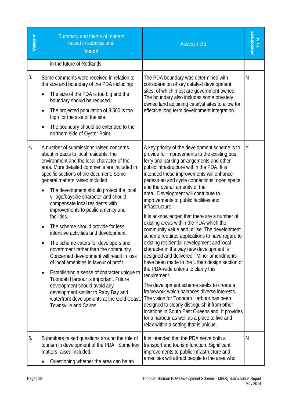| Matter $#$ | Summary and merits of matters<br>raised in submissions:<br><b>Vision</b>                                                                                                                                                                                                                                                                                                                                                                                                                                                                                                                                                                                                                                                                                                                                                                                                                                                                                       | <b>Assessment</b>                                                                                                                                                                                                                                                                                                                                                                                                                                                                                                                                                                                                                                                                                                                                                                                                                                                                                                                                                                                                                                                                                                                                                                                             | Amendment<br>Y/N |
|------------|----------------------------------------------------------------------------------------------------------------------------------------------------------------------------------------------------------------------------------------------------------------------------------------------------------------------------------------------------------------------------------------------------------------------------------------------------------------------------------------------------------------------------------------------------------------------------------------------------------------------------------------------------------------------------------------------------------------------------------------------------------------------------------------------------------------------------------------------------------------------------------------------------------------------------------------------------------------|---------------------------------------------------------------------------------------------------------------------------------------------------------------------------------------------------------------------------------------------------------------------------------------------------------------------------------------------------------------------------------------------------------------------------------------------------------------------------------------------------------------------------------------------------------------------------------------------------------------------------------------------------------------------------------------------------------------------------------------------------------------------------------------------------------------------------------------------------------------------------------------------------------------------------------------------------------------------------------------------------------------------------------------------------------------------------------------------------------------------------------------------------------------------------------------------------------------|------------------|
|            | in the future of Redlands.                                                                                                                                                                                                                                                                                                                                                                                                                                                                                                                                                                                                                                                                                                                                                                                                                                                                                                                                     |                                                                                                                                                                                                                                                                                                                                                                                                                                                                                                                                                                                                                                                                                                                                                                                                                                                                                                                                                                                                                                                                                                                                                                                                               |                  |
| 3.         | Some comments were received in relation to<br>the size and boundary of the PDA including:<br>The size of the PDA is too big and the<br>$\bullet$<br>boundary should be reduced.<br>The projected population of 3,500 is too<br>$\bullet$<br>high for the size of the site.<br>The boundary should be extended to the<br>$\bullet$<br>northern side of Oyster Point.                                                                                                                                                                                                                                                                                                                                                                                                                                                                                                                                                                                            | The PDA boundary was determined with<br>consideration of key catalyst development<br>sites, of which most are government owned.<br>The boundary also includes some privately<br>owned land adjoining catalyst sites to allow for<br>effective long term development integration.                                                                                                                                                                                                                                                                                                                                                                                                                                                                                                                                                                                                                                                                                                                                                                                                                                                                                                                              | N                |
| 4.         | A number of submissions raised concerns<br>about impacts to local residents, the<br>environment and the local character of the<br>area. More detailed comments are included in<br>specific sections of the document. Some<br>general matters raised included:<br>The development should protect the local<br>$\bullet$<br>village/bayside character and should<br>compensate local residents with<br>improvements to public amenity and<br>facilities.<br>The scheme should provide for less<br>٠<br>intensive activities and development.<br>The scheme caters for developers and<br>government rather than the community.<br>Concerned development will result in loss<br>of local amenities in favour of profit.<br>Establishing a sense of character unique to<br>٠<br>Toondah Harbour is important. Future<br>development should avoid any<br>development similar to Raby Bay and<br>waterfront developments at the Gold Coast,<br>Townsville and Cairns. | A key priority of the development scheme is to<br>provide for improvements to the existing bus,<br>ferry and parking arrangements and other<br>public infrastructure within the PDA. It is<br>intended these improvements will enhance<br>pedestrian and cycle connections, open space<br>and the overall amenity of the<br>area. Development will contribute to<br>improvements to public facilities and<br>infrastructure.<br>It is acknowledged that there are a number of<br>existing areas within the PDA which the<br>community value and utilise. The development<br>scheme requires applications to have regard to<br>existing residential development and local<br>character in the way new development is<br>designed and delivered. Minor amendments<br>have been made to the Urban design section of<br>the PDA-wide criteria to clarify this<br>requirement.<br>The development scheme seeks to create a<br>framework which balances diverse interests.<br>The vision for Toondah Harbour has been<br>designed to clearly distinguish it from other<br>locations in South East Queensland. It provides<br>for a harbour as well as a place to live and<br>relax within a setting that is unique. | Υ                |
| 5.         | Submitters raised questions around the role of<br>tourism in development of the PDA. Some key<br>matters raised included:<br>Questioning whether the area can be an<br>٠                                                                                                                                                                                                                                                                                                                                                                                                                                                                                                                                                                                                                                                                                                                                                                                       | It is intended that the PDA serve both a<br>transport and tourism function. Significant<br>improvements to public infrastructure and<br>amenities will attract people to the area who                                                                                                                                                                                                                                                                                                                                                                                                                                                                                                                                                                                                                                                                                                                                                                                                                                                                                                                                                                                                                         | N                |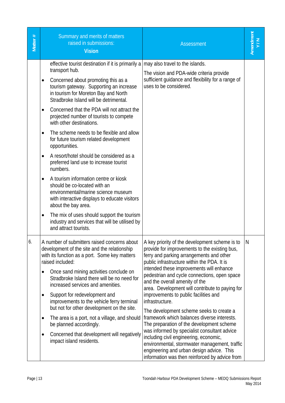| Matter # | Summary and merits of matters<br>raised in submissions:<br><b>Vision</b>                                                                                                                                                                                                                                                                                                                                                                                                                                                                                                                                                                | <b>Assessment</b>                                                                                                                                                                                                                                                                                                                                                                                                                                                                                                                                                                                                                                                                                                                                                                                                         | Amendment      |
|----------|-----------------------------------------------------------------------------------------------------------------------------------------------------------------------------------------------------------------------------------------------------------------------------------------------------------------------------------------------------------------------------------------------------------------------------------------------------------------------------------------------------------------------------------------------------------------------------------------------------------------------------------------|---------------------------------------------------------------------------------------------------------------------------------------------------------------------------------------------------------------------------------------------------------------------------------------------------------------------------------------------------------------------------------------------------------------------------------------------------------------------------------------------------------------------------------------------------------------------------------------------------------------------------------------------------------------------------------------------------------------------------------------------------------------------------------------------------------------------------|----------------|
|          | effective tourist destination if it is primarily a<br>transport hub.<br>Concerned about promoting this as a<br>٠<br>tourism gateway. Supporting an increase<br>in tourism for Moreton Bay and North<br>Stradbroke Island will be detrimental.<br>Concerned that the PDA will not attract the<br>$\bullet$<br>projected number of tourists to compete<br>with other destinations.<br>The scheme needs to be flexible and allow<br>$\bullet$<br>for future tourism related development<br>opportunities.<br>A resort/hotel should be considered as a<br>$\bullet$                                                                         | may also travel to the islands.<br>The vision and PDA-wide criteria provide<br>sufficient guidance and flexibility for a range of<br>uses to be considered.                                                                                                                                                                                                                                                                                                                                                                                                                                                                                                                                                                                                                                                               |                |
|          | preferred land use to increase tourist<br>numbers.<br>A tourism information centre or kiosk<br>$\bullet$<br>should be co-located with an<br>environmental/marine science museum<br>with interactive displays to educate visitors<br>about the bay area.<br>The mix of uses should support the tourism<br>٠<br>industry and services that will be utilised by<br>and attract tourists.                                                                                                                                                                                                                                                   |                                                                                                                                                                                                                                                                                                                                                                                                                                                                                                                                                                                                                                                                                                                                                                                                                           |                |
| 6.       | A number of submitters raised concerns about<br>development of the site and the relationship<br>with its function as a port. Some key matters<br>raised included:<br>Once sand mining activities conclude on<br>$\bullet$<br>Stradbroke Island there will be no need for<br>increased services and amenities.<br>Support for redevelopment and<br>$\bullet$<br>improvements to the vehicle ferry terminal<br>but not for other development on the site.<br>The area is a port, not a village, and should<br>$\bullet$<br>be planned accordingly.<br>Concerned that development will negatively<br>$\bullet$<br>impact island residents. | A key priority of the development scheme is to<br>provide for improvements to the existing bus,<br>ferry and parking arrangements and other<br>public infrastructure within the PDA. It is<br>intended these improvements will enhance<br>pedestrian and cycle connections, open space<br>and the overall amenity of the<br>area. Development will contribute to paying for<br>improvements to public facilities and<br>infrastructure.<br>The development scheme seeks to create a<br>framework which balances diverse interests.<br>The preparation of the development scheme<br>was informed by specialist consultant advice<br>including civil engineering, economic,<br>environmental, stormwater management, traffic<br>engineering and urban design advice. This<br>information was then reinforced by advice from | $\overline{N}$ |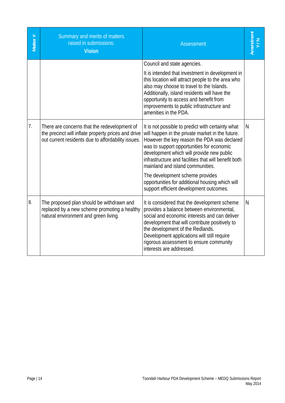| Matter# | Summary and merits of matters<br>raised in submissions:<br><b>Vision</b>                                                                                  | <b>Assessment</b>                                                                                                                                                                                                                                                                                                                                                                                                                                                           | Amendment<br>Y/N |
|---------|-----------------------------------------------------------------------------------------------------------------------------------------------------------|-----------------------------------------------------------------------------------------------------------------------------------------------------------------------------------------------------------------------------------------------------------------------------------------------------------------------------------------------------------------------------------------------------------------------------------------------------------------------------|------------------|
|         |                                                                                                                                                           | Council and state agencies.<br>It is intended that investment in development in<br>this location will attract people to the area who<br>also may choose to travel to the Islands.<br>Additionally, island residents will have the<br>opportunity to access and benefit from<br>improvements to public infrastructure and<br>amenities in the PDA.                                                                                                                           |                  |
| 7.      | There are concerns that the redevelopment of<br>the precinct will inflate property prices and drive<br>out current residents due to affordability issues. | It is not possible to predict with certainty what<br>will happen in the private market in the future.<br>However the key reason the PDA was declared<br>was to support opportunities for economic<br>development which will provide new public<br>infrastructure and facilities that will benefit both<br>mainland and island communities.<br>The development scheme provides<br>opportunities for additional housing which will<br>support efficient development outcomes. | N.               |
| 8.      | The proposed plan should be withdrawn and<br>replaced by a new scheme promoting a healthy<br>natural environment and green living.                        | It is considered that the development scheme<br>provides a balance between environmental,<br>social and economic interests and can deliver<br>development that will contribute positively to<br>the development of the Redlands.<br>Development applications will still require<br>rigorous assessment to ensure community<br>interests are addressed.                                                                                                                      | N                |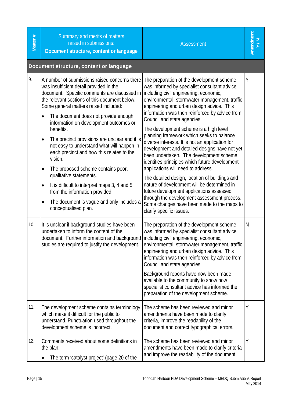| Matter # | Summary and merits of matters<br>raised in submissions:<br>Document structure, content or language                                                                                                                                                                                                                                                                                                                                                                                                                                                                                                                                                                                                                                         | <b>Assessment</b>                                                                                                                                                                                                                                                                                                                                                                                                                                                                                                                                                                                                                                                                                                                                                                                                                                                                                                      | Amendment<br>Y/N |
|----------|--------------------------------------------------------------------------------------------------------------------------------------------------------------------------------------------------------------------------------------------------------------------------------------------------------------------------------------------------------------------------------------------------------------------------------------------------------------------------------------------------------------------------------------------------------------------------------------------------------------------------------------------------------------------------------------------------------------------------------------------|------------------------------------------------------------------------------------------------------------------------------------------------------------------------------------------------------------------------------------------------------------------------------------------------------------------------------------------------------------------------------------------------------------------------------------------------------------------------------------------------------------------------------------------------------------------------------------------------------------------------------------------------------------------------------------------------------------------------------------------------------------------------------------------------------------------------------------------------------------------------------------------------------------------------|------------------|
|          | Document structure, content or language                                                                                                                                                                                                                                                                                                                                                                                                                                                                                                                                                                                                                                                                                                    |                                                                                                                                                                                                                                                                                                                                                                                                                                                                                                                                                                                                                                                                                                                                                                                                                                                                                                                        |                  |
| 9.       | A number of submissions raised concerns there<br>was insufficient detail provided in the<br>document. Specific comments are discussed in<br>the relevant sections of this document below.<br>Some general matters raised included:<br>The document does not provide enough<br>$\bullet$<br>information on development outcomes or<br>benefits.<br>The precinct provisions are unclear and it is<br>not easy to understand what will happen in<br>each precinct and how this relates to the<br>vision.<br>The proposed scheme contains poor,<br>qualitative statements.<br>It is difficult to interpret maps 3, 4 and 5<br>$\bullet$<br>from the information provided.<br>The document is vague and only includes a<br>conceptualised plan. | The preparation of the development scheme<br>was informed by specialist consultant advice<br>including civil engineering, economic,<br>environmental, stormwater management, traffic<br>engineering and urban design advice. This<br>information was then reinforced by advice from<br>Council and state agencies.<br>The development scheme is a high level<br>planning framework which seeks to balance<br>diverse interests. It is not an application for<br>development and detailed designs have not yet<br>been undertaken. The development scheme<br>identifies principles which future development<br>applications will need to address.<br>The detailed design, location of buildings and<br>nature of development will be determined in<br>future development applications assessed<br>through the development assessment process.<br>Some changes have been made to the maps to<br>clarify specific issues. | Υ                |
| 10.      | It is unclear if background studies have been<br>undertaken to inform the content of the<br>document. Further information and background<br>studies are required to justify the development.                                                                                                                                                                                                                                                                                                                                                                                                                                                                                                                                               | The preparation of the development scheme<br>was informed by specialist consultant advice<br>including civil engineering, economic,<br>environmental, stormwater management, traffic<br>engineering and urban design advice. This<br>information was then reinforced by advice from<br>Council and state agencies.<br>Background reports have now been made<br>available to the community to show how<br>specialist consultant advice has informed the<br>preparation of the development scheme.                                                                                                                                                                                                                                                                                                                                                                                                                       | N                |
| 11.      | The development scheme contains terminology<br>which make it difficult for the public to<br>understand. Punctuation used throughout the<br>development scheme is incorrect.                                                                                                                                                                                                                                                                                                                                                                                                                                                                                                                                                                | The scheme has been reviewed and minor<br>amendments have been made to clarify<br>criteria, improve the readability of the<br>document and correct typographical errors.                                                                                                                                                                                                                                                                                                                                                                                                                                                                                                                                                                                                                                                                                                                                               | Υ                |
| 12.      | Comments received about some definitions in<br>the plan:<br>The term 'catalyst project' (page 20 of the                                                                                                                                                                                                                                                                                                                                                                                                                                                                                                                                                                                                                                    | The scheme has been reviewed and minor<br>amendments have been made to clarify criteria<br>and improve the readability of the document.                                                                                                                                                                                                                                                                                                                                                                                                                                                                                                                                                                                                                                                                                                                                                                                | Υ                |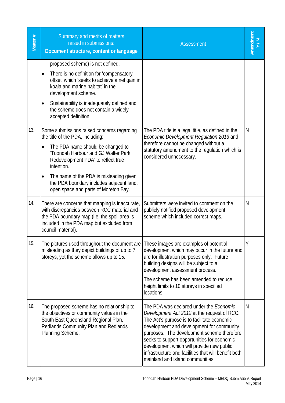| Matter # | Summary and merits of matters<br>raised in submissions:<br>Document structure, content or language                                                                                                                                                                                                                                            | <b>Assessment</b>                                                                                                                                                                                                                                                                                                                                                                                                               | Amendment<br>Y/N |
|----------|-----------------------------------------------------------------------------------------------------------------------------------------------------------------------------------------------------------------------------------------------------------------------------------------------------------------------------------------------|---------------------------------------------------------------------------------------------------------------------------------------------------------------------------------------------------------------------------------------------------------------------------------------------------------------------------------------------------------------------------------------------------------------------------------|------------------|
|          | proposed scheme) is not defined.<br>There is no definition for 'compensatory<br>offset' which 'seeks to achieve a net gain in<br>koala and marine habitat' in the<br>development scheme.<br>Sustainability is inadequately defined and<br>٠<br>the scheme does not contain a widely<br>accepted definition.                                   |                                                                                                                                                                                                                                                                                                                                                                                                                                 |                  |
| 13.      | Some submissions raised concerns regarding<br>the title of the PDA, including:<br>The PDA name should be changed to<br>'Toondah Harbour and GJ Walter Park<br>Redevelopment PDA' to reflect true<br>intention.<br>The name of the PDA is misleading given<br>the PDA boundary includes adjacent land,<br>open space and parts of Moreton Bay. | The PDA title is a legal title, as defined in the<br>Economic Development Regulation 2013 and<br>therefore cannot be changed without a<br>statutory amendment to the regulation which is<br>considered unnecessary.                                                                                                                                                                                                             | N                |
| 14.      | There are concerns that mapping is inaccurate,<br>with discrepancies between RCC material and<br>the PDA boundary map (i.e. the spoil area is<br>included in the PDA map but excluded from<br>council material).                                                                                                                              | Submitters were invited to comment on the<br>publicly notified proposed development<br>scheme which included correct maps.                                                                                                                                                                                                                                                                                                      | N                |
| 15.      | The pictures used throughout the document are<br>misleading as they depict buildings of up to 7<br>storeys, yet the scheme allows up to 15.                                                                                                                                                                                                   | These images are examples of potential<br>development which may occur in the future and<br>are for illustration purposes only. Future<br>building designs will be subject to a<br>development assessment process.<br>The scheme has been amended to reduce<br>height limits to 10 storeys in specified<br>locations.                                                                                                            | Y                |
| 16.      | The proposed scheme has no relationship to<br>the objectives or community values in the<br>South East Queensland Regional Plan,<br>Redlands Community Plan and Redlands<br>Planning Scheme.                                                                                                                                                   | The PDA was declared under the <i>Economic</i><br>Development Act 2012 at the request of RCC.<br>The Act's purpose is to facilitate economic<br>development and development for community<br>purposes. The development scheme therefore<br>seeks to support opportunities for economic<br>development which will provide new public<br>infrastructure and facilities that will benefit both<br>mainland and island communities. | N                |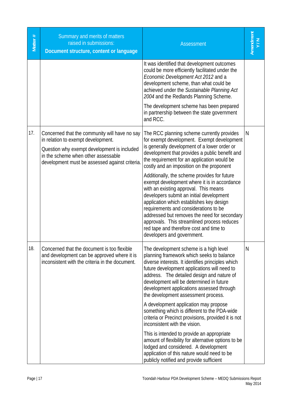| Matter# | Summary and merits of matters<br>raised in submissions:<br>Document structure, content or language                                                                                                                          | <b>Assessment</b>                                                                                                                                                                                                                                                                                                                                                                                                                                                                                                                                                                                                                                                                                                                        |   |
|---------|-----------------------------------------------------------------------------------------------------------------------------------------------------------------------------------------------------------------------------|------------------------------------------------------------------------------------------------------------------------------------------------------------------------------------------------------------------------------------------------------------------------------------------------------------------------------------------------------------------------------------------------------------------------------------------------------------------------------------------------------------------------------------------------------------------------------------------------------------------------------------------------------------------------------------------------------------------------------------------|---|
|         |                                                                                                                                                                                                                             | It was identified that development outcomes<br>could be more efficiently facilitated under the<br>Economic Development Act 2012 and a<br>development scheme, than what could be<br>achieved under the Sustainable Planning Act<br>2004 and the Redlands Planning Scheme.                                                                                                                                                                                                                                                                                                                                                                                                                                                                 |   |
|         |                                                                                                                                                                                                                             | The development scheme has been prepared<br>in partnership between the state government<br>and RCC.                                                                                                                                                                                                                                                                                                                                                                                                                                                                                                                                                                                                                                      |   |
| 17.     | Concerned that the community will have no say<br>in relation to exempt development.<br>Question why exempt development is included<br>in the scheme when other assessable<br>development must be assessed against criteria. | The RCC planning scheme currently provides<br>for exempt development. Exempt development<br>is generally development of a lower order or<br>development that provides a public benefit and<br>the requirement for an application would be<br>costly and an imposition on the proponent<br>Additionally, the scheme provides for future<br>exempt development where it is in accordance<br>with an existing approval. This means<br>developers submit an initial development<br>application which establishes key design<br>requirements and considerations to be<br>addressed but removes the need for secondary<br>approvals. This streamlined process reduces<br>red tape and therefore cost and time to<br>developers and government. | N |
| 18.     | Concerned that the document is too flexible<br>and development can be approved where it is<br>inconsistent with the criteria in the document.                                                                               | The development scheme is a high level<br>planning framework which seeks to balance<br>diverse interests. It identifies principles which<br>future development applications will need to<br>address. The detailed design and nature of<br>development will be determined in future<br>development applications assessed through<br>the development assessment process.<br>A development application may propose<br>something which is different to the PDA-wide<br>criteria or Precinct provisions, provided it is not<br>inconsistent with the vision.                                                                                                                                                                                  | N |
|         |                                                                                                                                                                                                                             | This is intended to provide an appropriate<br>amount of flexibility for alternative options to be<br>lodged and considered. A development<br>application of this nature would need to be<br>publicly notified and provide sufficient                                                                                                                                                                                                                                                                                                                                                                                                                                                                                                     |   |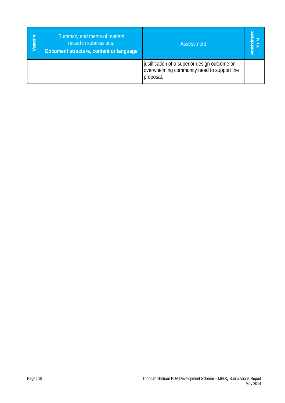| #<br><b>Matter</b> | Summary and merits of matters<br>raised in submissions:<br>Document structure, content or language | Assessment                                                                                               |  |
|--------------------|----------------------------------------------------------------------------------------------------|----------------------------------------------------------------------------------------------------------|--|
|                    |                                                                                                    | justification of a superior design outcome or<br>overwhelming community need to support the<br>proposal. |  |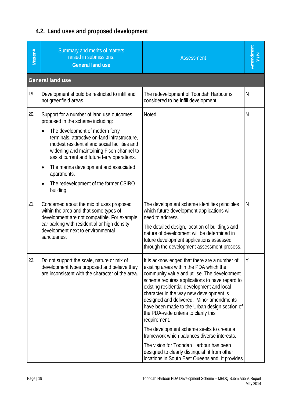# **4.2. Land uses and proposed development**

| Matter # | Summary and merits of matters<br>raised in submissions.<br><b>General land use</b>                                                                                                                                                      | <b>Assessment</b>                                                                                                                                                                                                                                                                                                                                                                                                                         | Amendment<br>Y/N |
|----------|-----------------------------------------------------------------------------------------------------------------------------------------------------------------------------------------------------------------------------------------|-------------------------------------------------------------------------------------------------------------------------------------------------------------------------------------------------------------------------------------------------------------------------------------------------------------------------------------------------------------------------------------------------------------------------------------------|------------------|
|          | <b>General land use</b>                                                                                                                                                                                                                 |                                                                                                                                                                                                                                                                                                                                                                                                                                           |                  |
| 19.      | Development should be restricted to infill and<br>not greenfield areas.                                                                                                                                                                 | The redevelopment of Toondah Harbour is<br>considered to be infill development.                                                                                                                                                                                                                                                                                                                                                           | N                |
| 20.      | Support for a number of land use outcomes<br>proposed in the scheme including:<br>The development of modern ferry<br>$\bullet$                                                                                                          | Noted.                                                                                                                                                                                                                                                                                                                                                                                                                                    | N                |
|          | terminals, attractive on-land infrastructure,<br>modest residential and social facilities and<br>widening and maintaining Fison channel to<br>assist current and future ferry operations.                                               |                                                                                                                                                                                                                                                                                                                                                                                                                                           |                  |
|          | The marina development and associated<br>$\bullet$<br>apartments.                                                                                                                                                                       |                                                                                                                                                                                                                                                                                                                                                                                                                                           |                  |
|          | The redevelopment of the former CSIRO<br>$\bullet$<br>building.                                                                                                                                                                         |                                                                                                                                                                                                                                                                                                                                                                                                                                           |                  |
| 21.      | Concerned about the mix of uses proposed<br>within the area and that some types of<br>development are not compatible. For example,<br>car parking with residential or high density<br>development next to environmental<br>sanctuaries. | The development scheme identifies principles<br>which future development applications will<br>need to address.<br>The detailed design, location of buildings and<br>nature of development will be determined in<br>future development applications assessed<br>through the development assessment process.                                                                                                                                | N                |
| 22.      | Do not support the scale, nature or mix of<br>development types proposed and believe they<br>are inconsistent with the character of the area.                                                                                           | It is acknowledged that there are a number of<br>existing areas within the PDA which the<br>community value and utilise. The development<br>scheme requires applications to have regard to<br>existing residential development and local<br>character in the way new development is<br>designed and delivered. Minor amendments<br>have been made to the Urban design section of<br>the PDA-wide criteria to clarify this<br>requirement. | Υ                |
|          |                                                                                                                                                                                                                                         | The development scheme seeks to create a<br>framework which balances diverse interests.                                                                                                                                                                                                                                                                                                                                                   |                  |
|          |                                                                                                                                                                                                                                         | The vision for Toondah Harbour has been<br>designed to clearly distinguish it from other<br>locations in South East Queensland. It provides                                                                                                                                                                                                                                                                                               |                  |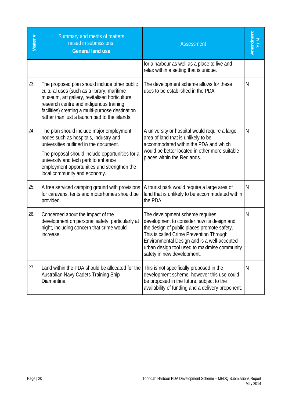| Matter # | Summary and merits of matters<br>raised in submissions.<br><b>General land use</b>                                                                                                                                                                                                                   | <b>Assessment</b>                                                                                                                                                                                                                                                                                    | Amendment<br>Y/N |
|----------|------------------------------------------------------------------------------------------------------------------------------------------------------------------------------------------------------------------------------------------------------------------------------------------------------|------------------------------------------------------------------------------------------------------------------------------------------------------------------------------------------------------------------------------------------------------------------------------------------------------|------------------|
|          |                                                                                                                                                                                                                                                                                                      | for a harbour as well as a place to live and<br>relax within a setting that is unique.                                                                                                                                                                                                               |                  |
| 23.      | The proposed plan should include other public<br>cultural uses (such as a library, maritime<br>museum, art gallery, revitalised horticulture<br>research centre and indigenous training<br>facilities) creating a multi-purpose destination<br>rather than just a launch pad to the islands.         | The development scheme allows for these<br>uses to be established in the PDA                                                                                                                                                                                                                         | N                |
| 24.      | The plan should include major employment<br>nodes such as hospitals, industry and<br>universities outlined in the document.<br>The proposal should include opportunities for a<br>university and tech park to enhance<br>employment opportunities and strengthen the<br>local community and economy. | A university or hospital would require a large<br>area of land that is unlikely to be<br>accommodated within the PDA and which<br>would be better located in other more suitable<br>places within the Redlands.                                                                                      | N                |
| 25.      | A free serviced camping ground with provisions<br>for caravans, tents and motorhomes should be<br>provided.                                                                                                                                                                                          | A tourist park would require a large area of<br>land that is unlikely to be accommodated within<br>the PDA.                                                                                                                                                                                          | N                |
| 26.      | Concerned about the impact of the<br>development on personal safety, particularly at<br>night, including concern that crime would<br>increase.                                                                                                                                                       | The development scheme requires<br>development to consider how its design and<br>the design of public places promote safety.<br>This is called Crime Prevention Through<br>Environmental Design and is a well-accepted<br>urban design tool used to maximise community<br>safety in new development. | N                |
| 27.      | Land within the PDA should be allocated for the<br>Australian Navy Cadets Training Ship<br>Diamantina.                                                                                                                                                                                               | This is not specifically proposed in the<br>development scheme, however this use could<br>be proposed in the future, subject to the<br>availability of funding and a delivery proponent.                                                                                                             | N                |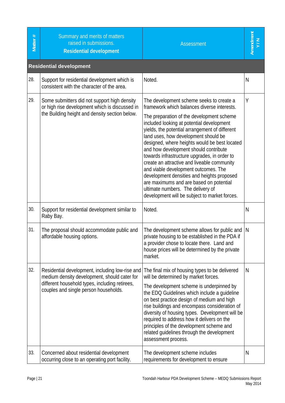| Matter # | Summary and merits of matters<br>raised in submissions.<br><b>Residential development</b>                                                                                                  | <b>Assessment</b>                                                                                                                                                                                                                                                                                                                                                                                                                                                                                                                                                                                                                                                                           | Amendment<br>Y/N |
|----------|--------------------------------------------------------------------------------------------------------------------------------------------------------------------------------------------|---------------------------------------------------------------------------------------------------------------------------------------------------------------------------------------------------------------------------------------------------------------------------------------------------------------------------------------------------------------------------------------------------------------------------------------------------------------------------------------------------------------------------------------------------------------------------------------------------------------------------------------------------------------------------------------------|------------------|
|          | <b>Residential development</b>                                                                                                                                                             |                                                                                                                                                                                                                                                                                                                                                                                                                                                                                                                                                                                                                                                                                             |                  |
| 28.      | Support for residential development which is<br>consistent with the character of the area.                                                                                                 | Noted.                                                                                                                                                                                                                                                                                                                                                                                                                                                                                                                                                                                                                                                                                      | $\mathsf{N}$     |
| 29.      | Some submitters did not support high density<br>or high rise development which is discussed in<br>the Building height and density section below.                                           | The development scheme seeks to create a<br>framework which balances diverse interests.<br>The preparation of the development scheme<br>included looking at potential development<br>yields, the potential arrangement of different<br>land uses, how development should be<br>designed, where heights would be best located<br>and how development should contribute<br>towards infrastructure upgrades, in order to<br>create an attractive and liveable community<br>and viable development outcomes. The<br>development densities and heights proposed<br>are maximums and are based on potential<br>ultimate numbers. The delivery of<br>development will be subject to market forces. | Y                |
| 30.      | Support for residential development similar to<br>Raby Bay.                                                                                                                                | Noted.                                                                                                                                                                                                                                                                                                                                                                                                                                                                                                                                                                                                                                                                                      | $\mathsf{N}$     |
| 31.      | The proposal should accommodate public and<br>affordable housing options.                                                                                                                  | The development scheme allows for public and $ N $<br>private housing to be established in the PDA if<br>a provider chose to locate there. Land and<br>house prices will be determined by the private<br>market.                                                                                                                                                                                                                                                                                                                                                                                                                                                                            |                  |
| 32.      | Residential development, including low-rise and<br>medium density development, should cater for<br>different household types, including retirees,<br>couples and single person households. | The final mix of housing types to be delivered<br>will be determined by market forces.<br>The development scheme is underpinned by<br>the EDQ Guidelines which include a quideline<br>on best practice design of medium and high<br>rise buildings and encompass consideration of<br>diversity of housing types. Development will be<br>required to address how it delivers on the<br>principles of the development scheme and<br>related guidelines through the development<br>assessment process.                                                                                                                                                                                         | N                |
| 33.      | Concerned about residential development<br>occurring close to an operating port facility.                                                                                                  | The development scheme includes<br>requirements for development to ensure                                                                                                                                                                                                                                                                                                                                                                                                                                                                                                                                                                                                                   | N                |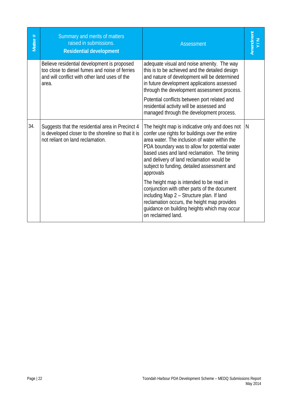| Matter# | Summary and merits of matters<br>raised in submissions.<br><b>Residential development</b>                                                               | <b>Assessment</b>                                                                                                                                                                                                                                                                                                                                                                                                                                                                                                                                                                                                         | Amendment<br>Y/N |
|---------|---------------------------------------------------------------------------------------------------------------------------------------------------------|---------------------------------------------------------------------------------------------------------------------------------------------------------------------------------------------------------------------------------------------------------------------------------------------------------------------------------------------------------------------------------------------------------------------------------------------------------------------------------------------------------------------------------------------------------------------------------------------------------------------------|------------------|
|         | Believe residential development is proposed<br>too close to diesel fumes and noise of ferries<br>and will conflict with other land uses of the<br>area. | adequate visual and noise amenity. The way<br>this is to be achieved and the detailed design<br>and nature of development will be determined<br>in future development applications assessed<br>through the development assessment process.<br>Potential conflicts between port related and<br>residential activity will be assessed and<br>managed through the development process.                                                                                                                                                                                                                                       |                  |
| 34.     | Suggests that the residential area in Precinct 4<br>is developed closer to the shoreline so that it is<br>not reliant on land reclamation.              | The height map is indicative only and does not<br>confer use rights for buildings over the entire<br>area water. The inclusion of water within the<br>PDA boundary was to allow for potential water<br>based uses and land reclamation. The timing<br>and delivery of land reclamation would be<br>subject to funding, detailed assessment and<br>approvals<br>The height map is intended to be read in<br>conjunction with other parts of the document<br>including Map 2 - Structure plan. If land<br>reclamation occurs, the height map provides<br>guidance on building heights which may occur<br>on reclaimed land. | N                |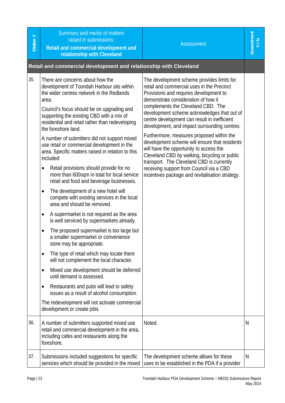| Matter #   | Summary and merits of matters<br>raised in submissions:<br>Retail and commercial development and<br>relationship with Cleveland                                                                                                                                                                                                                                                                                                                                                                                                                                                                                                                                                                                                                                                                                                                                                                                                                                                                                                                                                                                                                                                                                                                                                                                                                                                                                                 | <b>Assessment</b>                                                                                                                                                                                                                                                                                                                                                                                                                                                                                                                                                                                                                                                                                              | Amendment<br>Y/N |
|------------|---------------------------------------------------------------------------------------------------------------------------------------------------------------------------------------------------------------------------------------------------------------------------------------------------------------------------------------------------------------------------------------------------------------------------------------------------------------------------------------------------------------------------------------------------------------------------------------------------------------------------------------------------------------------------------------------------------------------------------------------------------------------------------------------------------------------------------------------------------------------------------------------------------------------------------------------------------------------------------------------------------------------------------------------------------------------------------------------------------------------------------------------------------------------------------------------------------------------------------------------------------------------------------------------------------------------------------------------------------------------------------------------------------------------------------|----------------------------------------------------------------------------------------------------------------------------------------------------------------------------------------------------------------------------------------------------------------------------------------------------------------------------------------------------------------------------------------------------------------------------------------------------------------------------------------------------------------------------------------------------------------------------------------------------------------------------------------------------------------------------------------------------------------|------------------|
|            | Retail and commercial development and relationship with Cleveland                                                                                                                                                                                                                                                                                                                                                                                                                                                                                                                                                                                                                                                                                                                                                                                                                                                                                                                                                                                                                                                                                                                                                                                                                                                                                                                                                               |                                                                                                                                                                                                                                                                                                                                                                                                                                                                                                                                                                                                                                                                                                                |                  |
| 35.<br>36. | There are concerns about how the<br>development of Toondah Harbour sits within<br>the wider centres network in the Redlands<br>area.<br>Council's focus should be on upgrading and<br>supporting the existing CBD with a mix of<br>residential and retail rather than redeveloping<br>the foreshore land.<br>A number of submitters did not support mixed<br>use retail or commercial development in the<br>area. Specific matters raised in relation to this<br>included:<br>Retail provisions should provide for no<br>$\bullet$<br>more than 600sqm in total for local service<br>retail and food and beverage businesses.<br>The development of a new hotel will<br>$\bullet$<br>compete with existing services in the local<br>area and should be removed.<br>A supermarket is not required as the area<br>$\bullet$<br>is well serviced by supermarkets already.<br>The proposed supermarket is too large but<br>$\bullet$<br>a smaller supermarket or convenience<br>store may be appropriate.<br>The type of retail which may locate there<br>٠<br>will not complement the local character.<br>Mixed use development should be deferred<br>$\bullet$<br>until demand is assessed.<br>Restaurants and pubs will lead to safety<br>$\bullet$<br>issues as a result of alcohol consumption.<br>The redevelopment will not activate commercial<br>development or create jobs.<br>A number of submitters supported mixed use | The development scheme provides limits for<br>retail and commercial uses in the Precinct<br>Provisions and requires development to<br>demonstrate consideration of how it<br>complements the Cleveland CBD. The<br>development scheme acknowledges that out of<br>centre development can result in inefficient<br>development, and impact surrounding centres.<br>Furthermore, measures proposed within the<br>development scheme will ensure that residents<br>will have the opportunity to access the<br>Cleveland CBD by walking, bicycling or public<br>transport. The Cleveland CBD is currently<br>receiving support from Council via a CBD<br>incentives package and revitalisation strategy.<br>Noted. | N                |
|            | retail and commercial development in the area,<br>including cafes and restaurants along the<br>foreshore.                                                                                                                                                                                                                                                                                                                                                                                                                                                                                                                                                                                                                                                                                                                                                                                                                                                                                                                                                                                                                                                                                                                                                                                                                                                                                                                       |                                                                                                                                                                                                                                                                                                                                                                                                                                                                                                                                                                                                                                                                                                                |                  |
| 37.        | Submissions included suggestions for specific<br>services which should be provided in the mixed                                                                                                                                                                                                                                                                                                                                                                                                                                                                                                                                                                                                                                                                                                                                                                                                                                                                                                                                                                                                                                                                                                                                                                                                                                                                                                                                 | The development scheme allows for these<br>uses to be established in the PDA if a provider                                                                                                                                                                                                                                                                                                                                                                                                                                                                                                                                                                                                                     | N                |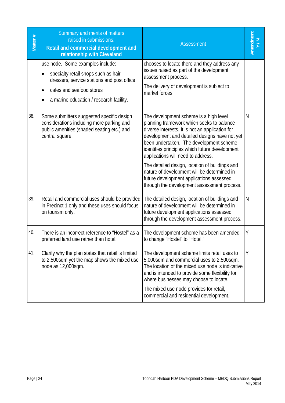| Matter# | Summary and merits of matters<br>raised in submissions:<br>Retail and commercial development and<br>relationship with Cleveland                                                                           | <b>Assessment</b>                                                                                                                                                                                                                                                                                                                                                                                                                                                                                                      | Amendment<br>Y/N |
|---------|-----------------------------------------------------------------------------------------------------------------------------------------------------------------------------------------------------------|------------------------------------------------------------------------------------------------------------------------------------------------------------------------------------------------------------------------------------------------------------------------------------------------------------------------------------------------------------------------------------------------------------------------------------------------------------------------------------------------------------------------|------------------|
|         | use node. Some examples include:<br>specialty retail shops such as hair<br>dressers, service stations and post office<br>cafes and seafood stores<br>$\bullet$<br>a marine education / research facility. | chooses to locate there and they address any<br>issues raised as part of the development<br>assessment process.<br>The delivery of development is subject to<br>market forces.                                                                                                                                                                                                                                                                                                                                         |                  |
| 38.     | Some submitters suggested specific design<br>considerations including more parking and<br>public amenities (shaded seating etc.) and<br>central square.                                                   | The development scheme is a high level<br>planning framework which seeks to balance<br>diverse interests. It is not an application for<br>development and detailed designs have not yet<br>been undertaken. The development scheme<br>identifies principles which future development<br>applications will need to address.<br>The detailed design, location of buildings and<br>nature of development will be determined in<br>future development applications assessed<br>through the development assessment process. | N                |
| 39.     | Retail and commercial uses should be provided<br>in Precinct 1 only and these uses should focus<br>on tourism only.                                                                                       | The detailed design, location of buildings and<br>nature of development will be determined in<br>future development applications assessed<br>through the development assessment process.                                                                                                                                                                                                                                                                                                                               | N                |
| 40.     | There is an incorrect reference to "Hostel" as a<br>preferred land use rather than hotel.                                                                                                                 | The development scheme has been amended<br>to change "Hostel" to "Hotel."                                                                                                                                                                                                                                                                                                                                                                                                                                              | Υ                |
| 41.     | Clarify why the plan states that retail is limited<br>to 2,500sqm yet the map shows the mixed use<br>node as 12,000sqm.                                                                                   | The development scheme limits retail uses to<br>5,000sqm and commercial uses to 2,500sqm.<br>The location of the mixed use node is indicative<br>and is intended to provide some flexibility for<br>where businesses may choose to locate.<br>The mixed use node provides for retail,<br>commercial and residential development.                                                                                                                                                                                       | Υ                |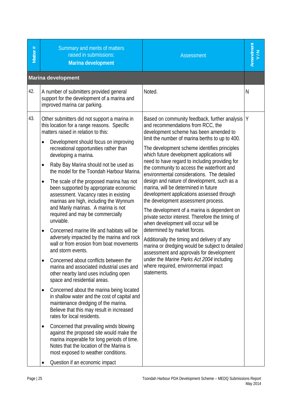| Matter # | Summary and merits of matters<br>raised in submissions:<br>Marina development                                                                                                                                                                                                                                                                                                                                                                                                                                                                                                                                                                                                                                                                                                                                                                                                                                                                                                                                                                                                                                                                                                                                                                                                                                                                                                                                                                                                         | <b>Assessment</b>                                                                                                                                                                                                                                                                                                                                                                                                                                                                                                                                                                                                                                                                                                                                                                                                                                                                                                                                                                                                                      | Amendment<br>Y/N |
|----------|---------------------------------------------------------------------------------------------------------------------------------------------------------------------------------------------------------------------------------------------------------------------------------------------------------------------------------------------------------------------------------------------------------------------------------------------------------------------------------------------------------------------------------------------------------------------------------------------------------------------------------------------------------------------------------------------------------------------------------------------------------------------------------------------------------------------------------------------------------------------------------------------------------------------------------------------------------------------------------------------------------------------------------------------------------------------------------------------------------------------------------------------------------------------------------------------------------------------------------------------------------------------------------------------------------------------------------------------------------------------------------------------------------------------------------------------------------------------------------------|----------------------------------------------------------------------------------------------------------------------------------------------------------------------------------------------------------------------------------------------------------------------------------------------------------------------------------------------------------------------------------------------------------------------------------------------------------------------------------------------------------------------------------------------------------------------------------------------------------------------------------------------------------------------------------------------------------------------------------------------------------------------------------------------------------------------------------------------------------------------------------------------------------------------------------------------------------------------------------------------------------------------------------------|------------------|
|          | <b>Marina development</b>                                                                                                                                                                                                                                                                                                                                                                                                                                                                                                                                                                                                                                                                                                                                                                                                                                                                                                                                                                                                                                                                                                                                                                                                                                                                                                                                                                                                                                                             |                                                                                                                                                                                                                                                                                                                                                                                                                                                                                                                                                                                                                                                                                                                                                                                                                                                                                                                                                                                                                                        |                  |
| 42.      | A number of submitters provided general<br>support for the development of a marina and<br>improved marina car parking.                                                                                                                                                                                                                                                                                                                                                                                                                                                                                                                                                                                                                                                                                                                                                                                                                                                                                                                                                                                                                                                                                                                                                                                                                                                                                                                                                                | Noted.                                                                                                                                                                                                                                                                                                                                                                                                                                                                                                                                                                                                                                                                                                                                                                                                                                                                                                                                                                                                                                 | N                |
| 43.      | Other submitters did not support a marina in<br>this location for a range reasons. Specific<br>matters raised in relation to this:<br>Development should focus on improving<br>$\bullet$<br>recreational opportunities rather than<br>developing a marina.<br>Raby Bay Marina should not be used as<br>$\bullet$<br>the model for the Toondah Harbour Marina.<br>The scale of the proposed marina has not<br>$\bullet$<br>been supported by appropriate economic<br>assessment. Vacancy rates in existing<br>marinas are high, including the Wynnum<br>and Manly marinas. A marina is not<br>required and may be commercially<br>unviable.<br>Concerned marine life and habitats will be<br>$\bullet$<br>adversely impacted by the marina and rock<br>wall or from erosion from boat movements<br>and storm events.<br>Concerned about conflicts between the<br>$\bullet$<br>marina and associated industrial uses and<br>other nearby land uses including open<br>space and residential areas.<br>Concerned about the marina being located<br>$\bullet$<br>in shallow water and the cost of capital and<br>maintenance dredging of the marina.<br>Believe that this may result in increased<br>rates for local residents.<br>Concerned that prevailing winds blowing<br>against the proposed site would make the<br>marina inoperable for long periods of time.<br>Notes that the location of the Marina is<br>most exposed to weather conditions.<br>Question if an economic impact | Based on community feedback, further analysis   Y<br>and recommendations from RCC, the<br>development scheme has been amended to<br>limit the number of marina berths to up to 400.<br>The development scheme identifies principles<br>which future development applications will<br>need to have regard to including providing for<br>the community to access the waterfront and<br>environmental considerations. The detailed<br>design and nature of development, such as a<br>marina, will be determined in future<br>development applications assessed through<br>the development assessment process.<br>The development of a marina is dependent on<br>private sector interest. Therefore the timing of<br>when development will occur will be<br>determined by market forces.<br>Additionally the timing and delivery of any<br>marina or dredging would be subject to detailed<br>assessment and approvals for development<br>under the Marine Parks Act 2004 including<br>where required, environmental impact<br>statements. |                  |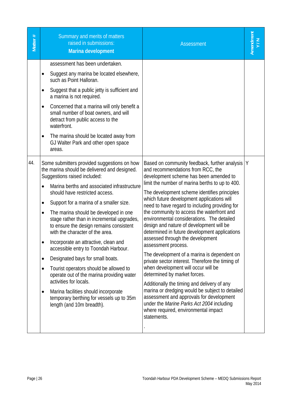| Matter# | Summary and merits of matters<br>raised in submissions:<br>Marina development                                                                                                                                                                                                                                                                                                                                                                                                                                                                                                                                                                                                                                                                                                                                                                                                                                                                                                                                                                                                                                                                                                                                                                                                                | <b>Assessment</b>                                                                                                                                                                                                                                                                                                                                                                                                                                                                                                                                                                                                                                                                                                                                                                                                                                                                                                                                                                                                   | Amendment<br>Y/N |
|---------|----------------------------------------------------------------------------------------------------------------------------------------------------------------------------------------------------------------------------------------------------------------------------------------------------------------------------------------------------------------------------------------------------------------------------------------------------------------------------------------------------------------------------------------------------------------------------------------------------------------------------------------------------------------------------------------------------------------------------------------------------------------------------------------------------------------------------------------------------------------------------------------------------------------------------------------------------------------------------------------------------------------------------------------------------------------------------------------------------------------------------------------------------------------------------------------------------------------------------------------------------------------------------------------------|---------------------------------------------------------------------------------------------------------------------------------------------------------------------------------------------------------------------------------------------------------------------------------------------------------------------------------------------------------------------------------------------------------------------------------------------------------------------------------------------------------------------------------------------------------------------------------------------------------------------------------------------------------------------------------------------------------------------------------------------------------------------------------------------------------------------------------------------------------------------------------------------------------------------------------------------------------------------------------------------------------------------|------------------|
| 44.     | assessment has been undertaken.<br>Suggest any marina be located elsewhere,<br>such as Point Halloran.<br>Suggest that a public jetty is sufficient and<br>a marina is not required.<br>Concerned that a marina will only benefit a<br>$\bullet$<br>small number of boat owners, and will<br>detract from public access to the<br>waterfront.<br>The marina should be located away from<br>GJ Walter Park and other open space<br>areas.<br>Some submitters provided suggestions on how<br>the marina should be delivered and designed.<br>Suggestions raised included:<br>Marina berths and associated infrastructure<br>$\bullet$<br>should have restricted access.<br>Support for a marina of a smaller size.<br>٠<br>The marina should be developed in one<br>$\bullet$<br>stage rather than in incremental upgrades,<br>to ensure the design remains consistent<br>with the character of the area.<br>Incorporate an attractive, clean and<br>accessible entry to Toondah Harbour.<br>Designated bays for small boats.<br>$\bullet$<br>Tourist operators should be allowed to<br>$\bullet$<br>operate out of the marina providing water<br>activities for locals.<br>Marina facilities should incorporate<br>٠<br>temporary berthing for vessels up to 35m<br>length (and 10m breadth). | Based on community feedback, further analysis   Y<br>and recommendations from RCC, the<br>development scheme has been amended to<br>limit the number of marina berths to up to 400.<br>The development scheme identifies principles<br>which future development applications will<br>need to have regard to including providing for<br>the community to access the waterfront and<br>environmental considerations. The detailed<br>design and nature of development will be<br>determined in future development applications<br>assessed through the development<br>assessment process.<br>The development of a marina is dependent on<br>private sector interest. Therefore the timing of<br>when development will occur will be<br>determined by market forces.<br>Additionally the timing and delivery of any<br>marina or dredging would be subject to detailed<br>assessment and approvals for development<br>under the Marine Parks Act 2004 including<br>where required, environmental impact<br>statements. |                  |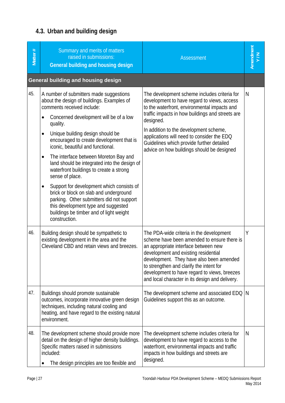# **4.3. Urban and building design**

| Matter # | Summary and merits of matters<br>raised in submissions:<br>General building and housing design                                                                                                                                                                                                                                                                                                                                                                                                                                                                                                                                                                                                                                           | <b>Assessment</b>                                                                                                                                                                                                                                                                                                                                                                               | Amendment<br>Y/N |
|----------|------------------------------------------------------------------------------------------------------------------------------------------------------------------------------------------------------------------------------------------------------------------------------------------------------------------------------------------------------------------------------------------------------------------------------------------------------------------------------------------------------------------------------------------------------------------------------------------------------------------------------------------------------------------------------------------------------------------------------------------|-------------------------------------------------------------------------------------------------------------------------------------------------------------------------------------------------------------------------------------------------------------------------------------------------------------------------------------------------------------------------------------------------|------------------|
|          | <b>General building and housing design</b>                                                                                                                                                                                                                                                                                                                                                                                                                                                                                                                                                                                                                                                                                               |                                                                                                                                                                                                                                                                                                                                                                                                 |                  |
| 45.      | A number of submitters made suggestions<br>about the design of buildings. Examples of<br>comments received include:<br>Concerned development will be of a low<br>$\bullet$<br>quality.<br>Unique building design should be<br>٠<br>encouraged to create development that is<br>iconic, beautiful and functional.<br>The interface between Moreton Bay and<br>$\bullet$<br>land should be integrated into the design of<br>waterfront buildings to create a strong<br>sense of place.<br>Support for development which consists of<br>$\bullet$<br>brick or block on slab and underground<br>parking. Other submitters did not support<br>this development type and suggested<br>buildings be timber and of light weight<br>construction. | The development scheme includes criteria for<br>development to have regard to views, access<br>to the waterfront, environmental impacts and<br>traffic impacts in how buildings and streets are<br>designed.<br>In addition to the development scheme,<br>applications will need to consider the EDQ<br>Guidelines which provide further detailed<br>advice on how buildings should be designed | N                |
| 46.      | Building design should be sympathetic to<br>existing development in the area and the<br>Cleveland CBD and retain views and breezes.                                                                                                                                                                                                                                                                                                                                                                                                                                                                                                                                                                                                      | The PDA-wide criteria in the development<br>scheme have been amended to ensure there is<br>an appropriate interface between new<br>development and existing residential<br>development. They have also been amended<br>to strengthen and clarify the intent for<br>development to have regard to views, breezes<br>and local character in its design and delivery.                              | Y                |
| 47.      | Buildings should promote sustainable<br>outcomes, incorporate innovative green design<br>techniques, including natural cooling and<br>heating, and have regard to the existing natural<br>environment.                                                                                                                                                                                                                                                                                                                                                                                                                                                                                                                                   | The development scheme and associated EDQ   N<br>Guidelines support this as an outcome.                                                                                                                                                                                                                                                                                                         |                  |
| 48.      | The development scheme should provide more<br>detail on the design of higher density buildings.<br>Specific matters raised in submissions<br>included:<br>The design principles are too flexible and                                                                                                                                                                                                                                                                                                                                                                                                                                                                                                                                     | The development scheme includes criteria for<br>development to have regard to access to the<br>waterfront, environmental impacts and traffic<br>impacts in how buildings and streets are<br>designed.                                                                                                                                                                                           | N                |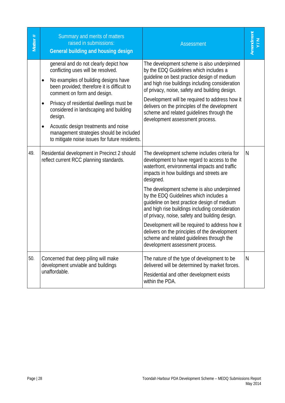| Matter # | Summary and merits of matters<br>raised in submissions:<br>General building and housing design                                                                                                                                                                                                                                                                                                                                                     | <b>Assessment</b>                                                                                                                                                                                                                                                                                                                                                                                                                                                                                                                                                                                                                    | Amendment<br>Y/N |
|----------|----------------------------------------------------------------------------------------------------------------------------------------------------------------------------------------------------------------------------------------------------------------------------------------------------------------------------------------------------------------------------------------------------------------------------------------------------|--------------------------------------------------------------------------------------------------------------------------------------------------------------------------------------------------------------------------------------------------------------------------------------------------------------------------------------------------------------------------------------------------------------------------------------------------------------------------------------------------------------------------------------------------------------------------------------------------------------------------------------|------------------|
|          | general and do not clearly depict how<br>conflicting uses will be resolved.<br>No examples of building designs have<br>been provided; therefore it is difficult to<br>comment on form and design.<br>Privacy of residential dwellings must be<br>٠<br>considered in landscaping and building<br>design.<br>Acoustic design treatments and noise<br>٠<br>management strategies should be included<br>to mitigate noise issues for future residents. | The development scheme is also underpinned<br>by the EDQ Guidelines which includes a<br>guideline on best practice design of medium<br>and high rise buildings including consideration<br>of privacy, noise, safety and building design.<br>Development will be required to address how it<br>delivers on the principles of the development<br>scheme and related guidelines through the<br>development assessment process.                                                                                                                                                                                                          |                  |
| 49.      | Residential development in Precinct 2 should<br>reflect current RCC planning standards.                                                                                                                                                                                                                                                                                                                                                            | The development scheme includes criteria for<br>development to have regard to access to the<br>waterfront, environmental impacts and traffic<br>impacts in how buildings and streets are<br>designed.<br>The development scheme is also underpinned<br>by the EDQ Guidelines which includes a<br>guideline on best practice design of medium<br>and high rise buildings including consideration<br>of privacy, noise, safety and building design.<br>Development will be required to address how it<br>delivers on the principles of the development<br>scheme and related guidelines through the<br>development assessment process. | N                |
| 50.      | Concerned that deep piling will make<br>development unviable and buildings<br>unaffordable.                                                                                                                                                                                                                                                                                                                                                        | The nature of the type of development to be<br>delivered will be determined by market forces.<br>Residential and other development exists<br>within the PDA.                                                                                                                                                                                                                                                                                                                                                                                                                                                                         | N                |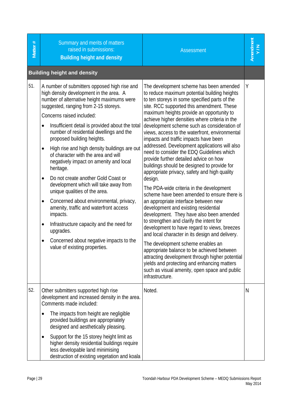| Matter # | Summary and merits of matters<br>raised in submissions:<br><b>Building height and density</b>                                                                                                                                                                                                                                                                                                                                                                                                                                                                                                                                                                                                                                                                                                                                                                                                              | <b>Assessment</b>                                                                                                                                                                                                                                                                                                                                                                                                                                                                                                                                                                                                                                                                                                                                                                                                                                                                                                                                                                                                                                                                                                                                                                                                                                                                                               | Amendment<br>Y/N |
|----------|------------------------------------------------------------------------------------------------------------------------------------------------------------------------------------------------------------------------------------------------------------------------------------------------------------------------------------------------------------------------------------------------------------------------------------------------------------------------------------------------------------------------------------------------------------------------------------------------------------------------------------------------------------------------------------------------------------------------------------------------------------------------------------------------------------------------------------------------------------------------------------------------------------|-----------------------------------------------------------------------------------------------------------------------------------------------------------------------------------------------------------------------------------------------------------------------------------------------------------------------------------------------------------------------------------------------------------------------------------------------------------------------------------------------------------------------------------------------------------------------------------------------------------------------------------------------------------------------------------------------------------------------------------------------------------------------------------------------------------------------------------------------------------------------------------------------------------------------------------------------------------------------------------------------------------------------------------------------------------------------------------------------------------------------------------------------------------------------------------------------------------------------------------------------------------------------------------------------------------------|------------------|
|          | <b>Building height and density</b>                                                                                                                                                                                                                                                                                                                                                                                                                                                                                                                                                                                                                                                                                                                                                                                                                                                                         |                                                                                                                                                                                                                                                                                                                                                                                                                                                                                                                                                                                                                                                                                                                                                                                                                                                                                                                                                                                                                                                                                                                                                                                                                                                                                                                 |                  |
| 51.      | A number of submitters opposed high rise and<br>high density development in the area. A<br>number of alternative height maximums were<br>suggested, ranging from 2-15 storeys.<br>Concerns raised included:<br>Insufficient detail is provided about the total<br>$\bullet$<br>number of residential dwellings and the<br>proposed building heights.<br>High rise and high density buildings are out<br>$\bullet$<br>of character with the area and will<br>negatively impact on amenity and local<br>heritage.<br>Do not create another Gold Coast or<br>$\bullet$<br>development which will take away from<br>unique qualities of the area.<br>Concerned about environmental, privacy,<br>$\bullet$<br>amenity, traffic and waterfront access<br>impacts.<br>Infrastructure capacity and the need for<br>٠<br>upgrades.<br>Concerned about negative impacts to the<br>٠<br>value of existing properties. | The development scheme has been amended<br>to reduce maximum potential building heights<br>to ten storeys in some specified parts of the<br>site. RCC supported this amendment. These<br>maximum heights provide an opportunity to<br>achieve higher densities where criteria in the<br>development scheme such as consideration of<br>views, access to the waterfront, environmental<br>impacts and traffic impacts have been<br>addressed. Development applications will also<br>need to consider the EDQ Guidelines which<br>provide further detailed advice on how<br>buildings should be designed to provide for<br>appropriate privacy, safety and high quality<br>design.<br>The PDA-wide criteria in the development<br>scheme have been amended to ensure there is<br>an appropriate interface between new<br>development and existing residential<br>development. They have also been amended<br>to strengthen and clarify the intent for<br>development to have regard to views, breezes<br>and local character in its design and delivery.<br>The development scheme enables an<br>appropriate balance to be achieved between<br>attracting development through higher potential<br>yields and protecting and enhancing matters<br>such as visual amenity, open space and public<br>infrastructure. | Y                |
| 52.      | Other submitters supported high rise<br>development and increased density in the area.<br>Comments made included:<br>The impacts from height are negligible<br>$\bullet$<br>provided buildings are appropriately<br>designed and aesthetically pleasing.                                                                                                                                                                                                                                                                                                                                                                                                                                                                                                                                                                                                                                                   | Noted.                                                                                                                                                                                                                                                                                                                                                                                                                                                                                                                                                                                                                                                                                                                                                                                                                                                                                                                                                                                                                                                                                                                                                                                                                                                                                                          | N                |
|          | Support for the 15 storey height limit as<br>٠<br>higher density residential buildings require<br>less developable land minimising<br>destruction of existing vegetation and koala                                                                                                                                                                                                                                                                                                                                                                                                                                                                                                                                                                                                                                                                                                                         |                                                                                                                                                                                                                                                                                                                                                                                                                                                                                                                                                                                                                                                                                                                                                                                                                                                                                                                                                                                                                                                                                                                                                                                                                                                                                                                 |                  |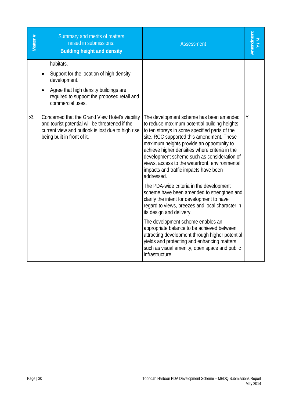| Matter # | Summary and merits of matters<br>raised in submissions:<br><b>Building height and density</b>                                                                                                               | <b>Assessment</b>                                                                                                                                                                                                                                                                                                                                                                                                                            | Amendment |
|----------|-------------------------------------------------------------------------------------------------------------------------------------------------------------------------------------------------------------|----------------------------------------------------------------------------------------------------------------------------------------------------------------------------------------------------------------------------------------------------------------------------------------------------------------------------------------------------------------------------------------------------------------------------------------------|-----------|
|          | habitats.<br>Support for the location of high density<br>$\bullet$<br>development.<br>Agree that high density buildings are<br>$\bullet$<br>required to support the proposed retail and<br>commercial uses. |                                                                                                                                                                                                                                                                                                                                                                                                                                              |           |
| 53.      | Concerned that the Grand View Hotel's viability<br>and tourist potential will be threatened if the<br>current view and outlook is lost due to high rise<br>being built in front of it.                      | The development scheme has been amended<br>to reduce maximum potential building heights<br>to ten storeys in some specified parts of the<br>site. RCC supported this amendment. These<br>maximum heights provide an opportunity to<br>achieve higher densities where criteria in the<br>development scheme such as consideration of<br>views, access to the waterfront, environmental<br>impacts and traffic impacts have been<br>addressed. | Y         |
|          |                                                                                                                                                                                                             | The PDA-wide criteria in the development<br>scheme have been amended to strengthen and<br>clarify the intent for development to have<br>regard to views, breezes and local character in<br>its design and delivery.                                                                                                                                                                                                                          |           |
|          |                                                                                                                                                                                                             | The development scheme enables an<br>appropriate balance to be achieved between<br>attracting development through higher potential<br>yields and protecting and enhancing matters<br>such as visual amenity, open space and public<br>infrastructure.                                                                                                                                                                                        |           |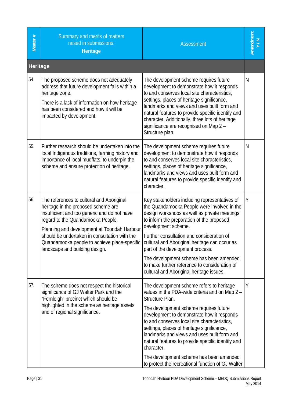| Matter #        | Summary and merits of matters<br>raised in submissions:<br><b>Heritage</b>                                                                                                                                                                                                                                                                              | <b>Assessment</b>                                                                                                                                                                                                                                                                                                                                                                                                                                                                                                      | Amendment<br>Y/N |
|-----------------|---------------------------------------------------------------------------------------------------------------------------------------------------------------------------------------------------------------------------------------------------------------------------------------------------------------------------------------------------------|------------------------------------------------------------------------------------------------------------------------------------------------------------------------------------------------------------------------------------------------------------------------------------------------------------------------------------------------------------------------------------------------------------------------------------------------------------------------------------------------------------------------|------------------|
| <b>Heritage</b> |                                                                                                                                                                                                                                                                                                                                                         |                                                                                                                                                                                                                                                                                                                                                                                                                                                                                                                        |                  |
| 54.             | The proposed scheme does not adequately<br>address that future development falls within a<br>heritage zone.<br>There is a lack of information on how heritage<br>has been considered and how it will be<br>impacted by development.                                                                                                                     | The development scheme requires future<br>development to demonstrate how it responds<br>to and conserves local site characteristics,<br>settings, places of heritage significance,<br>landmarks and views and uses built form and<br>natural features to provide specific identify and<br>character. Additionally, three lots of heritage<br>significance are recognised on Map 2 -<br>Structure plan.                                                                                                                 | N                |
| 55.             | Further research should be undertaken into the<br>local Indigenous traditions, farming history and<br>importance of local mudflats, to underpin the<br>scheme and ensure protection of heritage.                                                                                                                                                        | The development scheme requires future<br>development to demonstrate how it responds<br>to and conserves local site characteristics,<br>settings, places of heritage significance,<br>landmarks and views and uses built form and<br>natural features to provide specific identify and<br>character.                                                                                                                                                                                                                   | N                |
| 56.             | The references to cultural and Aboriginal<br>heritage in the proposed scheme are<br>insufficient and too generic and do not have<br>regard to the Quandamooka People.<br>Planning and development at Toondah Harbour<br>should be undertaken in consultation with the<br>Quandamooka people to achieve place-specific<br>landscape and building design. | Key stakeholders including representatives of<br>the Quandamooka People were involved in the<br>design workshops as well as private meetings<br>to inform the preparation of the proposed<br>development scheme.<br>Further consultation and consideration of<br>cultural and Aboriginal heritage can occur as<br>part of the development process.<br>The development scheme has been amended<br>to make further reference to consideration of<br>cultural and Aboriginal heritage issues.                             | Υ                |
| 57.             | The scheme does not respect the historical<br>significance of GJ Walter Park and the<br>"Fernleigh" precinct which should be<br>highlighted in the scheme as heritage assets<br>and of regional significance.                                                                                                                                           | The development scheme refers to heritage<br>values in the PDA-wide criteria and on Map 2 -<br>Structure Plan.<br>The development scheme requires future<br>development to demonstrate how it responds<br>to and conserves local site characteristics,<br>settings, places of heritage significance,<br>landmarks and views and uses built form and<br>natural features to provide specific identify and<br>character.<br>The development scheme has been amended<br>to protect the recreational function of GJ Walter | Υ                |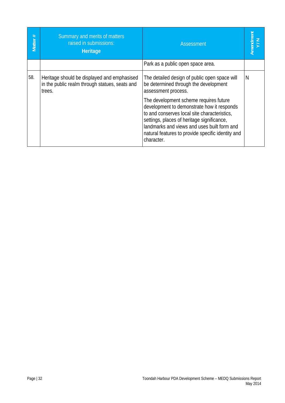| Matter # | Summary and merits of matters<br>raised in submissions:<br>Heritage                                     | <b>Assessment</b>                                                                                                                                                                                                                                                                                    | Amendment<br>Y/N |
|----------|---------------------------------------------------------------------------------------------------------|------------------------------------------------------------------------------------------------------------------------------------------------------------------------------------------------------------------------------------------------------------------------------------------------------|------------------|
|          |                                                                                                         | Park as a public open space area.                                                                                                                                                                                                                                                                    |                  |
| 58.      | Heritage should be displayed and emphasised<br>in the public realm through statues, seats and<br>trees. | The detailed design of public open space will<br>be determined through the development<br>assessment process.                                                                                                                                                                                        | N                |
|          |                                                                                                         | The development scheme requires future<br>development to demonstrate how it responds<br>to and conserves local site characteristics,<br>settings, places of heritage significance,<br>landmarks and views and uses built form and<br>natural features to provide specific identity and<br>character. |                  |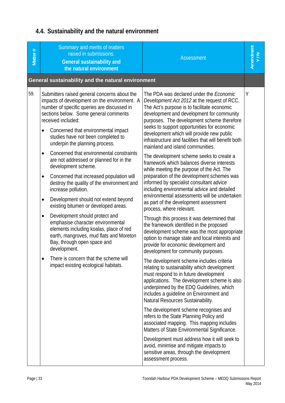# **4.4. Sustainability and the natural environment**

| Matter # | Summary and merits of matters<br>raised in submissions:<br><b>General sustainability and</b><br>the natural environment                                                                                                                                        | <b>Assessment</b>                                                                                                                                                                                                                                                                                                                   | Amendment<br>Y/N |
|----------|----------------------------------------------------------------------------------------------------------------------------------------------------------------------------------------------------------------------------------------------------------------|-------------------------------------------------------------------------------------------------------------------------------------------------------------------------------------------------------------------------------------------------------------------------------------------------------------------------------------|------------------|
|          | General sustainability and the natural environment                                                                                                                                                                                                             |                                                                                                                                                                                                                                                                                                                                     |                  |
| 59.      | Submitters raised general concerns about the<br>impacts of development on the environment. A<br>number of specific queries are discussed in<br>sections below. Some general comments<br>received included:<br>Concerned that environmental impact<br>$\bullet$ | The PDA was declared under the <i>Economic</i><br>Development Act 2012 at the request of RCC.<br>The Act's purpose is to facilitate economic<br>development and development for community<br>purposes. The development scheme therefore<br>seeks to support opportunities for economic<br>development which will provide new public | Υ                |
|          | studies have not been completed to<br>underpin the planning process.                                                                                                                                                                                           | infrastructure and facilities that will benefit both<br>mainland and island communities.                                                                                                                                                                                                                                            |                  |
|          | Concerned that environmental constraints<br>$\bullet$<br>are not addressed or planned for in the<br>development scheme.                                                                                                                                        | The development scheme seeks to create a<br>framework which balances diverse interests<br>while meeting the purpose of the Act. The                                                                                                                                                                                                 |                  |
|          | Concerned that increased population will<br>$\bullet$<br>destroy the quality of the environment and<br>increase pollution.                                                                                                                                     | preparation of the development schemes was<br>informed by specialist consultant advice<br>including environmental advice and detailed<br>environmental assessments will be undertaken                                                                                                                                               |                  |
|          | Development should not extend beyond<br>$\bullet$<br>existing bitumen or developed areas.                                                                                                                                                                      | as part of the development assessment<br>process, where relevant.                                                                                                                                                                                                                                                                   |                  |
|          | Development should protect and<br>$\bullet$<br>emphasise character environmental<br>elements including koalas, place of red<br>earth, mangroves, mud flats and Moreton<br>Bay, through open space and<br>development.                                          | Through this process it was determined that<br>the framework identified in the proposed<br>development scheme was the most appropriate<br>option to manage state and local interests and<br>provide for economic development and<br>development for community purposes.                                                             |                  |
|          | There is concern that the scheme will<br>impact existing ecological habitats.                                                                                                                                                                                  | The development scheme includes criteria<br>relating to sustainability which development<br>must respond to in future development<br>applications. The development scheme is also<br>underpinned by the EDQ Guidelines, which<br>includes a guideline on Environment and<br>Natural Resources Sustainability.                       |                  |
|          |                                                                                                                                                                                                                                                                | The development scheme recognises and<br>refers to the State Planning Policy and<br>associated mapping. This mapping includes<br>Matters of State Environmental Significance.                                                                                                                                                       |                  |
|          |                                                                                                                                                                                                                                                                | Development must address how it will seek to<br>avoid, minimise and mitigate impacts to<br>sensitive areas, through the development<br>assessment process.                                                                                                                                                                          |                  |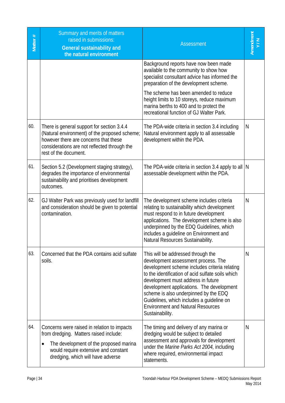| Matter # | Summary and merits of matters<br>raised in submissions:<br><b>General sustainability and</b><br>the natural environment                                                                                       | <b>Assessment</b>                                                                                                                                                                                                                                                                                                                                                                                                       | Amendment<br>Y/N |
|----------|---------------------------------------------------------------------------------------------------------------------------------------------------------------------------------------------------------------|-------------------------------------------------------------------------------------------------------------------------------------------------------------------------------------------------------------------------------------------------------------------------------------------------------------------------------------------------------------------------------------------------------------------------|------------------|
|          |                                                                                                                                                                                                               | Background reports have now been made<br>available to the community to show how<br>specialist consultant advice has informed the<br>preparation of the development scheme.                                                                                                                                                                                                                                              |                  |
|          |                                                                                                                                                                                                               | The scheme has been amended to reduce<br>height limits to 10 storeys, reduce maximum<br>marina berths to 400 and to protect the<br>recreational function of GJ Walter Park.                                                                                                                                                                                                                                             |                  |
| 60.      | There is general support for section 3.4.4<br>(Natural environment) of the proposed scheme;<br>however there are concerns that these<br>considerations are not reflected through the<br>rest of the document. | The PDA-wide criteria in section 3.4 including<br>Natural environment apply to all assessable<br>development within the PDA.                                                                                                                                                                                                                                                                                            | N                |
| 61.      | Section 5.2 (Development staging strategy),<br>degrades the importance of environmental<br>sustainability and prioritises development<br>outcomes.                                                            | The PDA-wide criteria in section 3.4 apply to all $\vert$ N<br>assessable development within the PDA.                                                                                                                                                                                                                                                                                                                   |                  |
| 62.      | GJ Walter Park was previously used for landfill<br>and consideration should be given to potential<br>contamination.                                                                                           | The development scheme includes criteria<br>relating to sustainability which development<br>must respond to in future development<br>applications. The development scheme is also<br>underpinned by the EDQ Guidelines, which<br>includes a guideline on Environment and<br>Natural Resources Sustainability.                                                                                                           | N                |
| 63.      | Concerned that the PDA contains acid sulfate<br>soils.                                                                                                                                                        | This will be addressed through the<br>development assessment process. The<br>development scheme includes criteria relating<br>to the identification of acid sulfate soils which<br>development must address in future<br>development applications. The development<br>scheme is also underpinned by the EDQ<br>Guidelines, which includes a guideline on<br><b>Environment and Natural Resources</b><br>Sustainability. | N                |
| 64.      | Concerns were raised in relation to impacts<br>from dredging. Matters raised include:<br>The development of the proposed marina<br>would require extensive and constant<br>dredging, which will have adverse  | The timing and delivery of any marina or<br>dredging would be subject to detailed<br>assessment and approvals for development<br>under the Marine Parks Act 2004, including<br>where required, environmental impact<br>statements.                                                                                                                                                                                      | N                |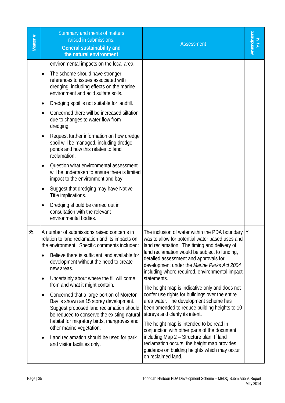| Matter# | Summary and merits of matters<br>raised in submissions:<br><b>General sustainability and</b><br>the natural environment                                                                                                                                                                                                                                                                                                                                                                                                                                                                                                                                                                                                                                                                                                                             | <b>Assessment</b>                                                                                                                                                                                                                                                                                                                                                                                                                                                                                                                                                                                                                                                                                                                                                                                                                                                | Amendment<br>Y/N |
|---------|-----------------------------------------------------------------------------------------------------------------------------------------------------------------------------------------------------------------------------------------------------------------------------------------------------------------------------------------------------------------------------------------------------------------------------------------------------------------------------------------------------------------------------------------------------------------------------------------------------------------------------------------------------------------------------------------------------------------------------------------------------------------------------------------------------------------------------------------------------|------------------------------------------------------------------------------------------------------------------------------------------------------------------------------------------------------------------------------------------------------------------------------------------------------------------------------------------------------------------------------------------------------------------------------------------------------------------------------------------------------------------------------------------------------------------------------------------------------------------------------------------------------------------------------------------------------------------------------------------------------------------------------------------------------------------------------------------------------------------|------------------|
|         | environmental impacts on the local area.<br>The scheme should have stronger<br>references to issues associated with<br>dredging, including effects on the marine<br>environment and acid sulfate soils.<br>Dredging spoil is not suitable for landfill.<br>$\bullet$<br>Concerned there will be increased siltation<br>$\bullet$<br>due to changes to water flow from<br>dredging.<br>Request further information on how dredge<br>spoil will be managed, including dredge<br>ponds and how this relates to land<br>reclamation.<br>Question what environmental assessment<br>will be undertaken to ensure there is limited<br>impact to the environment and bay.<br>Suggest that dredging may have Native<br>٠<br>Title implications.<br>Dredging should be carried out in<br>$\bullet$<br>consultation with the relevant<br>environmental bodies. |                                                                                                                                                                                                                                                                                                                                                                                                                                                                                                                                                                                                                                                                                                                                                                                                                                                                  |                  |
| 65.     | A number of submissions raised concerns in<br>relation to land reclamation and its impacts on<br>the environment. Specific comments included:<br>Believe there is sufficient land available for<br>$\bullet$<br>development without the need to create<br>new areas.<br>Uncertainly about where the fill will come<br>$\bullet$<br>from and what it might contain.<br>Concerned that a large portion of Moreton<br>٠<br>Bay is shown as 15 storey development.<br>Suggest proposed land reclamation should<br>be reduced to conserve the existing natural<br>habitat for migratory birds, mangroves and<br>other marine vegetation.<br>Land reclamation should be used for park<br>٠<br>and visitor facilities only.                                                                                                                                | The inclusion of water within the PDA boundary   Y<br>was to allow for potential water based uses and<br>land reclamation. The timing and delivery of<br>land reclamation would be subject to funding,<br>detailed assessment and approvals for<br>development under the Marine Parks Act 2004<br>including where required, environmental impact<br>statements.<br>The height map is indicative only and does not<br>confer use rights for buildings over the entire<br>area water. The development scheme has<br>been amended to reduce building heights to 10<br>storeys and clarify its intent.<br>The height map is intended to be read in<br>conjunction with other parts of the document<br>including Map 2 - Structure plan. If land<br>reclamation occurs, the height map provides<br>guidance on building heights which may occur<br>on reclaimed land. |                  |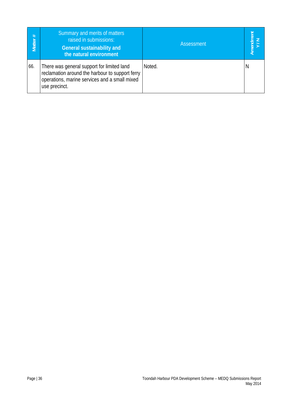| #<br>Matter | Summary and merits of matters<br>raised in submissions:<br><b>General sustainability and</b><br>the natural environment                                         | Assessment |   |
|-------------|-----------------------------------------------------------------------------------------------------------------------------------------------------------------|------------|---|
| 66.         | There was general support for limited land<br>reclamation around the harbour to support ferry<br>operations, marine services and a small mixed<br>use precinct. | Noted.     | N |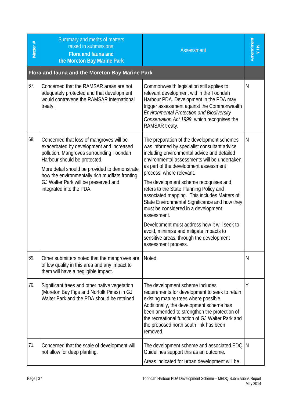| Matter # | Summary and merits of matters<br>raised in submissions:<br>Flora and fauna and<br>the Moreton Bay Marine Park                                                                                                                                                                                                                           | <b>Assessment</b>                                                                                                                                                                                                                                                                                                                                                                                                                                                                                                                                                                                                                                                       | Amendment<br>Y/N |
|----------|-----------------------------------------------------------------------------------------------------------------------------------------------------------------------------------------------------------------------------------------------------------------------------------------------------------------------------------------|-------------------------------------------------------------------------------------------------------------------------------------------------------------------------------------------------------------------------------------------------------------------------------------------------------------------------------------------------------------------------------------------------------------------------------------------------------------------------------------------------------------------------------------------------------------------------------------------------------------------------------------------------------------------------|------------------|
|          | Flora and fauna and the Moreton Bay Marine Park                                                                                                                                                                                                                                                                                         |                                                                                                                                                                                                                                                                                                                                                                                                                                                                                                                                                                                                                                                                         |                  |
| 67.      | Concerned that the RAMSAR areas are not<br>adequately protected and that development<br>would contravene the RAMSAR international<br>treaty.                                                                                                                                                                                            | Commonwealth legislation still applies to<br>relevant development within the Toondah<br>Harbour PDA. Development in the PDA may<br>trigger assessment against the Commonwealth<br>Environmental Protection and Biodiversity<br>Conservation Act 1999, which recognises the<br>RAMSAR treaty.                                                                                                                                                                                                                                                                                                                                                                            | N                |
| 68.      | Concerned that loss of mangroves will be<br>exacerbated by development and increased<br>pollution. Mangroves surrounding Toondah<br>Harbour should be protected.<br>More detail should be provided to demonstrate<br>how the environmentally rich mudflats fronting<br>GJ Walter Park will be preserved and<br>integrated into the PDA. | The preparation of the development schemes<br>was informed by specialist consultant advice<br>including environmental advice and detailed<br>environmental assessments will be undertaken<br>as part of the development assessment<br>process, where relevant.<br>The development scheme recognises and<br>refers to the State Planning Policy and<br>associated mapping. This includes Matters of<br>State Environmental Significance and how they<br>must be considered in a development<br>assessment.<br>Development must address how it will seek to<br>avoid, minimise and mitigate impacts to<br>sensitive areas, through the development<br>assessment process. | N                |
| 69.      | Other submitters noted that the mangroves are<br>of low quality in this area and any impact to<br>them will have a negligible impact.                                                                                                                                                                                                   | Noted.                                                                                                                                                                                                                                                                                                                                                                                                                                                                                                                                                                                                                                                                  | N                |
| 70.      | Significant trees and other native vegetation<br>(Moreton Bay Figs and Norfolk Pines) in GJ<br>Walter Park and the PDA should be retained.                                                                                                                                                                                              | The development scheme includes<br>requirements for development to seek to retain<br>existing mature trees where possible.<br>Additionally, the development scheme has<br>been amended to strengthen the protection of<br>the recreational function of GJ Walter Park and<br>the proposed north south link has been<br>removed.                                                                                                                                                                                                                                                                                                                                         | Υ                |
| 71.      | Concerned that the scale of development will<br>not allow for deep planting.                                                                                                                                                                                                                                                            | The development scheme and associated EDQ   N<br>Guidelines support this as an outcome.<br>Areas indicated for urban development will be                                                                                                                                                                                                                                                                                                                                                                                                                                                                                                                                |                  |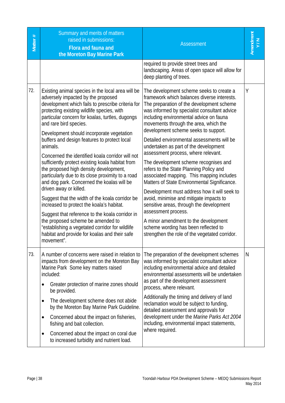| Matter # | Summary and merits of matters<br>raised in submissions:<br>Flora and fauna and<br>the Moreton Bay Marine Park                                                                                                                                                                                                        | <b>Assessment</b>                                                                                                                                                                                                                                                                                                | Amendment<br>Y/N |
|----------|----------------------------------------------------------------------------------------------------------------------------------------------------------------------------------------------------------------------------------------------------------------------------------------------------------------------|------------------------------------------------------------------------------------------------------------------------------------------------------------------------------------------------------------------------------------------------------------------------------------------------------------------|------------------|
|          |                                                                                                                                                                                                                                                                                                                      | required to provide street trees and<br>landscaping. Areas of open space will allow for<br>deep planting of trees.                                                                                                                                                                                               |                  |
| 72.      | Existing animal species in the local area will be<br>adversely impacted by the proposed<br>development which fails to prescribe criteria for<br>protecting existing wildlife species, with<br>particular concern for koalas, turtles, dugongs<br>and rare bird species.<br>Development should incorporate vegetation | The development scheme seeks to create a<br>framework which balances diverse interests.<br>The preparation of the development scheme<br>was informed by specialist consultant advice<br>including environmental advice on fauna<br>movements through the area, which the<br>development scheme seeks to support. | Υ                |
|          | buffers and design features to protect local<br>animals.                                                                                                                                                                                                                                                             | Detailed environmental assessments will be<br>undertaken as part of the development<br>assessment process, where relevant.                                                                                                                                                                                       |                  |
|          | Concerned the identified koala corridor will not<br>sufficiently protect existing koala habitat from<br>the proposed high density development,<br>particularly due to its close proximity to a road<br>and dog park. Concerned the koalas will be                                                                    | The development scheme recognises and<br>refers to the State Planning Policy and<br>associated mapping. This mapping includes<br>Matters of State Environmental Significance.                                                                                                                                    |                  |
|          | driven away or killed.<br>Suggest that the width of the koala corridor be<br>increased to protect the koala's habitat.                                                                                                                                                                                               | Development must address how it will seek to<br>avoid, minimise and mitigate impacts to<br>sensitive areas, through the development                                                                                                                                                                              |                  |
|          | Suggest that reference to the koala corridor in<br>the proposed scheme be amended to<br>"establishing a vegetated corridor for wildlife<br>habitat and provide for koalas and their safe<br>movement".                                                                                                               | assessment process.<br>A minor amendment to the development<br>scheme wording has been reflected to<br>strengthen the role of the vegetated corridor.                                                                                                                                                            |                  |
| 73.      | A number of concerns were raised in relation to<br>impacts from development on the Moreton Bay<br>Marine Park Some key matters raised<br>included:                                                                                                                                                                   | The preparation of the development schemes<br>was informed by specialist consultant advice<br>including environmental advice and detailed<br>environmental assessments will be undertaken<br>as part of the development assessment                                                                               | N                |
|          | Greater protection of marine zones should<br>$\bullet$<br>be provided.                                                                                                                                                                                                                                               | process, where relevant.                                                                                                                                                                                                                                                                                         |                  |
|          | The development scheme does not abide<br>٠<br>by the Moreton Bay Marine Park Guideline.                                                                                                                                                                                                                              | Additionally the timing and delivery of land<br>reclamation would be subject to funding,<br>detailed assessment and approvals for                                                                                                                                                                                |                  |
|          | Concerned about the impact on fisheries,<br>٠<br>fishing and bait collection.                                                                                                                                                                                                                                        | development under the Marine Parks Act 2004<br>including, environmental impact statements,                                                                                                                                                                                                                       |                  |
|          | Concerned about the impact on coral due<br>$\bullet$<br>to increased turbidity and nutrient load.                                                                                                                                                                                                                    | where required.                                                                                                                                                                                                                                                                                                  |                  |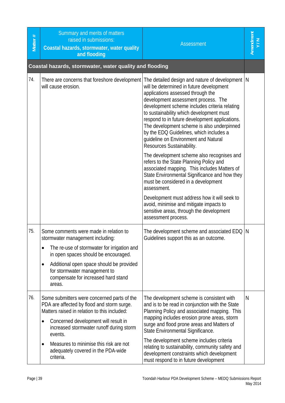| Matter # | Summary and merits of matters<br>raised in submissions:<br>Coastal hazards, stormwater, water quality<br>and flooding                                                                                                                                                                                | <b>Assessment</b>                                                                                                                                                                                                                                                                                                                                                                                                                                                                                                                  |   |
|----------|------------------------------------------------------------------------------------------------------------------------------------------------------------------------------------------------------------------------------------------------------------------------------------------------------|------------------------------------------------------------------------------------------------------------------------------------------------------------------------------------------------------------------------------------------------------------------------------------------------------------------------------------------------------------------------------------------------------------------------------------------------------------------------------------------------------------------------------------|---|
|          | Coastal hazards, stormwater, water quality and flooding                                                                                                                                                                                                                                              |                                                                                                                                                                                                                                                                                                                                                                                                                                                                                                                                    |   |
| 74.      | will cause erosion.                                                                                                                                                                                                                                                                                  | There are concerns that foreshore development The detailed design and nature of development N<br>will be determined in future development<br>applications assessed through the<br>development assessment process. The<br>development scheme includes criteria relating<br>to sustainability which development must<br>respond to in future development applications.<br>The development scheme is also underpinned<br>by the EDQ Guidelines, which includes a<br>guideline on Environment and Natural<br>Resources Sustainability. |   |
|          |                                                                                                                                                                                                                                                                                                      | The development scheme also recognises and<br>refers to the State Planning Policy and<br>associated mapping. This includes Matters of<br>State Environmental Significance and how they<br>must be considered in a development<br>assessment.                                                                                                                                                                                                                                                                                       |   |
|          |                                                                                                                                                                                                                                                                                                      | Development must address how it will seek to<br>avoid, minimise and mitigate impacts to<br>sensitive areas, through the development<br>assessment process.                                                                                                                                                                                                                                                                                                                                                                         |   |
| 75.      | Some comments were made in relation to<br>stormwater management including:<br>The re-use of stormwater for irrigation and                                                                                                                                                                            | The development scheme and associated EDQ   N<br>Guidelines support this as an outcome.                                                                                                                                                                                                                                                                                                                                                                                                                                            |   |
|          | in open spaces should be encouraged.<br>Additional open space should be provided<br>$\bullet$<br>for stormwater management to<br>compensate for increased hard stand<br>areas.                                                                                                                       |                                                                                                                                                                                                                                                                                                                                                                                                                                                                                                                                    |   |
| 76.      | Some submitters were concerned parts of the<br>PDA are affected by flood and storm surge.<br>Matters raised in relation to this included:<br>Concerned development will result in<br>٠<br>increased stormwater runoff during storm<br>events.<br>Measures to minimise this risk are not<br>$\bullet$ | The development scheme is consistent with<br>and is to be read in conjunction with the State<br>Planning Policy and associated mapping. This<br>mapping includes erosion prone areas, storm<br>surge and flood prone areas and Matters of<br>State Environmental Significance.<br>The development scheme includes criteria<br>relating to sustainability, community safety and                                                                                                                                                     | N |
|          | adequately covered in the PDA-wide<br>criteria.                                                                                                                                                                                                                                                      | development constraints which development<br>must respond to in future development                                                                                                                                                                                                                                                                                                                                                                                                                                                 |   |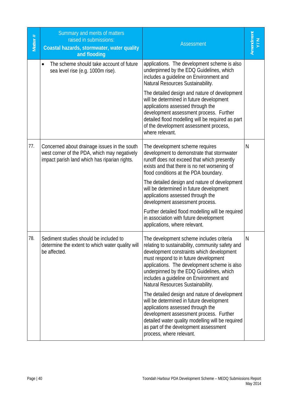| Matter # | Summary and merits of matters<br>raised in submissions:<br>Coastal hazards, stormwater, water quality<br>and flooding                         | <b>Assessment</b>                                                                                                                                                                                                                                                                                                                                                                                                                                                                                                                                                                                                                                                                                      | Amendment<br>Y/N |
|----------|-----------------------------------------------------------------------------------------------------------------------------------------------|--------------------------------------------------------------------------------------------------------------------------------------------------------------------------------------------------------------------------------------------------------------------------------------------------------------------------------------------------------------------------------------------------------------------------------------------------------------------------------------------------------------------------------------------------------------------------------------------------------------------------------------------------------------------------------------------------------|------------------|
|          | The scheme should take account of future<br>sea level rise (e.g. 1000m rise).                                                                 | applications. The development scheme is also<br>underpinned by the EDQ Guidelines, which<br>includes a guideline on Environment and<br>Natural Resources Sustainability.                                                                                                                                                                                                                                                                                                                                                                                                                                                                                                                               |                  |
|          |                                                                                                                                               | The detailed design and nature of development<br>will be determined in future development<br>applications assessed through the<br>development assessment process. Further<br>detailed flood modelling will be required as part<br>of the development assessment process,<br>where relevant.                                                                                                                                                                                                                                                                                                                                                                                                            |                  |
| 77.      | Concerned about drainage issues in the south<br>west corner of the PDA, which may negatively<br>impact parish land which has riparian rights. | The development scheme requires<br>development to demonstrate that stormwater<br>runoff does not exceed that which presently<br>exists and that there is no net worsening of<br>flood conditions at the PDA boundary.<br>The detailed design and nature of development<br>will be determined in future development<br>applications assessed through the<br>development assessment process.<br>Further detailed flood modelling will be required<br>in association with future development                                                                                                                                                                                                              | N                |
| 78.      | Sediment studies should be included to<br>determine the extent to which water quality will<br>be affected.                                    | applications, where relevant.<br>The development scheme includes criteria<br>relating to sustainability, community safety and<br>development constraints which development<br>must respond to in future development<br>applications. The development scheme is also<br>underpinned by the EDQ Guidelines, which<br>includes a guideline on Environment and<br>Natural Resources Sustainability.<br>The detailed design and nature of development<br>will be determined in future development<br>applications assessed through the<br>development assessment process. Further<br>detailed water quality modelling will be required<br>as part of the development assessment<br>process, where relevant. | N                |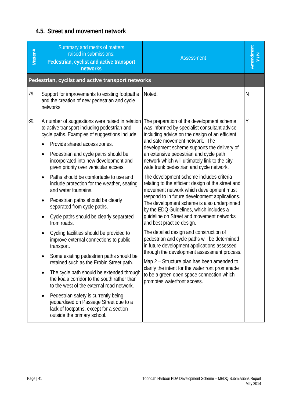# **4.5. Street and movement network**

| Matter # | Summary and merits of matters<br>raised in submissions:<br>Pedestrian, cyclist and active transport<br><b>networks</b>                                                                                                                                                                                                                                                                                                                                                                                                                                                                                                                                                                                                                                                                                                                                                                                                                                                                                                                                                                                                                   | <b>Assessment</b>                                                                                                                                                                                                                                                                                                                                                                                                                                                                                                                                                                                                                                                                                                                                                                                                                                                                                                                                                                                                                                                                                             | Amendment<br>Y/N |
|----------|------------------------------------------------------------------------------------------------------------------------------------------------------------------------------------------------------------------------------------------------------------------------------------------------------------------------------------------------------------------------------------------------------------------------------------------------------------------------------------------------------------------------------------------------------------------------------------------------------------------------------------------------------------------------------------------------------------------------------------------------------------------------------------------------------------------------------------------------------------------------------------------------------------------------------------------------------------------------------------------------------------------------------------------------------------------------------------------------------------------------------------------|---------------------------------------------------------------------------------------------------------------------------------------------------------------------------------------------------------------------------------------------------------------------------------------------------------------------------------------------------------------------------------------------------------------------------------------------------------------------------------------------------------------------------------------------------------------------------------------------------------------------------------------------------------------------------------------------------------------------------------------------------------------------------------------------------------------------------------------------------------------------------------------------------------------------------------------------------------------------------------------------------------------------------------------------------------------------------------------------------------------|------------------|
|          | Pedestrian, cyclist and active transport networks                                                                                                                                                                                                                                                                                                                                                                                                                                                                                                                                                                                                                                                                                                                                                                                                                                                                                                                                                                                                                                                                                        |                                                                                                                                                                                                                                                                                                                                                                                                                                                                                                                                                                                                                                                                                                                                                                                                                                                                                                                                                                                                                                                                                                               |                  |
| 79.      | Support for improvements to existing footpaths<br>and the creation of new pedestrian and cycle<br>networks.                                                                                                                                                                                                                                                                                                                                                                                                                                                                                                                                                                                                                                                                                                                                                                                                                                                                                                                                                                                                                              | Noted.                                                                                                                                                                                                                                                                                                                                                                                                                                                                                                                                                                                                                                                                                                                                                                                                                                                                                                                                                                                                                                                                                                        | N                |
| 80.      | A number of suggestions were raised in relation<br>to active transport including pedestrian and<br>cycle paths. Examples of suggestions include:<br>Provide shared access zones.<br>$\bullet$<br>Pedestrian and cycle paths should be<br>٠<br>incorporated into new development and<br>given priority over vehicular access.<br>Paths should be comfortable to use and<br>$\bullet$<br>include protection for the weather, seating<br>and water fountains.<br>Pedestrian paths should be clearly<br>٠<br>separated from cycle paths.<br>Cycle paths should be clearly separated<br>$\bullet$<br>from roads.<br>Cycling facilities should be provided to<br>٠<br>improve external connections to public<br>transport.<br>Some existing pedestrian paths should be<br>$\bullet$<br>retained such as the Erobin Street path.<br>The cycle path should be extended through<br>٠<br>the koala corridor to the south rather than<br>to the west of the external road network.<br>Pedestrian safety is currently being<br>٠<br>jeopardised on Passage Street due to a<br>lack of footpaths, except for a section<br>outside the primary school. | The preparation of the development scheme<br>was informed by specialist consultant advice<br>including advice on the design of an efficient<br>and safe movement network. The<br>development scheme supports the delivery of<br>an extensive pedestrian and cycle path<br>network which will ultimately link to the city<br>wide trunk pedestrian and cycle network.<br>The development scheme includes criteria<br>relating to the efficient design of the street and<br>movement network which development must<br>respond to in future development applications.<br>The development scheme is also underpinned<br>by the EDQ Guidelines, which includes a<br>guideline on Street and movement networks<br>and best practice design.<br>The detailed design and construction of<br>pedestrian and cycle paths will be determined<br>in future development applications assessed<br>through the development assessment process.<br>Map 2 – Structure plan has been amended to<br>clarify the intent for the waterfront promenade<br>to be a green open space connection which<br>promotes waterfront access. | Υ                |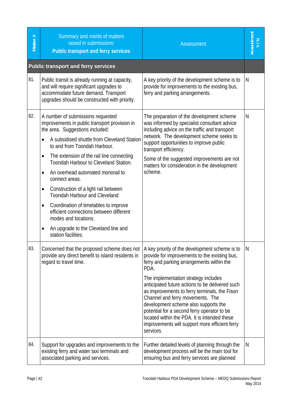| Matter # | Summary and merits of matters<br>raised in submissions:<br>Public transport and ferry services                                                                                                                                                                                                                                                                                                                                                                                                                                                                                                                                                                | <b>Assessment</b>                                                                                                                                                                                                                                                                                                                                                                                                                                                                                                                          | Amendment |
|----------|---------------------------------------------------------------------------------------------------------------------------------------------------------------------------------------------------------------------------------------------------------------------------------------------------------------------------------------------------------------------------------------------------------------------------------------------------------------------------------------------------------------------------------------------------------------------------------------------------------------------------------------------------------------|--------------------------------------------------------------------------------------------------------------------------------------------------------------------------------------------------------------------------------------------------------------------------------------------------------------------------------------------------------------------------------------------------------------------------------------------------------------------------------------------------------------------------------------------|-----------|
|          | <b>Public transport and ferry services</b>                                                                                                                                                                                                                                                                                                                                                                                                                                                                                                                                                                                                                    |                                                                                                                                                                                                                                                                                                                                                                                                                                                                                                                                            |           |
| 81.      | Public transit is already running at capacity,<br>and will require significant upgrades to<br>accommodate future demand. Transport<br>upgrades should be constructed with priority.                                                                                                                                                                                                                                                                                                                                                                                                                                                                           | A key priority of the development scheme is to<br>provide for improvements to the existing bus,<br>ferry and parking arrangements.                                                                                                                                                                                                                                                                                                                                                                                                         | N         |
| 82.      | A number of submissions requested<br>improvements in public transport provision in<br>the area. Suggestions included:<br>A subsidised shuttle from Cleveland Station<br>$\bullet$<br>to and from Toondah Harbour.<br>The extension of the rail line connecting<br>$\bullet$<br>Toondah Harbour to Cleveland Station.<br>An overhead automated monorail to<br>$\bullet$<br>connect areas.<br>Construction of a light rail between<br>٠<br><b>Toondah Harbour and Cleveland</b><br>Coordination of timetables to improve<br>٠<br>efficient connections between different<br>modes and locations.<br>An upgrade to the Cleveland line and<br>station facilities. | The preparation of the development scheme<br>was informed by specialist consultant advice<br>including advice on the traffic and transport<br>network. The development scheme seeks to<br>support opportunities to improve public<br>transport efficiency.<br>Some of the suggested improvements are not<br>matters for consideration in the development<br>scheme.                                                                                                                                                                        | N         |
| 83.      | Concerned that the proposed scheme does not<br>provide any direct benefit to island residents in<br>regard to travel time.                                                                                                                                                                                                                                                                                                                                                                                                                                                                                                                                    | A key priority of the development scheme is to<br>provide for improvements to the existing bus,<br>ferry and parking arrangements within the<br>PDA.<br>The implementation strategy includes<br>anticipated future actions to be delivered such<br>as improvements to ferry terminals, the Fison<br>Channel and ferry movements. The<br>development scheme also supports the<br>potential for a second ferry operator to be<br>located within the PDA. It is intended these<br>improvements will support more efficient ferry<br>services. | N         |
| 84.      | Support for upgrades and improvements to the<br>existing ferry and water taxi terminals and<br>associated parking and services.                                                                                                                                                                                                                                                                                                                                                                                                                                                                                                                               | Further detailed levels of planning through the<br>development process will be the main tool for<br>ensuring bus and ferry services are planned                                                                                                                                                                                                                                                                                                                                                                                            | N         |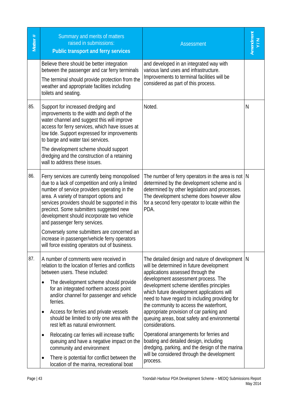| Matter # | Summary and merits of matters<br>raised in submissions:<br><b>Public transport and ferry services</b>                                                                                                                                                                                                                                                                                                                                                                                                                                                                                                                             | <b>Assessment</b>                                                                                                                                                                                                                                                                                                                                                                                                                                                                                                                                                                                                                                                                  | Amendment<br>Y/N |
|----------|-----------------------------------------------------------------------------------------------------------------------------------------------------------------------------------------------------------------------------------------------------------------------------------------------------------------------------------------------------------------------------------------------------------------------------------------------------------------------------------------------------------------------------------------------------------------------------------------------------------------------------------|------------------------------------------------------------------------------------------------------------------------------------------------------------------------------------------------------------------------------------------------------------------------------------------------------------------------------------------------------------------------------------------------------------------------------------------------------------------------------------------------------------------------------------------------------------------------------------------------------------------------------------------------------------------------------------|------------------|
|          | Believe there should be better integration<br>between the passenger and car ferry terminals<br>The terminal should provide protection from the<br>weather and appropriate facilities including<br>toilets and seating.                                                                                                                                                                                                                                                                                                                                                                                                            | and developed in an integrated way with<br>various land uses and infrastructure.<br>Improvements to terminal facilities will be<br>considered as part of this process.                                                                                                                                                                                                                                                                                                                                                                                                                                                                                                             |                  |
| 85.      | Support for increased dredging and<br>improvements to the width and depth of the<br>water channel and suggest this will improve<br>access for ferry services, which have issues at<br>low tide. Support expressed for improvements<br>to barge and water taxi services.<br>The development scheme should support<br>dredging and the construction of a retaining<br>wall to address these issues.                                                                                                                                                                                                                                 | Noted.                                                                                                                                                                                                                                                                                                                                                                                                                                                                                                                                                                                                                                                                             | N                |
| 86.      | Ferry services are currently being monopolised<br>due to a lack of competition and only a limited<br>number of service providers operating in the<br>area. A variety of transport options and<br>services providers should be supported in this<br>precinct. Some submitters suggested new<br>development should incorporate two vehicle<br>and passenger ferry services.<br>Conversely some submitters are concerned an<br>increase in passenger/vehicle ferry operators<br>will force existing operators out of business.                                                                                                       | The number of ferry operators in the area is not $ N $<br>determined by the development scheme and is<br>determined by other legislation and processes.<br>The development scheme does however allow<br>for a second ferry operator to locate within the<br>PDA.                                                                                                                                                                                                                                                                                                                                                                                                                   |                  |
| 87.      | A number of comments were received in<br>relation to the location of ferries and conflicts<br>between users. These included:<br>The development scheme should provide<br>for an integrated northern access point<br>and/or channel for passenger and vehicle<br>ferries.<br>Access for ferries and private vessels<br>should be limited to only one area with the<br>rest left as natural environment.<br>Relocating car ferries will increase traffic<br>queuing and have a negative impact on the<br>community and environment<br>There is potential for conflict between the<br>٠<br>location of the marina, recreational boat | The detailed design and nature of development   N<br>will be determined in future development<br>applications assessed through the<br>development assessment process. The<br>development scheme identifies principles<br>which future development applications will<br>need to have regard to including providing for<br>the community to access the waterfront,<br>appropriate provision of car parking and<br>queuing areas, boat safety and environmental<br>considerations.<br>Operational arrangements for ferries and<br>boating and detailed design, including<br>dredging, parking, and the design of the marina<br>will be considered through the development<br>process. |                  |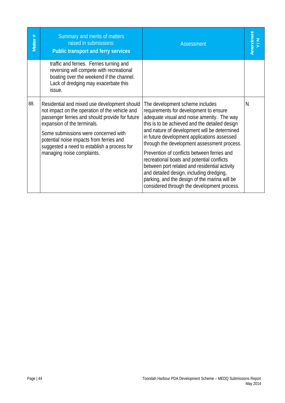| Matter # | Summary and merits of matters<br>raised in submissions:<br>Public transport and ferry services                                                                                                                                                                                                                                                    | <b>Assessment</b>                                                                                                                                                                                                                                                                                                                                                                                                                                                                                                                                                                                                 | Amendment<br>Y/N |
|----------|---------------------------------------------------------------------------------------------------------------------------------------------------------------------------------------------------------------------------------------------------------------------------------------------------------------------------------------------------|-------------------------------------------------------------------------------------------------------------------------------------------------------------------------------------------------------------------------------------------------------------------------------------------------------------------------------------------------------------------------------------------------------------------------------------------------------------------------------------------------------------------------------------------------------------------------------------------------------------------|------------------|
|          | traffic and ferries. Ferries turning and<br>reversing will compete with recreational<br>boating over the weekend if the channel.<br>Lack of dredging may exacerbate this<br>issue.                                                                                                                                                                |                                                                                                                                                                                                                                                                                                                                                                                                                                                                                                                                                                                                                   |                  |
| 88.      | Residential and mixed use development should<br>not impact on the operation of the vehicle and<br>passenger ferries and should provide for future<br>expansion of the terminals.<br>Some submissions were concerned with<br>potential noise impacts from ferries and<br>suggested a need to establish a process for<br>managing noise complaints. | The development scheme includes<br>requirements for development to ensure<br>adequate visual and noise amenity. The way<br>this is to be achieved and the detailed design<br>and nature of development will be determined<br>in future development applications assessed<br>through the development assessment process.<br>Prevention of conflicts between ferries and<br>recreational boats and potential conflicts<br>between port related and residential activity<br>and detailed design, including dredging,<br>parking, and the design of the marina will be<br>considered through the development process. | N                |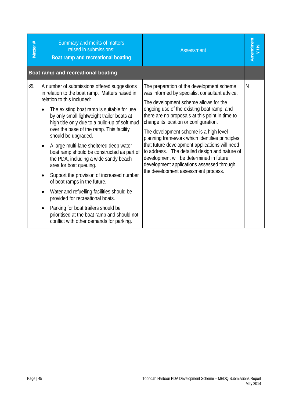| Matter# | Summary and merits of matters<br>raised in submissions:<br>Boat ramp and recreational boating                                                                                                                                                                                                                                                                                                                                                                                                                                                                                                                                                                                                                                                                                                                                                  | <b>Assessment</b>                                                                                                                                                                                                                                                                                                                                                                                                                                                                                                                                                                                            | Amendment |
|---------|------------------------------------------------------------------------------------------------------------------------------------------------------------------------------------------------------------------------------------------------------------------------------------------------------------------------------------------------------------------------------------------------------------------------------------------------------------------------------------------------------------------------------------------------------------------------------------------------------------------------------------------------------------------------------------------------------------------------------------------------------------------------------------------------------------------------------------------------|--------------------------------------------------------------------------------------------------------------------------------------------------------------------------------------------------------------------------------------------------------------------------------------------------------------------------------------------------------------------------------------------------------------------------------------------------------------------------------------------------------------------------------------------------------------------------------------------------------------|-----------|
|         | Boat ramp and recreational boating                                                                                                                                                                                                                                                                                                                                                                                                                                                                                                                                                                                                                                                                                                                                                                                                             |                                                                                                                                                                                                                                                                                                                                                                                                                                                                                                                                                                                                              |           |
| 89.     | A number of submissions offered suggestions<br>in relation to the boat ramp. Matters raised in<br>relation to this included:<br>The existing boat ramp is suitable for use<br>by only small lightweight trailer boats at<br>high tide only due to a build-up of soft mud<br>over the base of the ramp. This facility<br>should be upgraded.<br>A large multi-lane sheltered deep water<br>$\bullet$<br>boat ramp should be constructed as part of<br>the PDA, including a wide sandy beach<br>area for boat queuing.<br>Support the provision of increased number<br>$\bullet$<br>of boat ramps in the future.<br>Water and refuelling facilities should be<br>provided for recreational boats.<br>Parking for boat trailers should be<br>$\bullet$<br>prioritised at the boat ramp and should not<br>conflict with other demands for parking. | The preparation of the development scheme<br>was informed by specialist consultant advice.<br>The development scheme allows for the<br>ongoing use of the existing boat ramp, and<br>there are no proposals at this point in time to<br>change its location or configuration.<br>The development scheme is a high level<br>planning framework which identifies principles<br>that future development applications will need<br>to address. The detailed design and nature of<br>development will be determined in future<br>development applications assessed through<br>the development assessment process. | N         |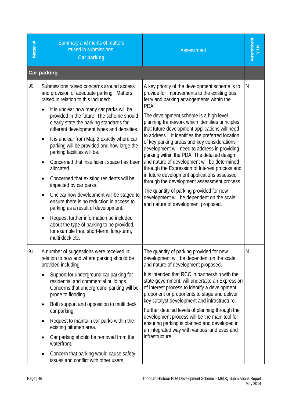| Matter # | Summary and merits of matters<br>raised in submissions:<br><b>Car parking</b>                                                                                                                                                                                                                                                                                                                                                                                                                                                                                                                                                                                                                                                                                                                                                                                                                                  | <b>Assessment</b>                                                                                                                                                                                                                                                                                                                                                                                                                                                                                                                                                                                                                                                                                                                                                                                                                      | Amendment<br>Y/N |
|----------|----------------------------------------------------------------------------------------------------------------------------------------------------------------------------------------------------------------------------------------------------------------------------------------------------------------------------------------------------------------------------------------------------------------------------------------------------------------------------------------------------------------------------------------------------------------------------------------------------------------------------------------------------------------------------------------------------------------------------------------------------------------------------------------------------------------------------------------------------------------------------------------------------------------|----------------------------------------------------------------------------------------------------------------------------------------------------------------------------------------------------------------------------------------------------------------------------------------------------------------------------------------------------------------------------------------------------------------------------------------------------------------------------------------------------------------------------------------------------------------------------------------------------------------------------------------------------------------------------------------------------------------------------------------------------------------------------------------------------------------------------------------|------------------|
|          | <b>Car parking</b>                                                                                                                                                                                                                                                                                                                                                                                                                                                                                                                                                                                                                                                                                                                                                                                                                                                                                             |                                                                                                                                                                                                                                                                                                                                                                                                                                                                                                                                                                                                                                                                                                                                                                                                                                        |                  |
| 90.      | Submissions raised concerns around access<br>and provision of adequate parking. Matters<br>raised in relation to this included:<br>It is unclear how many car parks will be<br>provided in the future. The scheme should<br>clearly state the parking standards for<br>different development types and densities.<br>It is unclear from Map 2 exactly where car<br>$\bullet$<br>parking will be provided and how large the<br>parking facilities will be.<br>Concerned that insufficient space has been<br>$\bullet$<br>allocated.<br>Concerned that existing residents will be<br>impacted by car parks.<br>Unclear how development will be staged to<br>$\bullet$<br>ensure there is no reduction in access to<br>parking as a result of development.<br>Request further information be included<br>about the type of parking to be provided,<br>for example free, short-term, long-term,<br>multi deck etc. | A key priority of the development scheme is to<br>provide for improvements to the existing bus,<br>ferry and parking arrangements within the<br>PDA.<br>The development scheme is a high level<br>planning framework which identifies principles<br>that future development applications will need<br>to address. It identifies the preferred location<br>of key parking areas and key considerations<br>development will need to address in providing<br>parking within the PDA. The detailed design<br>and nature of development will be determined<br>through the Expression of Interest process and<br>in future development applications assessed<br>through the development assessment process.<br>The quantity of parking provided for new<br>development will be dependent on the scale<br>and nature of development proposed. | N                |
| 91.      | A number of suggestions were received in<br>relation to how and where parking should be<br>provided including:<br>Support for underground car parking for<br>residential and commercial buildings.<br>Concerns that underground parking will be<br>prone to flooding.<br>Both support and opposition to multi deck<br>$\bullet$<br>car parking.<br>Request to maintain car parks within the<br>$\bullet$<br>existing bitumen area.<br>Car parking should be removed from the<br>$\bullet$<br>waterfront.<br>Concern that parking would cause safety<br>$\bullet$<br>issues and conflict with other users,                                                                                                                                                                                                                                                                                                      | The quantity of parking provided for new<br>development will be dependent on the scale<br>and nature of development proposed.<br>It is intended that RCC in partnership with the<br>state government, will undertake an Expression<br>of Interest process to identify a development<br>proponent or proponents to stage and deliver<br>key catalyst development and infrastructure.<br>Further detailed levels of planning through the<br>development process will be the main tool for<br>ensuring parking is planned and developed in<br>an integrated way with various land uses and<br>infrastructure.                                                                                                                                                                                                                             | N                |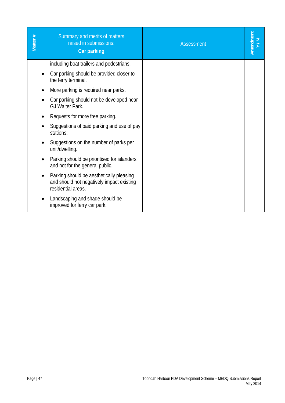| Matter # | Summary and merits of matters<br>raised in submissions:<br>Car parking                                                   | <b>Assessment</b> | Amendment<br>Y/N |
|----------|--------------------------------------------------------------------------------------------------------------------------|-------------------|------------------|
|          | including boat trailers and pedestrians.                                                                                 |                   |                  |
|          | Car parking should be provided closer to<br>$\bullet$<br>the ferry terminal.                                             |                   |                  |
|          | More parking is required near parks.<br>$\bullet$                                                                        |                   |                  |
|          | Car parking should not be developed near<br>٠<br>GJ Walter Park.                                                         |                   |                  |
|          | Requests for more free parking.                                                                                          |                   |                  |
|          | Suggestions of paid parking and use of pay<br>stations.                                                                  |                   |                  |
|          | Suggestions on the number of parks per<br>٠<br>unit/dwelling.                                                            |                   |                  |
|          | Parking should be prioritised for islanders<br>٠<br>and not for the general public.                                      |                   |                  |
|          | Parking should be aesthetically pleasing<br>$\bullet$<br>and should not negatively impact existing<br>residential areas. |                   |                  |
|          | Landscaping and shade should be<br>improved for ferry car park.                                                          |                   |                  |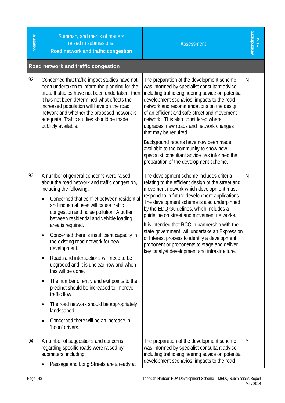| Matter # | Summary and merits of matters<br>raised in submissions:<br>Road network and traffic congestion                                                                                                                                                                                                                                                                                                                                                                                                                                                                                                                                                                                                                                                                                                                 | <b>Assessment</b>                                                                                                                                                                                                                                                                                                                                                                                                                                                                                                                                                                        | kmendment<br>Y/N |
|----------|----------------------------------------------------------------------------------------------------------------------------------------------------------------------------------------------------------------------------------------------------------------------------------------------------------------------------------------------------------------------------------------------------------------------------------------------------------------------------------------------------------------------------------------------------------------------------------------------------------------------------------------------------------------------------------------------------------------------------------------------------------------------------------------------------------------|------------------------------------------------------------------------------------------------------------------------------------------------------------------------------------------------------------------------------------------------------------------------------------------------------------------------------------------------------------------------------------------------------------------------------------------------------------------------------------------------------------------------------------------------------------------------------------------|------------------|
|          | Road network and traffic congestion                                                                                                                                                                                                                                                                                                                                                                                                                                                                                                                                                                                                                                                                                                                                                                            |                                                                                                                                                                                                                                                                                                                                                                                                                                                                                                                                                                                          |                  |
| 92.      | Concerned that traffic impact studies have not<br>been undertaken to inform the planning for the<br>area. If studies have not been undertaken, then<br>it has not been determined what effects the<br>increased population will have on the road<br>network and whether the proposed network is<br>adequate. Traffic studies should be made<br>publicly available.                                                                                                                                                                                                                                                                                                                                                                                                                                             | The preparation of the development scheme<br>was informed by specialist consultant advice<br>including traffic engineering advice on potential<br>development scenarios, impacts to the road<br>network and recommendations on the design<br>of an efficient and safe street and movement<br>network. This also considered where<br>upgrades, new roads and network changes<br>that may be required.                                                                                                                                                                                     | $\mathsf{N}$     |
|          |                                                                                                                                                                                                                                                                                                                                                                                                                                                                                                                                                                                                                                                                                                                                                                                                                | Background reports have now been made<br>available to the community to show how<br>specialist consultant advice has informed the<br>preparation of the development scheme.                                                                                                                                                                                                                                                                                                                                                                                                               |                  |
| 93.      | A number of general concerns were raised<br>about the road network and traffic congestion,<br>including the following:<br>Concerned that conflict between residential<br>$\bullet$<br>and industrial uses will cause traffic<br>congestion and noise pollution. A buffer<br>between residential and vehicle loading<br>area is required.<br>Concerned there is insufficient capacity in<br>the existing road network for new<br>development.<br>Roads and intersections will need to be<br>٠<br>upgraded and it is unclear how and when<br>this will be done.<br>The number of entry and exit points to the<br>٠<br>precinct should be increased to improve<br>traffic flow.<br>The road network should be appropriately<br>٠<br>landscaped.<br>Concerned there will be an increase in<br>٠<br>'hoon' drivers. | The development scheme includes criteria<br>relating to the efficient design of the street and<br>movement network which development must<br>respond to in future development applications.<br>The development scheme is also underpinned<br>by the EDQ Guidelines, which includes a<br>guideline on street and movement networks.<br>It is intended that RCC in partnership with the<br>state government, will undertake an Expression<br>of Interest process to identify a development<br>proponent or proponents to stage and deliver<br>key catalyst development and infrastructure. | $\mathsf{N}$     |
| 94.      | A number of suggestions and concerns<br>regarding specific roads were raised by<br>submitters, including:<br>Passage and Long Streets are already at                                                                                                                                                                                                                                                                                                                                                                                                                                                                                                                                                                                                                                                           | The preparation of the development scheme<br>was informed by specialist consultant advice<br>including traffic engineering advice on potential<br>development scenarios, impacts to the road                                                                                                                                                                                                                                                                                                                                                                                             | Y                |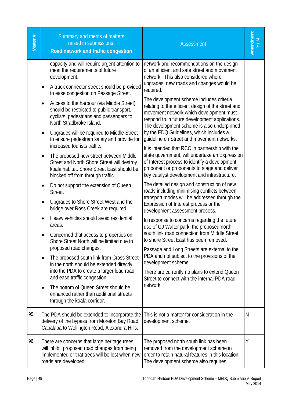| Matter # | Summary and merits of matters<br>raised in submissions:<br>Road network and traffic congestion                                                                                                                                                                                                                                                                                                                                                                                                                                                                                          | <b>Assessment</b>                                                                                                                                                                                                                                                                                                                                                                                                                                                                                                                                                                                                                                                                     | Amendment<br>Y/N |
|----------|-----------------------------------------------------------------------------------------------------------------------------------------------------------------------------------------------------------------------------------------------------------------------------------------------------------------------------------------------------------------------------------------------------------------------------------------------------------------------------------------------------------------------------------------------------------------------------------------|---------------------------------------------------------------------------------------------------------------------------------------------------------------------------------------------------------------------------------------------------------------------------------------------------------------------------------------------------------------------------------------------------------------------------------------------------------------------------------------------------------------------------------------------------------------------------------------------------------------------------------------------------------------------------------------|------------------|
|          | capacity and will require urgent attention to<br>meet the requirements of future<br>development.<br>A truck connector street should be provided<br>to ease congestion on Passage Street.<br>Access to the harbour (via Middle Street)<br>should be restricted to public transport,<br>cyclists, pedestrians and passengers to<br>North Stradbroke Island.<br>Upgrades will be required to Middle Street<br>٠<br>to ensure pedestrian safety and provide for<br>increased tourists traffic.<br>The proposed new street between Middle<br>٠<br>Street and North Shore Street will destroy | network and recommendations on the design<br>of an efficient and safe street and movement<br>network. This also considered where<br>upgrades, new roads and changes would be<br>required.<br>The development scheme includes criteria<br>relating to the efficient design of the street and<br>movement network which development must<br>respond to in future development applications.<br>The development scheme is also underpinned<br>by the EDQ Guidelines, which includes a<br>quideline on Street and movement networks.<br>It is intended that RCC in partnership with the<br>state government, will undertake an Expression<br>of Interest process to identify a development |                  |
|          | koala habitat. Shore Street East should be<br>blocked off from through traffic.<br>Do not support the extension of Queen<br>٠<br>Street.<br>Upgrades to Shore Street West and the<br>٠<br>bridge over Ross Creek are required.<br>Heavy vehicles should avoid residential<br>areas.<br>Concerned that access to properties on<br>٠<br>Shore Street North will be limited due to<br>proposed road changes.<br>The proposed south link from Cross Street<br>$\bullet$<br>in the north should be extended directly<br>into the PDA to create a larger load road                            | proponent or proponents to stage and deliver<br>key catalyst development and infrastructure.<br>The detailed design and construction of new<br>roads including minimising conflicts between<br>transport modes will be addressed through the<br>Expression of Interest process or the<br>development assessment process.<br>In response to concerns regarding the future<br>use of GJ Walter park, the proposed north-<br>south link road connection from Middle Street<br>to shore Street East has been removed.<br>Passage and Long Streets are external to the<br>PDA and not subject to the provisions of the<br>development scheme.                                              |                  |
|          | and ease traffic congestion.<br>The bottom of Queen Street should be<br>enhanced rather than additional streets<br>through the koala corridor.                                                                                                                                                                                                                                                                                                                                                                                                                                          | There are currently no plans to extend Queen<br>Street to connect with the internal PDA road<br>network.                                                                                                                                                                                                                                                                                                                                                                                                                                                                                                                                                                              |                  |
| 95.      | The PDA should be extended to incorporate the<br>delivery of the bypass from Moreton Bay Road,<br>Capalaba to Wellington Road, Alexandra Hills.                                                                                                                                                                                                                                                                                                                                                                                                                                         | This is not a matter for consideration in the<br>development scheme.                                                                                                                                                                                                                                                                                                                                                                                                                                                                                                                                                                                                                  | N                |
| 96.      | There are concerns that large heritage trees<br>will inhibit proposed road changes from being<br>implemented or that trees will be lost when new<br>roads are developed.                                                                                                                                                                                                                                                                                                                                                                                                                | The proposed north south link has been<br>removed from the development scheme in<br>order to retain natural features in this location.<br>The development scheme also requires                                                                                                                                                                                                                                                                                                                                                                                                                                                                                                        | Υ                |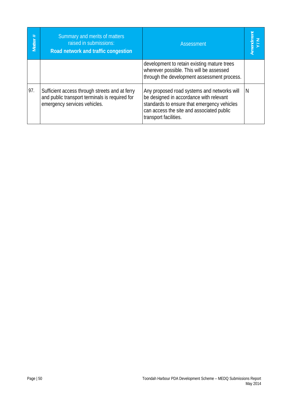| Matter # | Summary and merits of matters<br>raised in submissions:<br>Road network and traffic congestion                                   | Assessment                                                                                                                                                                                                  | Amendment<br>V/N |
|----------|----------------------------------------------------------------------------------------------------------------------------------|-------------------------------------------------------------------------------------------------------------------------------------------------------------------------------------------------------------|------------------|
|          |                                                                                                                                  | development to retain existing mature trees<br>wherever possible. This will be assessed<br>through the development assessment process.                                                                      |                  |
| 97.      | Sufficient access through streets and at ferry<br>and public transport terminals is required for<br>emergency services vehicles. | Any proposed road systems and networks will<br>be designed in accordance with relevant<br>standards to ensure that emergency vehicles<br>can access the site and associated public<br>transport facilities. | N                |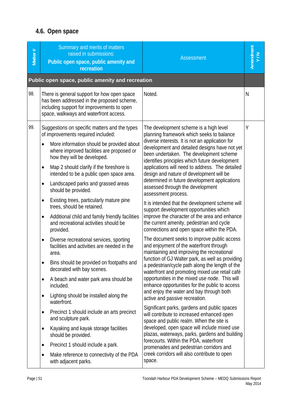# **4.6. Open space**

| Matter # | Summary and merits of matters<br>raised in submissions:<br>Public open space, public amenity and<br>recreation                                                                                                                                           | <b>Assessment</b>                                                                                                                                                                                                                                                                                                                       | Amendment<br>Y/N |
|----------|----------------------------------------------------------------------------------------------------------------------------------------------------------------------------------------------------------------------------------------------------------|-----------------------------------------------------------------------------------------------------------------------------------------------------------------------------------------------------------------------------------------------------------------------------------------------------------------------------------------|------------------|
|          | Public open space, public amenity and recreation                                                                                                                                                                                                         |                                                                                                                                                                                                                                                                                                                                         |                  |
| 98.      | There is general support for how open space<br>has been addressed in the proposed scheme,<br>including support for improvements to open<br>space, walkways and waterfront access.                                                                        | Noted.                                                                                                                                                                                                                                                                                                                                  | N                |
| 99.      | Suggestions on specific matters and the types<br>of improvements required included:<br>More information should be provided about<br>where improved facilities are proposed or<br>how they will be developed.<br>Map 2 should clarify if the foreshore is | The development scheme is a high level<br>planning framework which seeks to balance<br>diverse interests. It is not an application for<br>development and detailed designs have not yet<br>been undertaken. The development scheme<br>identifies principles which future development<br>applications will need to address. The detailed | Υ                |
|          | intended to be a public open space area.<br>Landscaped parks and grassed areas<br>should be provided.                                                                                                                                                    | design and nature of development will be<br>determined in future development applications<br>assessed through the development<br>assessment process.                                                                                                                                                                                    |                  |
|          | Existing trees, particularly mature pine<br>$\bullet$<br>trees, should be retained.<br>Additional child and family friendly facilities<br>$\bullet$<br>and recreational activities should be<br>provided.                                                | It is intended that the development scheme will<br>support development opportunities which<br>improve the character of the area and enhance<br>the current amenity, pedestrian and cycle<br>connections and open space within the PDA.                                                                                                  |                  |
|          | Diverse recreational services, sporting<br>$\bullet$<br>facilities and activities are needed in the<br>area.                                                                                                                                             | The document seeks to improve public access<br>and enjoyment of the waterfront through<br>maintaining and improving the recreational<br>function of GJ Walter park, as well as providing                                                                                                                                                |                  |
|          | Bins should be provided on footpaths and<br>$\bullet$<br>decorated with bay scenes.                                                                                                                                                                      | a pedestrian/cycle path along the length of the<br>waterfront and promoting mixed use retail café                                                                                                                                                                                                                                       |                  |
|          | A beach and water park area should be<br>included.                                                                                                                                                                                                       | opportunities in the mixed use node. This will<br>enhance opportunities for the public to access                                                                                                                                                                                                                                        |                  |
|          | Lighting should be installed along the<br>waterfront.                                                                                                                                                                                                    | and enjoy the water and bay through both<br>active and passive recreation.                                                                                                                                                                                                                                                              |                  |
|          | Precinct 1 should include an arts precinct<br>$\bullet$<br>and sculpture park.                                                                                                                                                                           | Significant parks, gardens and public spaces<br>will contribute to increased enhanced open<br>space and public realm. When the site is                                                                                                                                                                                                  |                  |
|          | Kayaking and kayak storage facilities<br>should be provided.                                                                                                                                                                                             | developed, open space will include mixed use<br>plazas, waterways, parks, gardens and building                                                                                                                                                                                                                                          |                  |
|          | Precinct 1 should include a park.                                                                                                                                                                                                                        | forecourts. Within the PDA, waterfront<br>promenades and pedestrian corridors and                                                                                                                                                                                                                                                       |                  |
|          | Make reference to connectivity of the PDA<br>$\bullet$<br>with adjacent parks.                                                                                                                                                                           | creek corridors will also contribute to open<br>space.                                                                                                                                                                                                                                                                                  |                  |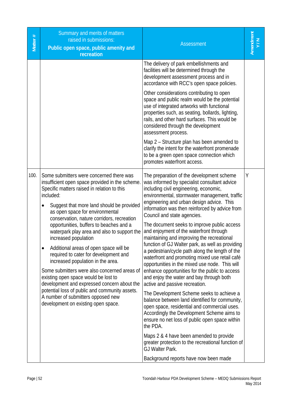| Matter # | Summary and merits of matters<br>raised in submissions:<br>Public open space, public amenity and<br>recreation                                                                                                                                                                                                                                                                                                                                                                                                                                                                                                                                                                                                                                                                                                     | <b>Assessment</b>                                                                                                                                                                                                                                                                                                                                                                                                                                                                                                                                                                                                                                                                                                                                                                                                                                                                                                                                                                                                                                                                                                                                                                                                             | Amendment<br>Y/N |
|----------|--------------------------------------------------------------------------------------------------------------------------------------------------------------------------------------------------------------------------------------------------------------------------------------------------------------------------------------------------------------------------------------------------------------------------------------------------------------------------------------------------------------------------------------------------------------------------------------------------------------------------------------------------------------------------------------------------------------------------------------------------------------------------------------------------------------------|-------------------------------------------------------------------------------------------------------------------------------------------------------------------------------------------------------------------------------------------------------------------------------------------------------------------------------------------------------------------------------------------------------------------------------------------------------------------------------------------------------------------------------------------------------------------------------------------------------------------------------------------------------------------------------------------------------------------------------------------------------------------------------------------------------------------------------------------------------------------------------------------------------------------------------------------------------------------------------------------------------------------------------------------------------------------------------------------------------------------------------------------------------------------------------------------------------------------------------|------------------|
|          |                                                                                                                                                                                                                                                                                                                                                                                                                                                                                                                                                                                                                                                                                                                                                                                                                    | The delivery of park embellishments and<br>facilities will be determined through the<br>development assessment process and in<br>accordance with RCC's open space policies.<br>Other considerations contributing to open<br>space and public realm would be the potential<br>use of integrated artworks with functional<br>properties such, as seating, bollards, lighting,<br>rails, and other hard surfaces. This would be<br>considered through the development<br>assessment process.<br>Map 2 - Structure plan has been amended to<br>clarify the intent for the waterfront promenade<br>to be a green open space connection which<br>promotes waterfront access.                                                                                                                                                                                                                                                                                                                                                                                                                                                                                                                                                        |                  |
| 100.     | Some submitters were concerned there was<br>insufficient open space provided in the scheme.<br>Specific matters raised in relation to this<br>included:<br>Suggest that more land should be provided<br>as open space for environmental<br>conservation, nature corridors, recreation<br>opportunities, buffers to beaches and a<br>waterpark play area and also to support the<br>increased population<br>Additional areas of open space will be<br>$\bullet$<br>required to cater for development and<br>increased population in the area.<br>Some submitters were also concerned areas of<br>existing open space would be lost to<br>development and expressed concern about the<br>potential loss of public and community assets.<br>A number of submitters opposed new<br>development on existing open space. | The preparation of the development scheme<br>was informed by specialist consultant advice<br>including civil engineering, economic,<br>environmental, stormwater management, traffic<br>engineering and urban design advice. This<br>information was then reinforced by advice from<br>Council and state agencies.<br>The document seeks to improve public access<br>and enjoyment of the waterfront through<br>maintaining and improving the recreational<br>function of GJ Walter park, as well as providing<br>a pedestrian/cycle path along the length of the<br>waterfront and promoting mixed use retail café<br>opportunities in the mixed use node. This will<br>enhance opportunities for the public to access<br>and enjoy the water and bay through both<br>active and passive recreation.<br>The Development Scheme seeks to achieve a<br>balance between land identified for community,<br>open space, residential and commercial uses.<br>Accordingly the Development Scheme aims to<br>ensure no net loss of public open space within<br>the PDA.<br>Maps 2 & 4 have been amended to provide<br>greater protection to the recreational function of<br>GJ Walter Park.<br>Background reports have now been made | Υ                |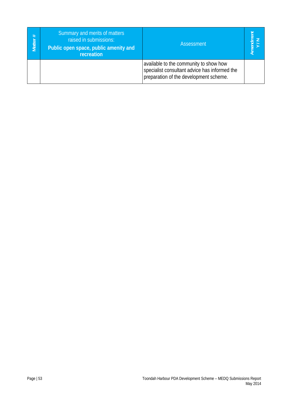| Matter # | Summary and merits of matters<br>raised in submissions:<br>Public open space, public amenity and<br>recreation | Assessment                                                                                                                        |  |
|----------|----------------------------------------------------------------------------------------------------------------|-----------------------------------------------------------------------------------------------------------------------------------|--|
|          |                                                                                                                | available to the community to show how<br>specialist consultant advice has informed the<br>preparation of the development scheme. |  |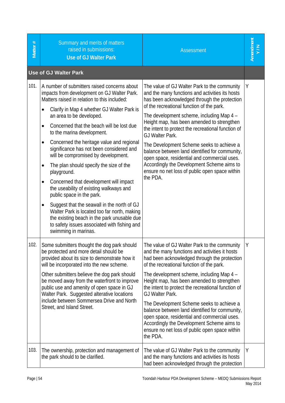| Matter # | Summary and merits of matters<br>raised in submissions:<br><b>Use of GJ Walter Park</b>                                                                                                                                                                                                                                                                                                                                                                                                                                                                                                                                                                                                                                                                                                                                                                                                  | <b>Assessment</b>                                                                                                                                                                                                                                                                                                                                                                                                                                                                                                                                                                                                           |   |
|----------|------------------------------------------------------------------------------------------------------------------------------------------------------------------------------------------------------------------------------------------------------------------------------------------------------------------------------------------------------------------------------------------------------------------------------------------------------------------------------------------------------------------------------------------------------------------------------------------------------------------------------------------------------------------------------------------------------------------------------------------------------------------------------------------------------------------------------------------------------------------------------------------|-----------------------------------------------------------------------------------------------------------------------------------------------------------------------------------------------------------------------------------------------------------------------------------------------------------------------------------------------------------------------------------------------------------------------------------------------------------------------------------------------------------------------------------------------------------------------------------------------------------------------------|---|
|          | <b>Use of GJ Walter Park</b>                                                                                                                                                                                                                                                                                                                                                                                                                                                                                                                                                                                                                                                                                                                                                                                                                                                             |                                                                                                                                                                                                                                                                                                                                                                                                                                                                                                                                                                                                                             |   |
| 101.     | A number of submitters raised concerns about<br>impacts from development on GJ Walter Park.<br>Matters raised in relation to this included:<br>Clarify in Map 4 whether GJ Walter Park is<br>$\bullet$<br>an area to be developed.<br>Concerned that the beach will be lost due<br>$\bullet$<br>to the marina development.<br>Concerned the heritage value and regional<br>$\bullet$<br>significance has not been considered and<br>will be compromised by development.<br>The plan should specify the size of the<br>٠<br>playground.<br>Concerned that development will impact<br>٠<br>the useability of existing walkways and<br>public space in the park.<br>Suggest that the seawall in the north of GJ<br>٠<br>Walter Park is located too far north, making<br>the existing beach in the park unusable due<br>to safety issues associated with fishing and<br>swimming in marinas. | The value of GJ Walter Park to the community<br>and the many functions and activities its hosts<br>has been acknowledged through the protection<br>of the recreational function of the park.<br>The development scheme, including Map 4 -<br>Height map, has been amended to strengthen<br>the intent to protect the recreational function of<br>GJ Walter Park.<br>The Development Scheme seeks to achieve a<br>balance between land identified for community,<br>open space, residential and commercial uses.<br>Accordingly the Development Scheme aims to<br>ensure no net loss of public open space within<br>the PDA. | Y |
| 102.     | Some submitters thought the dog park should<br>be protected and more detail should be<br>provided about its size to demonstrate how it<br>will be incorporated into the new scheme.<br>Other submitters believe the dog park should<br>be moved away from the waterfront to improve<br>public use and amenity of open space in GJ<br>Walter Park. Suggested alterative locations<br>include between Sommersea Drive and North<br>Street, and Island Street.                                                                                                                                                                                                                                                                                                                                                                                                                              | The value of GJ Walter Park to the community<br>and the many functions and activities it hosts<br>had been acknowledged through the protection<br>of the recreational function of the park.<br>The development scheme, including Map 4 -<br>Height map, has been amended to strengthen<br>the intent to protect the recreational function of<br>GJ Walter Park.<br>The Development Scheme seeks to achieve a<br>balance between land identified for community,<br>open space, residential and commercial uses.<br>Accordingly the Development Scheme aims to<br>ensure no net loss of public open space within<br>the PDA.  | Υ |
| 103.     | The ownership, protection and management of<br>the park should to be clarified.                                                                                                                                                                                                                                                                                                                                                                                                                                                                                                                                                                                                                                                                                                                                                                                                          | The value of GJ Walter Park to the community<br>and the many functions and activities its hosts<br>had been acknowledged through the protection                                                                                                                                                                                                                                                                                                                                                                                                                                                                             | Υ |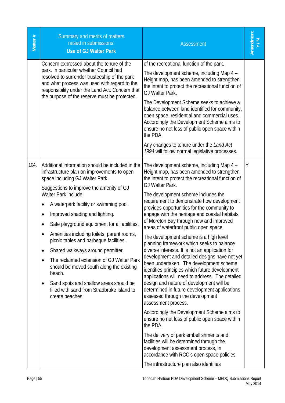| Matter # | Summary and merits of matters<br>raised in submissions:<br><b>Use of GJ Walter Park</b>                                                                                                                                                                                                                                                                                                                                                                                                                                                                                                                                                                                                                                                                          | <b>Assessment</b>                                                                                                                                                                                                                                                                                                                                                                                                                                                                                                                                                                                                                                                                                                                                                                                                                                                                                                                                                                                                                                                                                                                                                                                                                                                                | Amendment<br>N/V |
|----------|------------------------------------------------------------------------------------------------------------------------------------------------------------------------------------------------------------------------------------------------------------------------------------------------------------------------------------------------------------------------------------------------------------------------------------------------------------------------------------------------------------------------------------------------------------------------------------------------------------------------------------------------------------------------------------------------------------------------------------------------------------------|----------------------------------------------------------------------------------------------------------------------------------------------------------------------------------------------------------------------------------------------------------------------------------------------------------------------------------------------------------------------------------------------------------------------------------------------------------------------------------------------------------------------------------------------------------------------------------------------------------------------------------------------------------------------------------------------------------------------------------------------------------------------------------------------------------------------------------------------------------------------------------------------------------------------------------------------------------------------------------------------------------------------------------------------------------------------------------------------------------------------------------------------------------------------------------------------------------------------------------------------------------------------------------|------------------|
|          | Concern expressed about the tenure of the<br>park. In particular whether Council had<br>resolved to surrender trusteeship of the park<br>and what process was used with regard to the<br>responsibility under the Land Act. Concern that<br>the purpose of the reserve must be protected.                                                                                                                                                                                                                                                                                                                                                                                                                                                                        | of the recreational function of the park.<br>The development scheme, including Map 4 -<br>Height map, has been amended to strengthen<br>the intent to protect the recreational function of<br>GJ Walter Park.<br>The Development Scheme seeks to achieve a<br>balance between land identified for community,<br>open space, residential and commercial uses.<br>Accordingly the Development Scheme aims to<br>ensure no net loss of public open space within<br>the PDA.<br>Any changes to tenure under the Land Act<br>1994 will follow normal legislative processes.                                                                                                                                                                                                                                                                                                                                                                                                                                                                                                                                                                                                                                                                                                           |                  |
| 104.     | Additional information should be included in the<br>infrastructure plan on improvements to open<br>space including GJ Walter Park.<br>Suggestions to improve the amenity of GJ<br>Walter Park include:<br>A waterpark facility or swimming pool.<br>$\bullet$<br>Improved shading and lighting.<br>$\bullet$<br>Safe playground equipment for all abilities.<br>$\bullet$<br>Amenities including toilets, parent rooms,<br>$\bullet$<br>picnic tables and barbeque facilities.<br>Shared walkways around permitter.<br>$\bullet$<br>The reclaimed extension of GJ Walter Park<br>٠<br>should be moved south along the existing<br>beach.<br>Sand spots and shallow areas should be<br>$\bullet$<br>filled with sand from Stradbroke Island to<br>create beaches. | The development scheme, including Map 4 -<br>Height map, has been amended to strengthen<br>the intent to protect the recreational function of<br>GJ Walter Park.<br>The development scheme includes the<br>requirement to demonstrate how development<br>provides opportunities for the community to<br>engage with the heritage and coastal habitats<br>of Moreton Bay through new and improved<br>areas of waterfront public open space.<br>The development scheme is a high level<br>planning framework which seeks to balance<br>diverse interests. It is not an application for<br>development and detailed designs have not yet<br>been undertaken. The development scheme<br>identifies principles which future development<br>applications will need to address. The detailed<br>design and nature of development will be<br>determined in future development applications<br>assessed through the development<br>assessment process.<br>Accordingly the Development Scheme aims to<br>ensure no net loss of public open space within<br>the PDA.<br>The delivery of park embellishments and<br>facilities will be determined through the<br>development assessment process, in<br>accordance with RCC's open space policies.<br>The infrastructure plan also identifies | Y                |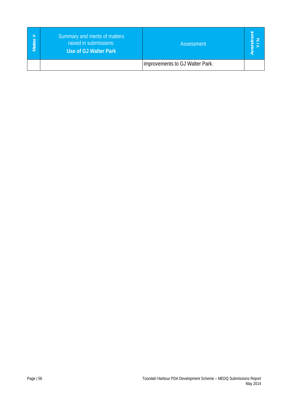| #<br>Matte <u>r</u> | Summary and merits of matters<br>raised in submissions:<br>Use of GJ Walter Park | Assessment                      |  |
|---------------------|----------------------------------------------------------------------------------|---------------------------------|--|
|                     |                                                                                  | improvements to GJ Walter Park. |  |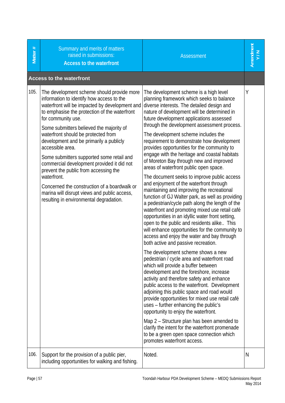| Matter # | Summary and merits of matters<br>raised in submissions:<br><b>Access to the waterfront</b>                                                                                                                                                                                                                                                                                                                                                                                                                                                                                                                                                                       | <b>Assessment</b>                                                                                                                                                                                                                                                                                                                                                                                                                                                                                                                                                                                                                                                                                                                                                                                                                                                                                                                                                                                                                                                                                                                                                                                                                                                                                                                                                                                                                                                                                                                                                                                                                                                                                                                    | Amendment<br>Y/N |
|----------|------------------------------------------------------------------------------------------------------------------------------------------------------------------------------------------------------------------------------------------------------------------------------------------------------------------------------------------------------------------------------------------------------------------------------------------------------------------------------------------------------------------------------------------------------------------------------------------------------------------------------------------------------------------|--------------------------------------------------------------------------------------------------------------------------------------------------------------------------------------------------------------------------------------------------------------------------------------------------------------------------------------------------------------------------------------------------------------------------------------------------------------------------------------------------------------------------------------------------------------------------------------------------------------------------------------------------------------------------------------------------------------------------------------------------------------------------------------------------------------------------------------------------------------------------------------------------------------------------------------------------------------------------------------------------------------------------------------------------------------------------------------------------------------------------------------------------------------------------------------------------------------------------------------------------------------------------------------------------------------------------------------------------------------------------------------------------------------------------------------------------------------------------------------------------------------------------------------------------------------------------------------------------------------------------------------------------------------------------------------------------------------------------------------|------------------|
|          | <b>Access to the waterfront</b>                                                                                                                                                                                                                                                                                                                                                                                                                                                                                                                                                                                                                                  |                                                                                                                                                                                                                                                                                                                                                                                                                                                                                                                                                                                                                                                                                                                                                                                                                                                                                                                                                                                                                                                                                                                                                                                                                                                                                                                                                                                                                                                                                                                                                                                                                                                                                                                                      |                  |
| 105.     | The development scheme should provide more<br>information to identify how access to the<br>waterfront will be impacted by development and<br>to emphasise the protection of the waterfront<br>for community use.<br>Some submitters believed the majority of<br>waterfront should be protected from<br>development and be primarily a publicly<br>accessible area.<br>Some submitters supported some retail and<br>commercial development provided it did not<br>prevent the public from accessing the<br>waterfront.<br>Concerned the construction of a boardwalk or<br>marina will disrupt views and public access,<br>resulting in environmental degradation. | The development scheme is a high level<br>planning framework which seeks to balance<br>diverse interests. The detailed design and<br>nature of development will be determined in<br>future development applications assessed<br>through the development assessment process.<br>The development scheme includes the<br>requirement to demonstrate how development<br>provides opportunities for the community to<br>engage with the heritage and coastal habitats<br>of Moreton Bay through new and improved<br>areas of waterfront public open space.<br>The document seeks to improve public access<br>and enjoyment of the waterfront through<br>maintaining and improving the recreational<br>function of GJ Walter park, as well as providing<br>a pedestrian/cycle path along the length of the<br>waterfront and promoting mixed use retail café<br>opportunities in an idyllic water front setting,<br>open to the public and residents alike This<br>will enhance opportunities for the community to<br>access and enjoy the water and bay through<br>both active and passive recreation.<br>The development scheme shows a new<br>pedestrian / cycle area and waterfront road<br>which will provide a buffer between<br>development and the foreshore, increase<br>activity and therefore safety and enhance<br>public access to the waterfront. Development<br>adjoining this public space and road would<br>provide opportunities for mixed use retail café<br>uses - further enhancing the public's<br>opportunity to enjoy the waterfront.<br>Map 2 – Structure plan has been amended to<br>clarify the intent for the waterfront promenade<br>to be a green open space connection which<br>promotes waterfront access. | Y                |
| 106.     | Support for the provision of a public pier,<br>including opportunities for walking and fishing.                                                                                                                                                                                                                                                                                                                                                                                                                                                                                                                                                                  | Noted.                                                                                                                                                                                                                                                                                                                                                                                                                                                                                                                                                                                                                                                                                                                                                                                                                                                                                                                                                                                                                                                                                                                                                                                                                                                                                                                                                                                                                                                                                                                                                                                                                                                                                                                               | N                |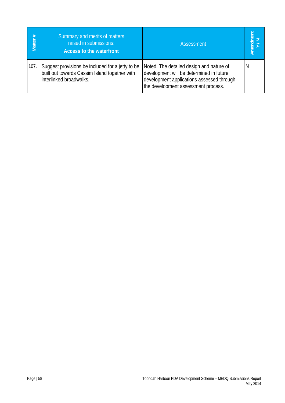| Matter # | Summary and merits of matters<br>raised in submissions:<br><b>Access to the waterfront</b>                                   | <b>Assessment</b>                                                                                                                                                        | Amend<br>V |
|----------|------------------------------------------------------------------------------------------------------------------------------|--------------------------------------------------------------------------------------------------------------------------------------------------------------------------|------------|
| 107.     | Suggest provisions be included for a jetty to be<br>built out towards Cassim Island together with<br>interlinked broadwalks. | Noted. The detailed design and nature of<br>development will be determined in future<br>development applications assessed through<br>the development assessment process. | N          |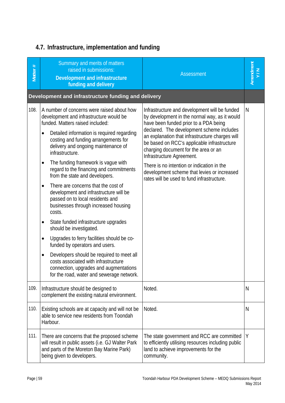# **4.7. Infrastructure, implementation and funding**

| Matter # | Summary and merits of matters<br>raised in submissions:<br>Development and infrastructure<br>funding and delivery                                                                     | <b>Assessment</b>                                                                                                                                                                                                | Amendment<br>Y/N |
|----------|---------------------------------------------------------------------------------------------------------------------------------------------------------------------------------------|------------------------------------------------------------------------------------------------------------------------------------------------------------------------------------------------------------------|------------------|
|          | Development and infrastructure funding and delivery                                                                                                                                   |                                                                                                                                                                                                                  |                  |
| 108.     | A number of concerns were raised about how<br>development and infrastructure would be<br>funded. Matters raised included:                                                             | Infrastructure and development will be funded<br>by development in the normal way, as it would<br>have been funded prior to a PDA being                                                                          | N                |
|          | Detailed information is required regarding<br>٠<br>costing and funding arrangements for<br>delivery and ongoing maintenance of<br>infrastructure.                                     | declared. The development scheme includes<br>an explanation that infrastructure charges will<br>be based on RCC's applicable infrastructure<br>charging document for the area or an<br>Infrastructure Agreement. |                  |
|          | The funding framework is vague with<br>$\bullet$<br>regard to the financing and commitments<br>from the state and developers.                                                         | There is no intention or indication in the<br>development scheme that levies or increased<br>rates will be used to fund infrastructure.                                                                          |                  |
|          | There are concerns that the cost of<br>$\bullet$<br>development and infrastructure will be<br>passed on to local residents and<br>businesses through increased housing<br>costs.      |                                                                                                                                                                                                                  |                  |
|          | State funded infrastructure upgrades<br>٠<br>should be investigated.                                                                                                                  |                                                                                                                                                                                                                  |                  |
|          | Upgrades to ferry facilities should be co-<br>٠<br>funded by operators and users.                                                                                                     |                                                                                                                                                                                                                  |                  |
|          | Developers should be required to meet all<br>$\bullet$<br>costs associated with infrastructure<br>connection, upgrades and augmentations<br>for the road, water and sewerage network. |                                                                                                                                                                                                                  |                  |
| 109.     | Infrastructure should be designed to<br>complement the existing natural environment.                                                                                                  | Noted.                                                                                                                                                                                                           | N                |
| 110.     | Existing schools are at capacity and will not be<br>able to service new residents from Toondah<br>Harbour.                                                                            | Noted.                                                                                                                                                                                                           | N                |
| 111.     | There are concerns that the proposed scheme<br>will result in public assets (i.e. GJ Walter Park<br>and parts of the Moreton Bay Marine Park)<br>being given to developers.           | The state government and RCC are committed<br>to efficiently utilising resources including public<br>land to achieve improvements for the<br>community.                                                          | Y                |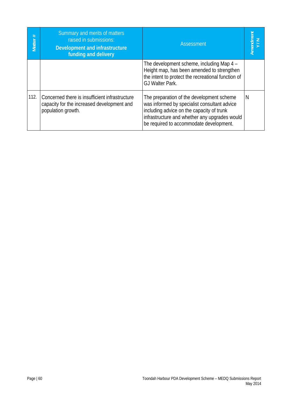| Matter # | Summary and merits of matters<br>raised in submissions:<br>Development and infrastructure<br>funding and delivery  | Assessment                                                                                                                                                                                                                         | Amendment<br>Y/N |
|----------|--------------------------------------------------------------------------------------------------------------------|------------------------------------------------------------------------------------------------------------------------------------------------------------------------------------------------------------------------------------|------------------|
|          |                                                                                                                    | The development scheme, including Map 4 -<br>Height map, has been amended to strengthen<br>the intent to protect the recreational function of<br>GJ Walter Park.                                                                   |                  |
| 112.     | Concerned there is insufficient infrastructure<br>capacity for the increased development and<br>population growth. | The preparation of the development scheme<br>was informed by specialist consultant advice<br>including advice on the capacity of trunk<br>infrastructure and whether any upgrades would<br>be required to accommodate development. | N                |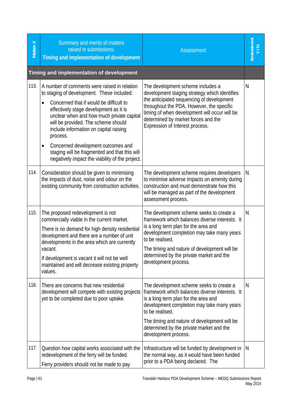| Matter # | Summary and merits of matters<br>raised in submissions:<br>Timing and implementation of development                                                                                                                                                                                                                                                                                                                                                                                           | <b>Assessment</b>                                                                                                                                                                                                                                                                                                       |              |
|----------|-----------------------------------------------------------------------------------------------------------------------------------------------------------------------------------------------------------------------------------------------------------------------------------------------------------------------------------------------------------------------------------------------------------------------------------------------------------------------------------------------|-------------------------------------------------------------------------------------------------------------------------------------------------------------------------------------------------------------------------------------------------------------------------------------------------------------------------|--------------|
|          | Timing and implementation of development                                                                                                                                                                                                                                                                                                                                                                                                                                                      |                                                                                                                                                                                                                                                                                                                         |              |
| 113.     | A number of comments were raised in relation<br>to staging of development. These included:<br>Concerned that if would be difficult to<br>$\bullet$<br>effectively stage development as it is<br>unclear when and how much private capital<br>will be provided. The scheme should<br>include information on capital raising<br>process.<br>Concerned development outcomes and<br>$\bullet$<br>staging will be fragmented and that this will<br>negatively impact the viability of the project. | The development scheme includes a<br>development staging strategy which identifies<br>the anticipated sequencing of development<br>throughout the PDA. However, the specific<br>timing of when development will occur will be<br>determined by market forces and the<br>Expression of Interest process.                 | N            |
| 114.     | Consideration should be given to minimising<br>the impacts of dust, noise and odour on the<br>existing community from construction activities.                                                                                                                                                                                                                                                                                                                                                | The development scheme requires developers<br>to minimise adverse impacts on amenity during<br>construction and must demonstrate how this<br>will be managed as part of the development<br>assessment process.                                                                                                          | N            |
| 115.     | The proposed redevelopment is not<br>commercially viable in the current market.<br>There is no demand for high density residential<br>development and there are a number of unit<br>developments in the area which are currently<br>vacant.<br>If development is vacant it will not be well<br>maintained and will decrease existing property<br>values.                                                                                                                                      | The development scheme seeks to create a<br>framework which balances diverse interests. It<br>is a long term plan for the area and<br>development completion may take many years<br>to be realised.<br>The timing and nature of development will be<br>determined by the private market and the<br>development process. | $\mathsf{N}$ |
| 116.     | There are concerns that new residential<br>development will compete with existing projects<br>yet to be completed due to poor uptake.                                                                                                                                                                                                                                                                                                                                                         | The development scheme seeks to create a<br>framework which balances diverse interests. It<br>is a long term plan for the area and<br>development completion may take many years<br>to be realised.<br>The timing and nature of development will be<br>determined by the private market and the<br>development process. | N            |
| 117.     | Question how capital works associated with the<br>redevelopment of the ferry will be funded.<br>Ferry providers should not be made to pay                                                                                                                                                                                                                                                                                                                                                     | Infrastructure will be funded by development in<br>the normal way, as it would have been funded<br>prior to a PDA being declared. The                                                                                                                                                                                   | N            |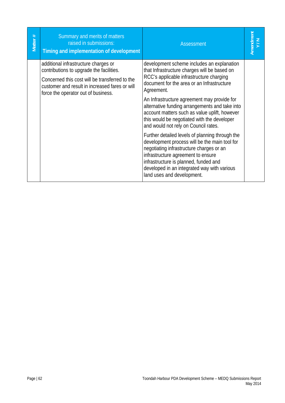| Matter # | Summary and merits of matters<br>raised in submissions:<br>Timing and implementation of development                                                                                                                         | <b>Assessment</b>                                                                                                                                                                                                                                                                                                                                                                                                                                                                                                                                                                                                                                                                                                                                       | Amendment<br>Y/N |
|----------|-----------------------------------------------------------------------------------------------------------------------------------------------------------------------------------------------------------------------------|---------------------------------------------------------------------------------------------------------------------------------------------------------------------------------------------------------------------------------------------------------------------------------------------------------------------------------------------------------------------------------------------------------------------------------------------------------------------------------------------------------------------------------------------------------------------------------------------------------------------------------------------------------------------------------------------------------------------------------------------------------|------------------|
|          | additional infrastructure charges or<br>contributions to upgrade the facilities.<br>Concerned this cost will be transferred to the<br>customer and result in increased fares or will<br>force the operator out of business. | development scheme includes an explanation<br>that Infrastructure charges will be based on<br>RCC's applicable infrastructure charging<br>document for the area or an Infrastructure<br>Agreement.<br>An Infrastructure agreement may provide for<br>alternative funding arrangements and take into<br>account matters such as value uplift, however<br>this would be negotiated with the developer<br>and would not rely on Council rates.<br>Further detailed levels of planning through the<br>development process will be the main tool for<br>negotiating infrastructure charges or an<br>infrastructure agreement to ensure<br>infrastructure is planned, funded and<br>developed in an integrated way with various<br>land uses and development. |                  |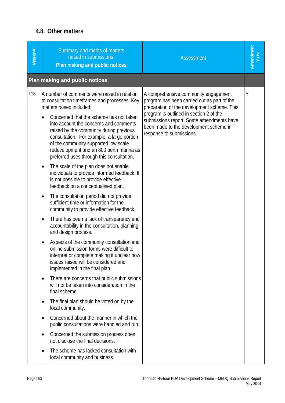#### **4.8. Other matters**

| Matter # | Summary and merits of matters<br>raised in submissions:<br>Plan making and public notices                                                                                                                                                                        | <b>Assessment</b>                                                                                                                                                                                                                                                                               | Amendment<br>Y/N |
|----------|------------------------------------------------------------------------------------------------------------------------------------------------------------------------------------------------------------------------------------------------------------------|-------------------------------------------------------------------------------------------------------------------------------------------------------------------------------------------------------------------------------------------------------------------------------------------------|------------------|
|          | Plan making and public notices                                                                                                                                                                                                                                   |                                                                                                                                                                                                                                                                                                 |                  |
| 118.     | A number of comments were raised in relation<br>to consultation timeframes and processes. Key<br>matters raised included:<br>Concerned that the scheme has not taken<br>$\bullet$                                                                                | A comprehensive community engagement<br>program has been carried out as part of the<br>preparation of the development scheme. This<br>program is outlined in section 2 of the<br>submissions report. Some amendments have<br>been made to the development scheme in<br>response to submissions. | Y                |
|          | into account the concerns and comments<br>raised by the community during previous<br>consultation. For example, a large portion<br>of the community supported low scale<br>redevelopment and an 800 berth marina as<br>preferred uses through this consultation. |                                                                                                                                                                                                                                                                                                 |                  |
|          | The scale of the plan does not enable<br>$\bullet$<br>individuals to provide informed feedback. It<br>is not possible to provide effective<br>feedback on a conceptualised plan.                                                                                 |                                                                                                                                                                                                                                                                                                 |                  |
|          | The consultation period did not provide<br>$\bullet$<br>sufficient time or information for the<br>community to provide effective feedback.                                                                                                                       |                                                                                                                                                                                                                                                                                                 |                  |
|          | There has been a lack of transparency and<br>$\bullet$<br>accountability in the consultation, planning<br>and design process.                                                                                                                                    |                                                                                                                                                                                                                                                                                                 |                  |
|          | Aspects of the community consultation and<br>$\bullet$<br>online submission forms were difficult to<br>interpret or complete making it unclear how<br>issues raised will be considered and<br>implemented in the final plan.                                     |                                                                                                                                                                                                                                                                                                 |                  |
|          | There are concerns that public submissions<br>$\bullet$<br>will not be taken into consideration in the<br>final scheme.                                                                                                                                          |                                                                                                                                                                                                                                                                                                 |                  |
|          | The final plan should be voted on by the<br>$\bullet$<br>local community.                                                                                                                                                                                        |                                                                                                                                                                                                                                                                                                 |                  |
|          | Concerned about the manner in which the<br>$\bullet$<br>public consultations were handled and run.                                                                                                                                                               |                                                                                                                                                                                                                                                                                                 |                  |
|          | Concerned the submission process does<br>$\bullet$<br>not disclose the final decisions.                                                                                                                                                                          |                                                                                                                                                                                                                                                                                                 |                  |
|          | The scheme has lacked consultation with<br>$\bullet$<br>local community and business.                                                                                                                                                                            |                                                                                                                                                                                                                                                                                                 |                  |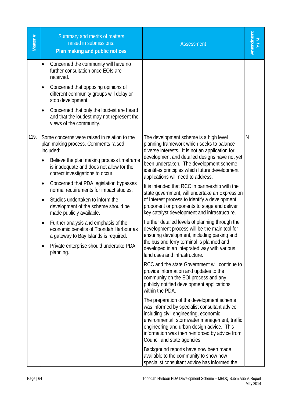| Matter # | Summary and merits of matters<br>raised in submissions:<br>Plan making and public notices                                                                                                                                                                                                                                                                                                                                                                                                                                                                                                                                                                           | <b>Assessment</b>                                                                                                                                                                                                                                                                                                                                                                                                                                                                                                                                                                                                                                                                                                                                                                                                                                                                                                                                                                                                                                                                                                                                                                                                                                                                                                                                                                                                                                                                                                              | Amendment |
|----------|---------------------------------------------------------------------------------------------------------------------------------------------------------------------------------------------------------------------------------------------------------------------------------------------------------------------------------------------------------------------------------------------------------------------------------------------------------------------------------------------------------------------------------------------------------------------------------------------------------------------------------------------------------------------|--------------------------------------------------------------------------------------------------------------------------------------------------------------------------------------------------------------------------------------------------------------------------------------------------------------------------------------------------------------------------------------------------------------------------------------------------------------------------------------------------------------------------------------------------------------------------------------------------------------------------------------------------------------------------------------------------------------------------------------------------------------------------------------------------------------------------------------------------------------------------------------------------------------------------------------------------------------------------------------------------------------------------------------------------------------------------------------------------------------------------------------------------------------------------------------------------------------------------------------------------------------------------------------------------------------------------------------------------------------------------------------------------------------------------------------------------------------------------------------------------------------------------------|-----------|
|          | Concerned the community will have no<br>further consultation once EOIs are<br>received.<br>Concerned that opposing opinions of<br>$\bullet$<br>different community groups will delay or<br>stop development.<br>Concerned that only the loudest are heard<br>$\bullet$<br>and that the loudest may not represent the<br>views of the community.                                                                                                                                                                                                                                                                                                                     |                                                                                                                                                                                                                                                                                                                                                                                                                                                                                                                                                                                                                                                                                                                                                                                                                                                                                                                                                                                                                                                                                                                                                                                                                                                                                                                                                                                                                                                                                                                                |           |
| 119.     | Some concerns were raised in relation to the<br>plan making process. Comments raised<br>included:<br>Believe the plan making process timeframe<br>$\bullet$<br>is inadequate and does not allow for the<br>correct investigations to occur.<br>Concerned that PDA legislation bypasses<br>$\bullet$<br>normal requirements for impact studies.<br>Studies undertaken to inform the<br>$\bullet$<br>development of the scheme should be<br>made publicly available.<br>Further analysis and emphasis of the<br>$\bullet$<br>economic benefits of Toondah Harbour as<br>a gateway to Bay Islands is required.<br>Private enterprise should undertake PDA<br>planning. | The development scheme is a high level<br>planning framework which seeks to balance<br>diverse interests. It is not an application for<br>development and detailed designs have not yet<br>been undertaken. The development scheme<br>identifies principles which future development<br>applications will need to address.<br>It is intended that RCC in partnership with the<br>state government, will undertake an Expression<br>of Interest process to identify a development<br>proponent or proponents to stage and deliver<br>key catalyst development and infrastructure.<br>Further detailed levels of planning through the<br>development process will be the main tool for<br>ensuring development, including parking and<br>the bus and ferry terminal is planned and<br>developed in an integrated way with various<br>land uses and infrastructure.<br>RCC and the state Government will continue to<br>provide information and updates to the<br>community on the EOI process and any<br>publicly notified development applications<br>within the PDA.<br>The preparation of the development scheme<br>was informed by specialist consultant advice<br>including civil engineering, economic,<br>environmental, stormwater management, traffic<br>engineering and urban design advice. This<br>information was then reinforced by advice from<br>Council and state agencies.<br>Background reports have now been made<br>available to the community to show how<br>specialist consultant advice has informed the | N         |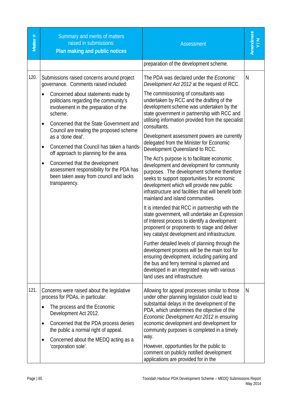| Matter # | Summary and merits of matters<br>raised in submissions:<br>Plan making and public notices                                                                                                                                                                                                                                                                                                                                                                                                                                                                                | <b>Assessment</b>                                                                                                                                                                                                                                                                                                                                                                                                                                                                                                                                                                                                                                                                                                                                                                                                                                                                                                                                                                                                                                                                                                            | Amendment |
|----------|--------------------------------------------------------------------------------------------------------------------------------------------------------------------------------------------------------------------------------------------------------------------------------------------------------------------------------------------------------------------------------------------------------------------------------------------------------------------------------------------------------------------------------------------------------------------------|------------------------------------------------------------------------------------------------------------------------------------------------------------------------------------------------------------------------------------------------------------------------------------------------------------------------------------------------------------------------------------------------------------------------------------------------------------------------------------------------------------------------------------------------------------------------------------------------------------------------------------------------------------------------------------------------------------------------------------------------------------------------------------------------------------------------------------------------------------------------------------------------------------------------------------------------------------------------------------------------------------------------------------------------------------------------------------------------------------------------------|-----------|
|          |                                                                                                                                                                                                                                                                                                                                                                                                                                                                                                                                                                          | preparation of the development scheme.                                                                                                                                                                                                                                                                                                                                                                                                                                                                                                                                                                                                                                                                                                                                                                                                                                                                                                                                                                                                                                                                                       |           |
| 120.     | Submissions raised concerns around project<br>governance. Comments raised included:<br>Concerned about statements made by<br>politicians regarding the community's<br>involvement in the preparation of the<br>scheme.<br>Concerned that the State Government and<br>Council are treating the proposed scheme<br>as a 'done deal'.<br>Concerned that Council has taken a hands-<br>٠<br>off approach to planning for the area.<br>Concerned that the development<br>assessment responsibility for the PDA has<br>been taken away from council and lacks<br>transparency. | The PDA was declared under the <i>Economic</i><br>Development Act 2012 at the request of RCC.<br>The commissioning of consultants was<br>undertaken by RCC and the drafting of the<br>development scheme was undertaken by the<br>state government in partnership with RCC and<br>utilising information provided from the specialist<br>consultants.<br>Development assessment powers are currently<br>delegated from the Minister for Economic<br>Development Queensland to RCC.<br>The Act's purpose is to facilitate economic<br>development and development for community<br>purposes. The development scheme therefore<br>seeks to support opportunities for economic<br>development which will provide new public<br>infrastructure and facilities that will benefit both<br>mainland and island communities.<br>It is intended that RCC in partnership with the<br>state government, will undertake an Expression<br>of Interest process to identify a development<br>proponent or proponents to stage and deliver<br>key catalyst development and infrastructure.<br>Further detailed levels of planning through the | N         |
|          |                                                                                                                                                                                                                                                                                                                                                                                                                                                                                                                                                                          | development process will be the main tool for<br>ensuring development, including parking and<br>the bus and ferry terminal is planned and<br>developed in an integrated way with various<br>land uses and infrastructure.                                                                                                                                                                                                                                                                                                                                                                                                                                                                                                                                                                                                                                                                                                                                                                                                                                                                                                    |           |
| 121.     | Concerns were raised about the legislative<br>process for PDAs, in particular:<br>The process and the Economic<br>Development Act 2012.<br>Concerned that the PDA process denies<br>٠<br>the public a normal right of appeal.<br>Concerned about the MEDQ acting as a<br>$\bullet$<br>'corporation sole'.                                                                                                                                                                                                                                                                | Allowing for appeal processes similar to those<br>under other planning legislation could lead to<br>substantial delays in the development of the<br>PDA, which undermines the objective of the<br>Economic Development Act 2012 in ensuring<br>economic development and development for<br>community purposes is completed in a timely<br>way.<br>However, opportunities for the public to<br>comment on publicly notified development<br>applications are provided for in the                                                                                                                                                                                                                                                                                                                                                                                                                                                                                                                                                                                                                                               | N         |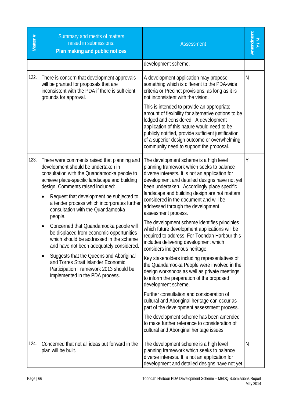| Matter # | Summary and merits of matters<br>raised in submissions:<br>Plan making and public notices                                                                                                                                                                                                                                                                                                                                                                                                                                                                                                                                                                                                                                              | <b>Assessment</b>                                                                                                                                                                                                                                                                                                                                                                                                                                                                                                                                                                                                                                                                                                                                                                                                                                                                                                                                                                                                                                                                                                                   | Amendment<br>Y/N |
|----------|----------------------------------------------------------------------------------------------------------------------------------------------------------------------------------------------------------------------------------------------------------------------------------------------------------------------------------------------------------------------------------------------------------------------------------------------------------------------------------------------------------------------------------------------------------------------------------------------------------------------------------------------------------------------------------------------------------------------------------------|-------------------------------------------------------------------------------------------------------------------------------------------------------------------------------------------------------------------------------------------------------------------------------------------------------------------------------------------------------------------------------------------------------------------------------------------------------------------------------------------------------------------------------------------------------------------------------------------------------------------------------------------------------------------------------------------------------------------------------------------------------------------------------------------------------------------------------------------------------------------------------------------------------------------------------------------------------------------------------------------------------------------------------------------------------------------------------------------------------------------------------------|------------------|
|          |                                                                                                                                                                                                                                                                                                                                                                                                                                                                                                                                                                                                                                                                                                                                        | development scheme.                                                                                                                                                                                                                                                                                                                                                                                                                                                                                                                                                                                                                                                                                                                                                                                                                                                                                                                                                                                                                                                                                                                 |                  |
| 122.     | There is concern that development approvals<br>will be granted for proposals that are<br>inconsistent with the PDA if there is sufficient<br>grounds for approval.                                                                                                                                                                                                                                                                                                                                                                                                                                                                                                                                                                     | A development application may propose<br>something which is different to the PDA-wide<br>criteria or Precinct provisions, as long as it is<br>not inconsistent with the vision.<br>This is intended to provide an appropriate<br>amount of flexibility for alternative options to be<br>lodged and considered. A development<br>application of this nature would need to be<br>publicly notified, provide sufficient justification<br>of a superior design outcome or overwhelming<br>community need to support the proposal.                                                                                                                                                                                                                                                                                                                                                                                                                                                                                                                                                                                                       | N                |
| 123.     | There were comments raised that planning and<br>development should be undertaken in<br>consultation with the Quandamooka people to<br>achieve place-specific landscape and building<br>design. Comments raised included:<br>Request that development be subjected to<br>٠<br>a tender process which incorporates further<br>consultation with the Quandamooka<br>people.<br>Concerned that Quandamooka people will<br>٠<br>be displaced from economic opportunities<br>which should be addressed in the scheme<br>and have not been adequately considered.<br>Suggests that the Queensland Aboriginal<br>$\bullet$<br>and Torres Strait Islander Economic<br>Participation Framework 2013 should be<br>implemented in the PDA process. | The development scheme is a high level<br>planning framework which seeks to balance<br>diverse interests. It is not an application for<br>development and detailed designs have not yet<br>been undertaken. Accordingly place specific<br>landscape and building design are not matters<br>considered in the document and will be<br>addressed through the development<br>assessment process.<br>The development scheme identifies principles<br>which future development applications will be<br>required to address. For Toondah Harbour this<br>includes delivering development which<br>considers indigenous heritage.<br>Key stakeholders including representatives of<br>the Quandamooka People were involved in the<br>design workshops as well as private meetings<br>to inform the preparation of the proposed<br>development scheme.<br>Further consultation and consideration of<br>cultural and Aboriginal heritage can occur as<br>part of the development assessment process.<br>The development scheme has been amended<br>to make further reference to consideration of<br>cultural and Aboriginal heritage issues. | Υ                |
| 124.     | Concerned that not all ideas put forward in the<br>plan will be built.                                                                                                                                                                                                                                                                                                                                                                                                                                                                                                                                                                                                                                                                 | The development scheme is a high level<br>planning framework which seeks to balance<br>diverse interests. It is not an application for<br>development and detailed designs have not yet                                                                                                                                                                                                                                                                                                                                                                                                                                                                                                                                                                                                                                                                                                                                                                                                                                                                                                                                             | N                |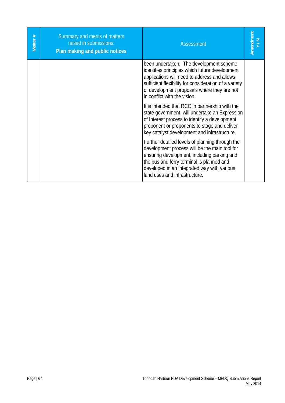| Matter# | Summary and merits of matters<br>raised in submissions:<br>Plan making and public notices | <b>Assessment</b>                                                                                                                                                                                                                                                                 | Amendment |
|---------|-------------------------------------------------------------------------------------------|-----------------------------------------------------------------------------------------------------------------------------------------------------------------------------------------------------------------------------------------------------------------------------------|-----------|
|         |                                                                                           | been undertaken. The development scheme<br>identifies principles which future development<br>applications will need to address and allows<br>sufficient flexibility for consideration of a variety<br>of development proposals where they are not<br>in conflict with the vision. |           |
|         |                                                                                           | It is intended that RCC in partnership with the<br>state government, will undertake an Expression<br>of Interest process to identify a development<br>proponent or proponents to stage and deliver<br>key catalyst development and infrastructure.                                |           |
|         |                                                                                           | Further detailed levels of planning through the<br>development process will be the main tool for<br>ensuring development, including parking and<br>the bus and ferry terminal is planned and<br>developed in an integrated way with various<br>land uses and infrastructure.      |           |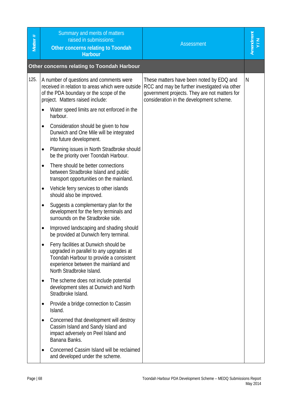| #<br><b>Matter</b> | Summary and merits of matters<br>raised in submissions:<br>Other concerns relating to Toondah<br><b>Harbour</b>                                                                                | <b>Assessment</b>                                                                                                                                                                      | Amendment<br>Y/N |
|--------------------|------------------------------------------------------------------------------------------------------------------------------------------------------------------------------------------------|----------------------------------------------------------------------------------------------------------------------------------------------------------------------------------------|------------------|
|                    | <b>Other concerns relating to Toondah Harbour</b>                                                                                                                                              |                                                                                                                                                                                        |                  |
| 125.               | A number of questions and comments were<br>received in relation to areas which were outside<br>of the PDA boundary or the scope of the<br>project. Matters raised include:                     | These matters have been noted by EDQ and<br>RCC and may be further investigated via other<br>government projects. They are not matters for<br>consideration in the development scheme. | N                |
|                    | Water speed limits are not enforced in the<br>$\bullet$<br>harbour.                                                                                                                            |                                                                                                                                                                                        |                  |
|                    | Consideration should be given to how<br>$\bullet$<br>Dunwich and One Mile will be integrated<br>into future development.                                                                       |                                                                                                                                                                                        |                  |
|                    | Planning issues in North Stradbroke should<br>٠<br>be the priority over Toondah Harbour.                                                                                                       |                                                                                                                                                                                        |                  |
|                    | There should be better connections<br>$\bullet$<br>between Stradbroke Island and public<br>transport opportunities on the mainland.                                                            |                                                                                                                                                                                        |                  |
|                    | Vehicle ferry services to other islands<br>٠<br>should also be improved.                                                                                                                       |                                                                                                                                                                                        |                  |
|                    | Suggests a complementary plan for the<br>development for the ferry terminals and<br>surrounds on the Stradbroke side.                                                                          |                                                                                                                                                                                        |                  |
|                    | Improved landscaping and shading should<br>be provided at Dunwich ferry terminal.                                                                                                              |                                                                                                                                                                                        |                  |
|                    | Ferry facilities at Dunwich should be<br>upgraded in parallel to any upgrades at<br>Toondah Harbour to provide a consistent<br>experience between the mainland and<br>North Stradbroke Island. |                                                                                                                                                                                        |                  |
|                    | The scheme does not include potential<br>development sites at Dunwich and North<br>Stradbroke Island.                                                                                          |                                                                                                                                                                                        |                  |
|                    | Provide a bridge connection to Cassim<br>Island.                                                                                                                                               |                                                                                                                                                                                        |                  |
|                    | Concerned that development will destroy<br>Cassim Island and Sandy Island and<br>impact adversely on Peel Island and<br>Banana Banks.                                                          |                                                                                                                                                                                        |                  |
|                    | Concerned Cassim Island will be reclaimed<br>and developed under the scheme.                                                                                                                   |                                                                                                                                                                                        |                  |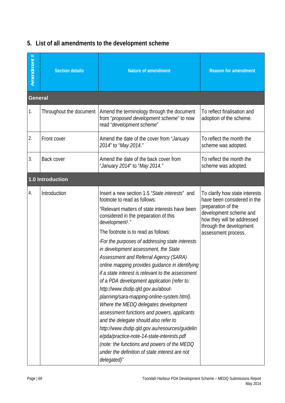| Amendment #    | <b>Section details</b>  | <b>Nature of amendment</b>                                                                                                                                                                                                                                                                                                                                                                                                                                                                                                                                                                                                                                                                                                                                                                                                                                                                                                                                                     | <b>Reason for amendment</b>                                                                                                                                                                   |
|----------------|-------------------------|--------------------------------------------------------------------------------------------------------------------------------------------------------------------------------------------------------------------------------------------------------------------------------------------------------------------------------------------------------------------------------------------------------------------------------------------------------------------------------------------------------------------------------------------------------------------------------------------------------------------------------------------------------------------------------------------------------------------------------------------------------------------------------------------------------------------------------------------------------------------------------------------------------------------------------------------------------------------------------|-----------------------------------------------------------------------------------------------------------------------------------------------------------------------------------------------|
| <b>General</b> |                         |                                                                                                                                                                                                                                                                                                                                                                                                                                                                                                                                                                                                                                                                                                                                                                                                                                                                                                                                                                                |                                                                                                                                                                                               |
| 1.             | Throughout the document | Amend the terminology through the document<br>from "proposed development scheme" to now<br>read "development scheme"                                                                                                                                                                                                                                                                                                                                                                                                                                                                                                                                                                                                                                                                                                                                                                                                                                                           | To reflect finalisation and<br>adoption of the scheme.                                                                                                                                        |
| 2.             | Front cover             | Amend the date of the cover from "January<br>2014" to "May 2014."                                                                                                                                                                                                                                                                                                                                                                                                                                                                                                                                                                                                                                                                                                                                                                                                                                                                                                              | To reflect the month the<br>scheme was adopted.                                                                                                                                               |
| 3.             | Back cover              | Amend the date of the back cover from<br>"January 2014" to "May 2014."                                                                                                                                                                                                                                                                                                                                                                                                                                                                                                                                                                                                                                                                                                                                                                                                                                                                                                         | To reflect the month the<br>scheme was adopted.                                                                                                                                               |
|                | 1.0 Introduction        |                                                                                                                                                                                                                                                                                                                                                                                                                                                                                                                                                                                                                                                                                                                                                                                                                                                                                                                                                                                |                                                                                                                                                                                               |
| 4.             | Introduction            | Insert a new section 1.5 "State interests" and<br>footnote to read as follows:<br>"Relevant matters of state interests have been<br>considered in the preparation of this<br>development <sup>1</sup> ."<br>The footnote is to read as follows:<br>iFor the purposes of addressing state interests<br>in development assessment, the State<br>Assessment and Referral Agency (SARA)<br>online mapping provides guidance in identifying<br>if a state interest is relevant to the assessment<br>of a PDA development application (refer to:<br>http://www.dsdip.qld.gov.au/about-<br>planning/sara-mapping-online-system.html).<br>Where the MEDQ delegates development<br>assessment functions and powers, applicants<br>and the delegate should also refer to<br>http://www.dsdip.qld.gov.au/resources/guidelin<br>e/pda/practice-note-14-state-interests.pdf<br>(note: the functions and powers of the MEDQ<br>under the definition of state interest are not<br>delegated)" | To clarify how state interests<br>have been considered in the<br>preparation of the<br>development scheme and<br>how they will be addressed<br>through the development<br>assessment process. |

#### **5. List of all amendments to the development scheme**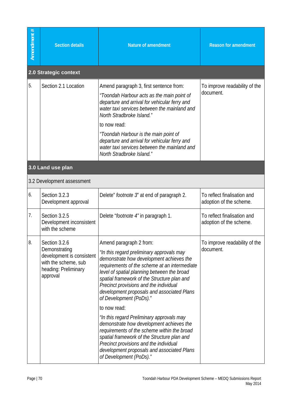| Amendment # | <b>Section details</b>                                                                                                  | <b>Nature of amendment</b>                                                                                                                                                                                                                                                                                                                                                                                                                                                                                                                                                                                                                                                                                   | <b>Reason for amendment</b>                            |
|-------------|-------------------------------------------------------------------------------------------------------------------------|--------------------------------------------------------------------------------------------------------------------------------------------------------------------------------------------------------------------------------------------------------------------------------------------------------------------------------------------------------------------------------------------------------------------------------------------------------------------------------------------------------------------------------------------------------------------------------------------------------------------------------------------------------------------------------------------------------------|--------------------------------------------------------|
|             | 2.0 Strategic context                                                                                                   |                                                                                                                                                                                                                                                                                                                                                                                                                                                                                                                                                                                                                                                                                                              |                                                        |
| 5.          | Section 2.1 Location                                                                                                    | Amend paragraph 3, first sentence from:<br>"Toondah Harbour acts as the main point of<br>departure and arrival for vehicular ferry and<br>water taxi services between the mainland and<br>North Stradbroke Island."<br>to now read:<br>"Toondah Harbour is the main point of<br>departure and arrival for vehicular ferry and<br>water taxi services between the mainland and<br>North Stradbroke Island."                                                                                                                                                                                                                                                                                                   | To improve readability of the<br>document.             |
|             | 3.0 Land use plan                                                                                                       |                                                                                                                                                                                                                                                                                                                                                                                                                                                                                                                                                                                                                                                                                                              |                                                        |
|             | 3.2 Development assessment                                                                                              |                                                                                                                                                                                                                                                                                                                                                                                                                                                                                                                                                                                                                                                                                                              |                                                        |
| 6.          | Section 3.2.3<br>Development approval                                                                                   | Delete" <i>footnote 3</i> " at end of paragraph 2.                                                                                                                                                                                                                                                                                                                                                                                                                                                                                                                                                                                                                                                           | To reflect finalisation and<br>adoption of the scheme. |
| 7.          | Section 3.2.5<br>Development inconsistent<br>with the scheme                                                            | Delete "footnote 4" in paragraph 1.                                                                                                                                                                                                                                                                                                                                                                                                                                                                                                                                                                                                                                                                          | To reflect finalisation and<br>adoption of the scheme. |
| 8.          | Section 3.2.6<br>Demonstrating<br>development is consistent<br>with the scheme, sub<br>heading: Preliminary<br>approval | Amend paragraph 2 from:<br>"In this regard preliminary approvals may<br>demonstrate how development achieves the<br>requirements of the scheme at an intermediate<br>level of spatial planning between the broad<br>spatial framework of the Structure plan and<br>Precinct provisions and the individual<br>development proposals and associated Plans<br>of Development (PoDs)."<br>to now read:<br>"In this regard Preliminary approvals may<br>demonstrate how development achieves the<br>requirements of the scheme within the broad<br>spatial framework of the Structure plan and<br>Precinct provisions and the individual<br>development proposals and associated Plans<br>of Development (PoDs)." | To improve readability of the<br>document.             |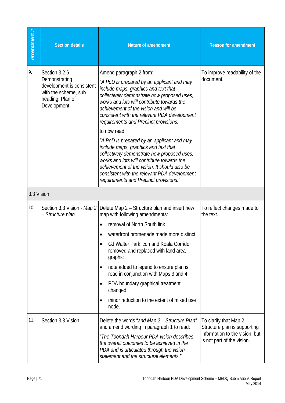| Amendment # | <b>Section details</b>                                                                                                 | <b>Nature of amendment</b>                                                                                                                                                                                                                                                                                                                                    | <b>Reason for amendment</b>                                  |
|-------------|------------------------------------------------------------------------------------------------------------------------|---------------------------------------------------------------------------------------------------------------------------------------------------------------------------------------------------------------------------------------------------------------------------------------------------------------------------------------------------------------|--------------------------------------------------------------|
| 9.          | Section 3.2.6<br>Demonstrating<br>development is consistent<br>with the scheme, sub<br>heading: Plan of<br>Development | Amend paragraph 2 from:<br>"A PoD is prepared by an applicant and may<br>include maps, graphics and text that<br>collectively demonstrate how proposed uses,<br>works and lots will contribute towards the<br>achievement of the vision and will be<br>consistent with the relevant PDA development<br>requirements and Precinct provisions."<br>to now read: | To improve readability of the<br>document.                   |
|             |                                                                                                                        | "A PoD is prepared by an applicant and may<br>include maps, graphics and text that<br>collectively demonstrate how proposed uses,<br>works and lots will contribute towards the<br>achievement of the vision. It should also be<br>consistent with the relevant PDA development<br>requirements and Precinct provisions."                                     |                                                              |
| 3.3 Vision  |                                                                                                                        |                                                                                                                                                                                                                                                                                                                                                               |                                                              |
| 10.         | Section 3.3 Vision - Map 2<br>- Structure plan                                                                         | Delete Map 2 – Structure plan and insert new<br>map with following amendments:                                                                                                                                                                                                                                                                                | To reflect changes made to<br>the text.                      |
|             |                                                                                                                        | removal of North South link<br>$\bullet$                                                                                                                                                                                                                                                                                                                      |                                                              |
|             |                                                                                                                        | waterfront promenade made more distinct                                                                                                                                                                                                                                                                                                                       |                                                              |
|             |                                                                                                                        | GJ Walter Park icon and Koala Corridor<br>removed and replaced with land area<br>graphic                                                                                                                                                                                                                                                                      |                                                              |
|             |                                                                                                                        | note added to legend to ensure plan is<br>٠<br>read in conjunction with Maps 3 and 4                                                                                                                                                                                                                                                                          |                                                              |
|             |                                                                                                                        | PDA boundary graphical treatment<br>$\bullet$<br>changed                                                                                                                                                                                                                                                                                                      |                                                              |
|             |                                                                                                                        | minor reduction to the extent of mixed use<br>$\bullet$<br>node.                                                                                                                                                                                                                                                                                              |                                                              |
| 11.         | Section 3.3 Vision                                                                                                     | Delete the words "and Map 2 - Structure Plan"<br>and amend wording in paragraph 1 to read:                                                                                                                                                                                                                                                                    | To clarify that Map 2 -<br>Structure plan is supporting      |
|             |                                                                                                                        | "The Toondah Harbour PDA vision describes<br>the overall outcomes to be achieved in the<br>PDA and is articulated through the vision<br>statement and the structural elements."                                                                                                                                                                               | information to the vision, but<br>is not part of the vision. |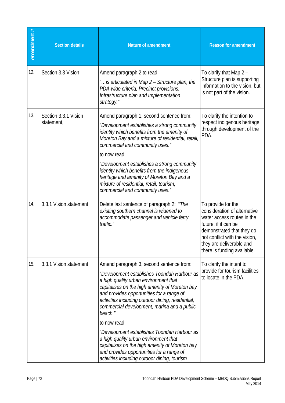| Amendment # | <b>Section details</b>             | <b>Nature of amendment</b>                                                                                                                                                                                                                                                                                                                                                                                                                                                                                                                                                                            | <b>Reason for amendment</b>                                                                                                                                                                                                       |
|-------------|------------------------------------|-------------------------------------------------------------------------------------------------------------------------------------------------------------------------------------------------------------------------------------------------------------------------------------------------------------------------------------------------------------------------------------------------------------------------------------------------------------------------------------------------------------------------------------------------------------------------------------------------------|-----------------------------------------------------------------------------------------------------------------------------------------------------------------------------------------------------------------------------------|
| 12.         | Section 3.3 Vision                 | Amend paragraph 2 to read:<br>" is articulated in Map 2 - Structure plan, the<br>PDA-wide criteria, Precinct provisions,<br>Infrastructure plan and Implementation<br>strategy."                                                                                                                                                                                                                                                                                                                                                                                                                      | To clarify that Map 2 -<br>Structure plan is supporting<br>information to the vision, but<br>is not part of the vision.                                                                                                           |
| 13.         | Section 3.3.1 Vision<br>statement, | Amend paragraph 1, second sentence from:<br>"Development establishes a strong community<br>identity which benefits from the amenity of<br>Moreton Bay and a mixture of residential, retail,<br>commercial and community uses."<br>to now read:<br>"Development establishes a strong community<br>identity which benefits from the indigenous<br>heritage and amenity of Moreton Bay and a<br>mixture of residential, retail, tourism,<br>commercial and community uses."                                                                                                                              | To clarify the intention to<br>respect indigenous heritage<br>through development of the<br>PDA.                                                                                                                                  |
| 14.         | 3.3.1 Vision statement             | Delete last sentence of paragraph 2: "The<br>existing southern channel is widened to<br>accommodate passenger and vehicle ferry<br>traffic."                                                                                                                                                                                                                                                                                                                                                                                                                                                          | To provide for the<br>consideration of alternative<br>water access routes in the<br>future, if it can be<br>demonstrated that they do<br>not conflict with the vision,<br>they are deliverable and<br>there is funding available. |
| 15.         | 3.3.1 Vision statement             | Amend paragraph 3, second sentence from:<br>"Development establishes Toondah Harbour as<br>a high quality urban environment that<br>capitalises on the high amenity of Moreton bay<br>and provides opportunities for a range of<br>activities including outdoor dining, residential,<br>commercial development, marina and a public<br>beach."<br>to now read:<br>"Development establishes Toondah Harbour as<br>a high quality urban environment that<br>capitalises on the high amenity of Moreton bay<br>and provides opportunities for a range of<br>activities including outdoor dining, tourism | To clarify the intent to<br>provide for tourism facilities<br>to locate in the PDA.                                                                                                                                               |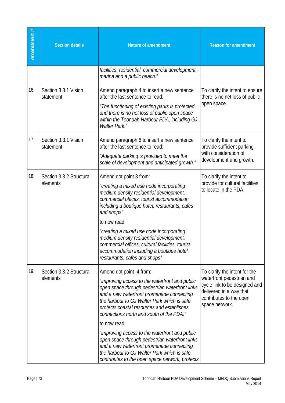| Amendment # | <b>Section details</b>               | <b>Nature of amendment</b>                                                                                                                                                                                                                                                                                         | <b>Reason for amendment</b>                                                                                                                                         |
|-------------|--------------------------------------|--------------------------------------------------------------------------------------------------------------------------------------------------------------------------------------------------------------------------------------------------------------------------------------------------------------------|---------------------------------------------------------------------------------------------------------------------------------------------------------------------|
|             |                                      | facilities, residential, commercial development,<br>marina and a public beach."                                                                                                                                                                                                                                    |                                                                                                                                                                     |
| 16.         | Section 3.3.1 Vision<br>statement    | Amend paragraph 4 to insert a new sentence<br>after the last sentence to read:<br>"The functioning of existing parks is protected<br>and there is no net loss of public open space<br>within the Toondah Harbour PDA, including GJ<br><b>Walter Park."</b>                                                         | To clarify the intent to ensure<br>there is no net loss of public<br>open space.                                                                                    |
| 17.         | Section 3.3.1 Vision<br>statement    | Amend paragraph 6 to insert a new sentence<br>after the last sentence to read:<br>"Adequate parking is provided to meet the<br>scale of development and anticipated growth."                                                                                                                                       | To clarify the intent to<br>provide sufficient parking<br>with consideration of<br>development and growth.                                                          |
| 18.         | Section 3.3.2 Structural<br>elements | Amend dot point 3 from:<br>"creating a mixed use node incorporating<br>medium density residential development,<br>commercial offices, tourist accommodation<br>including a boutique hotel, restaurants, cafes<br>and shops"                                                                                        | To clarify the intent to<br>provide for cultural facilities<br>to locate in the PDA.                                                                                |
|             |                                      | to now read:<br>"creating a mixed use node incorporating<br>medium density residential development,<br>commercial offices, cultural facilities, tourist<br>accommodation including a boutique hotel,<br>restaurants, cafes and shops"                                                                              |                                                                                                                                                                     |
| 19.         | Section 3.3.2 Structural<br>elements | Amend dot point 4 from:<br>"improving access to the waterfront and public<br>open space through pedestrian waterfront links<br>and a new waterfront promenade connecting<br>the harbour to GJ Walter Park which is safe,<br>protects coastal resources and establishes<br>connections north and south of the PDA." | To clarify the intent for the<br>waterfront pedestrian and<br>cycle link to be designed and<br>delivered in a way that<br>contributes to the open<br>space network. |
|             |                                      | to now read:<br>"improving access to the waterfront and public<br>open space through pedestrian waterfront links<br>and a new waterfront promenade connecting<br>the harbour to GJ Walter Park which is safe,<br>contributes to the open space network, protects                                                   |                                                                                                                                                                     |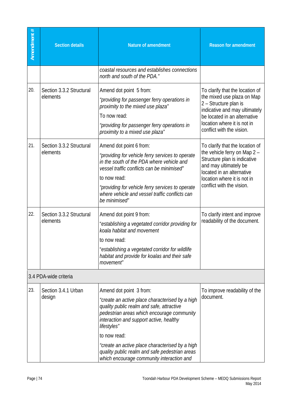| Amendment # | <b>Section details</b>               | <b>Nature of amendment</b>                                                                                                                                                                                                                                                                                                                                                                        | <b>Reason for amendment</b>                                                                                                                                                                                         |
|-------------|--------------------------------------|---------------------------------------------------------------------------------------------------------------------------------------------------------------------------------------------------------------------------------------------------------------------------------------------------------------------------------------------------------------------------------------------------|---------------------------------------------------------------------------------------------------------------------------------------------------------------------------------------------------------------------|
|             |                                      | coastal resources and establishes connections<br>north and south of the PDA."                                                                                                                                                                                                                                                                                                                     |                                                                                                                                                                                                                     |
| 20.         | Section 3.3.2 Structural<br>elements | Amend dot point 5 from:<br>"providing for passenger ferry operations in<br>proximity to the mixed use plaza"<br>To now read:<br>"providing for passenger ferry operations in<br>proximity to a mixed use plaza"                                                                                                                                                                                   | To clarify that the location of<br>the mixed use plaza on Map<br>2 - Structure plan is<br>indicative and may ultimately<br>be located in an alternative<br>location where it is not in<br>conflict with the vision. |
| 21.         | Section 3.3.2 Structural<br>elements | Amend dot point 6 from:<br>"providing for vehicle ferry services to operate<br>in the south of the PDA where vehicle and<br>vessel traffic conflicts can be minimised"<br>to now read:<br>"providing for vehicle ferry services to operate<br>where vehicle and vessel traffic conflicts can<br>be minimised"                                                                                     | To clarify that the location of<br>the vehicle ferry on Map 2 -<br>Structure plan is indicative<br>and may ultimately be<br>located in an alternative<br>location where it is not in<br>conflict with the vision.   |
| 22.         | Section 3.3.2 Structural<br>elements | Amend dot point 9 from:<br>"establishing a vegetated corridor providing for<br>koala habitat and movement<br>to now read:<br>"establishing a vegetated corridor for wildlife<br>habitat and provide for koalas and their safe<br>movement"                                                                                                                                                        | To clarify intent and improve<br>readability of the document.                                                                                                                                                       |
|             | 3.4 PDA-wide criteria                |                                                                                                                                                                                                                                                                                                                                                                                                   |                                                                                                                                                                                                                     |
| 23.         | Section 3.4.1 Urban<br>design        | Amend dot point 3 from:<br>"create an active place characterised by a high<br>quality public realm and safe, attractive<br>pedestrian areas which encourage community<br>interaction and support active, healthy<br>lifestyles"<br>to now read:<br>"create an active place characterised by a high<br>quality public realm and safe pedestrian areas<br>which encourage community interaction and | To improve readability of the<br>document.                                                                                                                                                                          |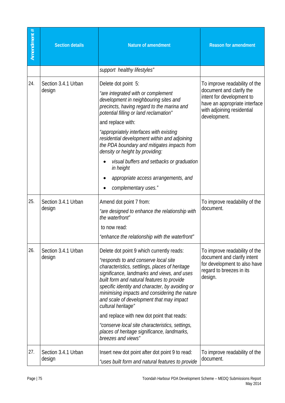| Amendment # | <b>Section details</b>        | <b>Nature of amendment</b>                                                                                                                                                                                                                                                                                                                                                                                                                                                                                                                                                   | <b>Reason for amendment</b>                                                                                                                                           |
|-------------|-------------------------------|------------------------------------------------------------------------------------------------------------------------------------------------------------------------------------------------------------------------------------------------------------------------------------------------------------------------------------------------------------------------------------------------------------------------------------------------------------------------------------------------------------------------------------------------------------------------------|-----------------------------------------------------------------------------------------------------------------------------------------------------------------------|
|             |                               | support healthy lifestyles"                                                                                                                                                                                                                                                                                                                                                                                                                                                                                                                                                  |                                                                                                                                                                       |
| 24.         | Section 3.4.1 Urban<br>design | Delete dot point 5:<br>"are integrated with or complement<br>development in neighbouring sites and<br>precincts, having regard to the marina and<br>potential filling or land reclamation"<br>and replace with:<br>"appropriately interfaces with existing<br>residential development within and adjoining<br>the PDA boundary and mitigates impacts from<br>density or height by providing:<br>visual buffers and setbacks or graduation<br>in height<br>appropriate access arrangements, and<br>complementary uses."                                                       | To improve readability of the<br>document and clarify the<br>intent for development to<br>have an appropriate interface<br>with adjoining residential<br>development. |
| 25.         | Section 3.4.1 Urban<br>design | Amend dot point 7 from:<br>"are designed to enhance the relationship with<br>the waterfront"<br>to now read:<br>"enhance the relationship with the waterfront"                                                                                                                                                                                                                                                                                                                                                                                                               | To improve readability of the<br>document.                                                                                                                            |
| 26.         | Section 3.4.1 Urban<br>design | Delete dot point 9 which currently reads:<br>"responds to and conserve local site<br>characteristics, settlings, places of heritage<br>significance, landmarks and views, and uses<br>built form and natural features to provide<br>specific identity and character, by avoiding or<br>minimising impacts and considering the nature<br>and scale of development that may impact<br>cultural heritage"<br>and replace with new dot point that reads:<br>"conserve local site characteristics, settings,<br>places of heritage significance, landmarks,<br>breezes and views" | To improve readability of the<br>document and clarify intent<br>for development to also have<br>regard to breezes in its<br>design.                                   |
| 27.         | Section 3.4.1 Urban<br>design | Insert new dot point after dot point 9 to read:<br>"uses built form and natural features to provide                                                                                                                                                                                                                                                                                                                                                                                                                                                                          | To improve readability of the<br>document.                                                                                                                            |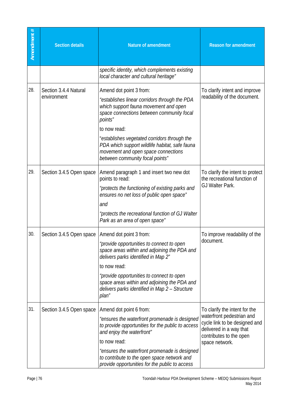| Amendment # | <b>Section details</b>               | <b>Nature of amendment</b>                                                                                                                                                                                                                                                                                                                                            | <b>Reason for amendment</b>                                                                                                                                         |
|-------------|--------------------------------------|-----------------------------------------------------------------------------------------------------------------------------------------------------------------------------------------------------------------------------------------------------------------------------------------------------------------------------------------------------------------------|---------------------------------------------------------------------------------------------------------------------------------------------------------------------|
|             |                                      | specific identity, which complements existing<br>local character and cultural heritage"                                                                                                                                                                                                                                                                               |                                                                                                                                                                     |
| 28.         | Section 3.4.4 Natural<br>environment | Amend dot point 3 from:<br>"establishes linear corridors through the PDA<br>which support fauna movement and open<br>space connections between community focal<br>points"<br>to now read:<br>"establishes vegetated corridors through the<br>PDA which support wildlife habitat, safe fauna<br>movement and open space connections<br>between community focal points" | To clarify intent and improve<br>readability of the document.                                                                                                       |
| 29.         | Section 3.4.5 Open space             | Amend paragraph 1 and insert two new dot<br>points to read:<br>"protects the functioning of existing parks and<br>ensures no net loss of public open space"<br>and<br>"protects the recreational function of GJ Walter<br>Park as an area of open space"                                                                                                              | To clarify the intent to protect<br>the recreational function of<br>GJ Walter Park.                                                                                 |
| 30.         | Section 3.4.5 Open space             | Amend dot point 3 from:<br>"provide opportunities to connect to open<br>space areas within and adjoining the PDA and<br>delivers parks identified in Map 2"<br>to now read:<br>"provide opportunities to connect to open<br>space areas within and adjoining the PDA and<br>delivers parks identified in Map 2 - Structure<br>plan"                                   | To improve readability of the<br>document.                                                                                                                          |
| 31.         | Section 3.4.5 Open space             | Amend dot point 6 from:<br>"ensures the waterfront promenade is designed<br>to provide opportunities for the public to access<br>and enjoy the waterfront"<br>to now read:<br>"ensures the waterfront promenade is designed<br>to contribute to the open space network and<br>provide opportunities for the public to access                                          | To clarify the intent for the<br>waterfront pedestrian and<br>cycle link to be designed and<br>delivered in a way that<br>contributes to the open<br>space network. |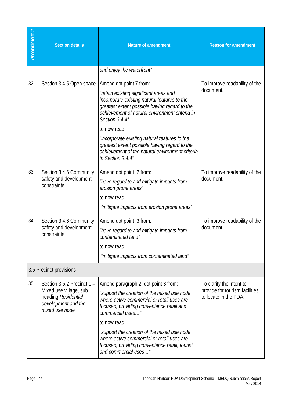| Amendment # | <b>Section details</b>                                                                                               | <b>Nature of amendment</b>                                                                                                                                                                                                                                                                                                                                                                                                       | <b>Reason for amendment</b>                                                         |
|-------------|----------------------------------------------------------------------------------------------------------------------|----------------------------------------------------------------------------------------------------------------------------------------------------------------------------------------------------------------------------------------------------------------------------------------------------------------------------------------------------------------------------------------------------------------------------------|-------------------------------------------------------------------------------------|
|             |                                                                                                                      | and enjoy the waterfront"                                                                                                                                                                                                                                                                                                                                                                                                        |                                                                                     |
| 32.         | Section 3.4.5 Open space                                                                                             | Amend dot point 7 from:<br>"retain existing significant areas and<br>incorporate existing natural features to the<br>greatest extent possible having regard to the<br>achievement of natural environment criteria in<br>Section 3.4.4"<br>to now read:<br>"incorporate existing natural features to the<br>greatest extent possible having regard to the<br>achievement of the natural environment criteria<br>in Section 3.4.4" | To improve readability of the<br>document.                                          |
| 33.         | Section 3.4.6 Community<br>safety and development<br>constraints                                                     | Amend dot point 2 from:<br>"have regard to and mitigate impacts from<br>erosion prone areas"<br>to now read:<br>"mitigate impacts from erosion prone areas"                                                                                                                                                                                                                                                                      | To improve readability of the<br>document.                                          |
| 34.         | Section 3.4.6 Community<br>safety and development<br>constraints                                                     | Amend dot point 3 from:<br>"have regard to and mitigate impacts from<br>contaminated land"<br>to now read:<br>"mitigate impacts from contaminated land"                                                                                                                                                                                                                                                                          | To improve readability of the<br>document.                                          |
|             | 3.5 Precinct provisions                                                                                              |                                                                                                                                                                                                                                                                                                                                                                                                                                  |                                                                                     |
| 35.         | Section 3.5.2 Precinct 1 -<br>Mixed use village, sub<br>heading Residential<br>development and the<br>mixed use node | Amend paragraph 2, dot point 3 from:<br>"support the creation of the mixed use node<br>where active commercial or retail uses are<br>focused, providing convenience retail and<br>commercial uses"<br>to now read:<br>"support the creation of the mixed use node<br>where active commercial or retail uses are<br>focused, providing convenience retail, tourist<br>and commercial uses"                                        | To clarify the intent to<br>provide for tourism facilities<br>to locate in the PDA. |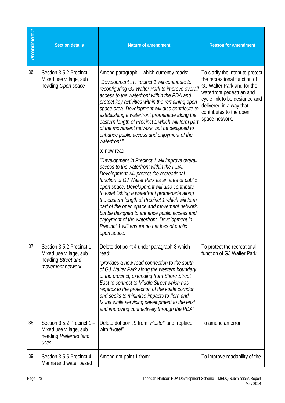| Amendment # | <b>Section details</b>                                                                         | <b>Nature of amendment</b>                                                                                                                                                                                                                                                                                                                                                                                                                                                                                                                                                     | <b>Reason for amendment</b>                                                                                                                                                                                                          |
|-------------|------------------------------------------------------------------------------------------------|--------------------------------------------------------------------------------------------------------------------------------------------------------------------------------------------------------------------------------------------------------------------------------------------------------------------------------------------------------------------------------------------------------------------------------------------------------------------------------------------------------------------------------------------------------------------------------|--------------------------------------------------------------------------------------------------------------------------------------------------------------------------------------------------------------------------------------|
| 36.         | Section 3.5.2 Precinct 1 -<br>Mixed use village, sub<br>heading Open space                     | Amend paragraph 1 which currently reads:<br>"Development in Precinct 1 will contribute to<br>reconfiguring GJ Walter Park to improve overall<br>access to the waterfront within the PDA and<br>protect key activities within the remaining open<br>space area. Development will also contribute to<br>establishing a waterfront promenade along the<br>eastern length of Precinct 1 which will form part<br>of the movement network, but be designed to<br>enhance public access and enjoyment of the<br>waterfront."                                                          | To clarify the intent to protect<br>the recreational function of<br>GJ Walter Park and for the<br>waterfront pedestrian and<br>cycle link to be designed and<br>delivered in a way that<br>contributes to the open<br>space network. |
|             |                                                                                                | to now read:<br>"Development in Precinct 1 will improve overall<br>access to the waterfront within the PDA.<br>Development will protect the recreational<br>function of GJ Walter Park as an area of public<br>open space. Development will also contribute<br>to establishing a waterfront promenade along<br>the eastern length of Precinct 1 which will form<br>part of the open space and movement network,<br>but be designed to enhance public access and<br>enjoyment of the waterfront. Development in<br>Precinct 1 will ensure no net loss of public<br>open space." |                                                                                                                                                                                                                                      |
| 37.         | Section 3.5.2 Precinct 1 -<br>Mixed use village, sub<br>heading Street and<br>movement network | Delete dot point 4 under paragraph 3 which<br>read:<br>"provides a new road connection to the south<br>of GJ Walter Park along the western boundary<br>of the precinct, extending from Shore Street<br>East to connect to Middle Street which has<br>regards to the protection of the koala corridor<br>and seeks to minimise impacts to flora and<br>fauna while servicing development to the east<br>and improving connectively through the PDA"                                                                                                                             | To protect the recreational<br>function of GJ Walter Park.                                                                                                                                                                           |
| 38.         | Section 3.5.2 Precinct 1 -<br>Mixed use village, sub<br>heading Preferred land<br>uses         | Delete dot point 9 from "Hostel" and replace<br>with "Hotel"                                                                                                                                                                                                                                                                                                                                                                                                                                                                                                                   | To amend an error.                                                                                                                                                                                                                   |
| 39.         | Section 3.5.5 Precinct 4 -<br>Marina and water based                                           | Amend dot point 1 from:                                                                                                                                                                                                                                                                                                                                                                                                                                                                                                                                                        | To improve readability of the                                                                                                                                                                                                        |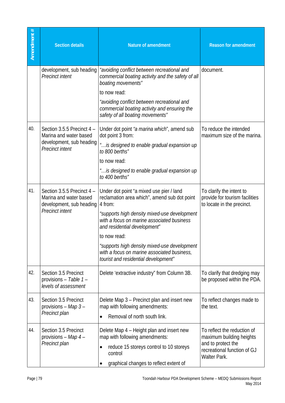| Amendment # | <b>Section details</b>                                                                                     | <b>Nature of amendment</b>                                                                                                                                                                                                                                                                                                                                                               | <b>Reason for amendment</b>                                                                                                         |
|-------------|------------------------------------------------------------------------------------------------------------|------------------------------------------------------------------------------------------------------------------------------------------------------------------------------------------------------------------------------------------------------------------------------------------------------------------------------------------------------------------------------------------|-------------------------------------------------------------------------------------------------------------------------------------|
|             | development, sub heading<br><b>Precinct intent</b>                                                         | "avoiding conflict between recreational and<br>commercial boating activity and the safety of all<br>boating movements"<br>to now read:<br>"avoiding conflict between recreational and<br>commercial boating activity and ensuring the<br>safety of all boating movements"                                                                                                                | document.                                                                                                                           |
| 40.         | Section 3.5.5 Precinct 4 -<br>Marina and water based<br>development, sub heading<br><b>Precinct intent</b> | Under dot point "a marina which", amend sub<br>dot point 3 from:<br>" is designed to enable gradual expansion up<br>to 800 berths"<br>to now read:<br>" is designed to enable gradual expansion up<br>to 400 berths"                                                                                                                                                                     | To reduce the intended<br>maximum size of the marina.                                                                               |
| 41.         | Section 3.5.5 Precinct 4 -<br>Marina and water based<br>development, sub heading<br><b>Precinct intent</b> | Under dot point "a mixed use pier / land<br>reclamation area which", amend sub dot point<br>4 from:<br>"supports high density mixed-use development<br>with a focus on marine associated business<br>and residential development"<br>to now read:<br>"supports high density mixed-use development<br>with a focus on marine associated business,<br>tourist and residential development" | To clarify the intent to<br>provide for tourism facilities<br>to locate in the precinct.                                            |
| 42.         | Section 3.5 Precinct<br>provisions - Table 1 -<br>levels of assessment                                     | Delete 'extractive industry" from Column 3B.                                                                                                                                                                                                                                                                                                                                             | To clarify that dredging may<br>be proposed within the PDA.                                                                         |
| 43.         | Section 3.5 Precinct<br>provisions - Map 3 -<br>Precinct plan                                              | Delete Map 3 - Precinct plan and insert new<br>map with following amendments:<br>Removal of north south link.<br>$\bullet$                                                                                                                                                                                                                                                               | To reflect changes made to<br>the text.                                                                                             |
| 44.         | Section 3.5 Precinct<br>provisions – Map 4 –<br>Precinct plan                                              | Delete Map 4 - Height plan and insert new<br>map with following amendments:<br>reduce 15 storeys control to 10 storeys<br>$\bullet$<br>control<br>graphical changes to reflect extent of                                                                                                                                                                                                 | To reflect the reduction of<br>maximum building heights<br>and to protect the<br>recreational function of GJ<br><b>Walter Park.</b> |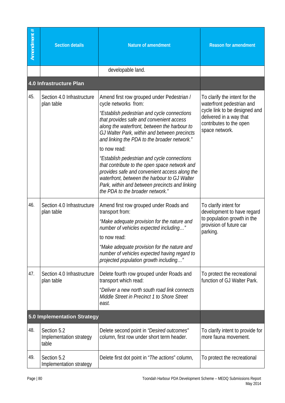| Amendment # | <b>Section details</b>                          | <b>Nature of amendment</b>                                                                                                                                                                                                                                                                                                                                                                                                                                                                                                                                                                                            | <b>Reason for amendment</b>                                                                                                                                         |
|-------------|-------------------------------------------------|-----------------------------------------------------------------------------------------------------------------------------------------------------------------------------------------------------------------------------------------------------------------------------------------------------------------------------------------------------------------------------------------------------------------------------------------------------------------------------------------------------------------------------------------------------------------------------------------------------------------------|---------------------------------------------------------------------------------------------------------------------------------------------------------------------|
|             |                                                 | developable land.                                                                                                                                                                                                                                                                                                                                                                                                                                                                                                                                                                                                     |                                                                                                                                                                     |
|             | 4.0 Infrastructure Plan                         |                                                                                                                                                                                                                                                                                                                                                                                                                                                                                                                                                                                                                       |                                                                                                                                                                     |
| 45.         | Section 4.0 Infrastructure<br>plan table        | Amend first row grouped under Pedestrian /<br>cycle networks from:<br>"Establish pedestrian and cycle connections<br>that provides safe and convenient access<br>along the waterfront, between the harbour to<br>GJ Walter Park, within and between precincts<br>and linking the PDA to the broader network."<br>to now read:<br>"Establish pedestrian and cycle connections"<br>that contribute to the open space network and<br>provides safe and convenient access along the<br>waterfront, between the harbour to GJ Walter<br>Park, within and between precincts and linking<br>the PDA to the broader network." | To clarify the intent for the<br>waterfront pedestrian and<br>cycle link to be designed and<br>delivered in a way that<br>contributes to the open<br>space network. |
| 46.         | Section 4.0 Infrastructure<br>plan table        | Amend first row grouped under Roads and<br>transport from:<br>"Make adequate provision for the nature and<br>number of vehicles expected including"<br>to now read:<br>"Make adequate provision for the nature and<br>number of vehicles expected having regard to<br>projected population growth including"                                                                                                                                                                                                                                                                                                          | To clarify intent for<br>development to have regard<br>to population growth in the<br>provision of future car<br>parking.                                           |
| 47.         | Section 4.0 Infrastructure<br>plan table        | Delete fourth row grouped under Roads and<br>transport which read:<br>"Deliver a new north south road link connects<br>Middle Street in Precinct 1 to Shore Street<br>east.                                                                                                                                                                                                                                                                                                                                                                                                                                           | To protect the recreational<br>function of GJ Walter Park.                                                                                                          |
|             | <b>5.0 Implementation Strategy</b>              |                                                                                                                                                                                                                                                                                                                                                                                                                                                                                                                                                                                                                       |                                                                                                                                                                     |
| 48.         | Section 5.2<br>Implementation strategy<br>table | Delete second point in "Desired outcomes"<br>column, first row under short term header.                                                                                                                                                                                                                                                                                                                                                                                                                                                                                                                               | To clarify intent to provide for<br>more fauna movement.                                                                                                            |
| 49.         | Section 5.2<br>Implementation strategy          | Delete first dot point in " <i>The actions</i> " column,                                                                                                                                                                                                                                                                                                                                                                                                                                                                                                                                                              | To protect the recreational                                                                                                                                         |